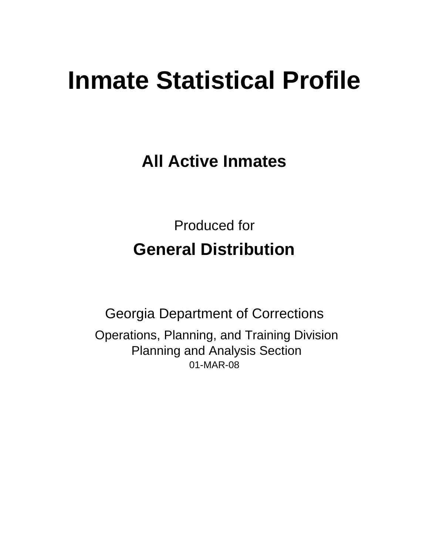# **Inmate Statistical Profile**

**All Active Inmates**

Produced for **General Distribution**

01-MAR-08 Georgia Department of Corrections Operations, Planning, and Training Division Planning and Analysis Section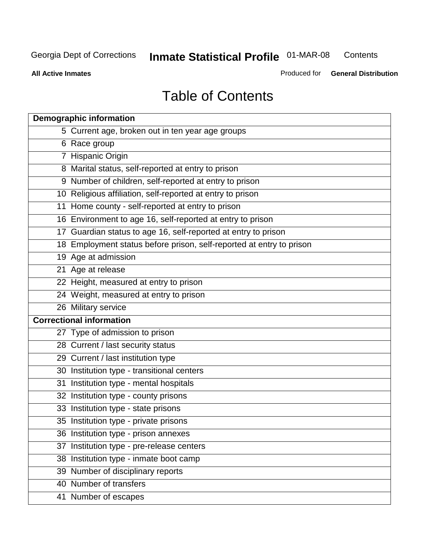**Contents** 

**All Active Inmates**

Produced for **General Distribution**

# Table of Contents

| <b>Demographic information</b>                                       |  |
|----------------------------------------------------------------------|--|
| 5 Current age, broken out in ten year age groups                     |  |
| 6 Race group                                                         |  |
| 7 Hispanic Origin                                                    |  |
| 8 Marital status, self-reported at entry to prison                   |  |
| 9 Number of children, self-reported at entry to prison               |  |
| 10 Religious affiliation, self-reported at entry to prison           |  |
| 11 Home county - self-reported at entry to prison                    |  |
| 16 Environment to age 16, self-reported at entry to prison           |  |
| 17 Guardian status to age 16, self-reported at entry to prison       |  |
| 18 Employment status before prison, self-reported at entry to prison |  |
| 19 Age at admission                                                  |  |
| 21 Age at release                                                    |  |
| 22 Height, measured at entry to prison                               |  |
| 24 Weight, measured at entry to prison                               |  |
| 26 Military service                                                  |  |
| <b>Correctional information</b>                                      |  |
| 27 Type of admission to prison                                       |  |
| 28 Current / last security status                                    |  |
| 29 Current / last institution type                                   |  |
| 30 Institution type - transitional centers                           |  |
| Institution type - mental hospitals<br>31                            |  |
| 32 Institution type - county prisons                                 |  |
| 33 Institution type - state prisons                                  |  |
| 35 Institution type - private prisons                                |  |
| 36 Institution type - prison annexes                                 |  |
| Institution type - pre-release centers<br>37                         |  |
| 38 Institution type - inmate boot camp                               |  |
| 39 Number of disciplinary reports                                    |  |
| 40 Number of transfers                                               |  |
| 41 Number of escapes                                                 |  |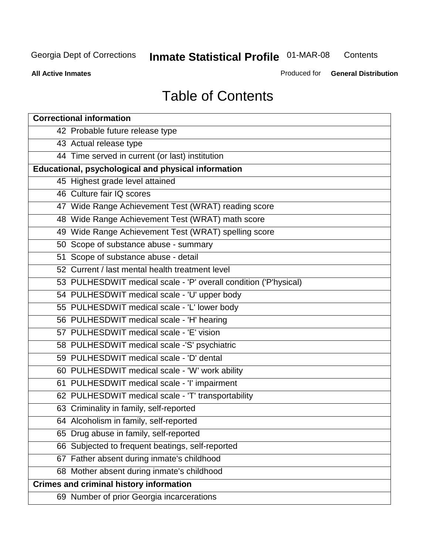**Contents** 

**All Active Inmates**

Produced for **General Distribution**

# Table of Contents

| <b>Correctional information</b>                                  |
|------------------------------------------------------------------|
| 42 Probable future release type                                  |
| 43 Actual release type                                           |
| 44 Time served in current (or last) institution                  |
| Educational, psychological and physical information              |
| 45 Highest grade level attained                                  |
| 46 Culture fair IQ scores                                        |
| 47 Wide Range Achievement Test (WRAT) reading score              |
| 48 Wide Range Achievement Test (WRAT) math score                 |
| 49 Wide Range Achievement Test (WRAT) spelling score             |
| 50 Scope of substance abuse - summary                            |
| 51 Scope of substance abuse - detail                             |
| 52 Current / last mental health treatment level                  |
| 53 PULHESDWIT medical scale - 'P' overall condition ('P'hysical) |
| 54 PULHESDWIT medical scale - 'U' upper body                     |
| 55 PULHESDWIT medical scale - 'L' lower body                     |
| 56 PULHESDWIT medical scale - 'H' hearing                        |
| 57 PULHESDWIT medical scale - 'E' vision                         |
| 58 PULHESDWIT medical scale -'S' psychiatric                     |
| 59 PULHESDWIT medical scale - 'D' dental                         |
| 60 PULHESDWIT medical scale - 'W' work ability                   |
| 61 PULHESDWIT medical scale - 'I' impairment                     |
| 62 PULHESDWIT medical scale - 'T' transportability               |
| 63 Criminality in family, self-reported                          |
| 64 Alcoholism in family, self-reported                           |
| 65 Drug abuse in family, self-reported                           |
| 66 Subjected to frequent beatings, self-reported                 |
| 67 Father absent during inmate's childhood                       |
| 68 Mother absent during inmate's childhood                       |
| <b>Crimes and criminal history information</b>                   |
| 69 Number of prior Georgia incarcerations                        |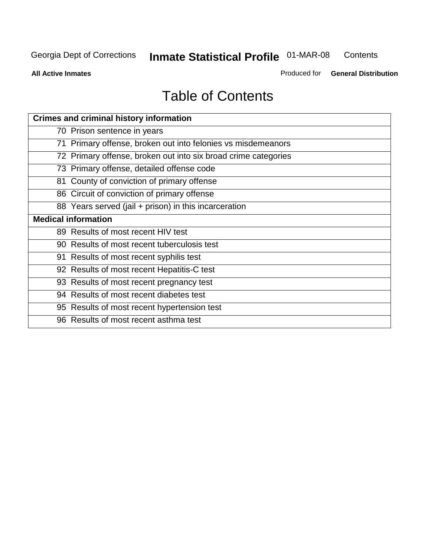**Contents** 

**All Active Inmates**

Produced for **General Distribution**

# Table of Contents

| <b>Crimes and criminal history information</b>                 |
|----------------------------------------------------------------|
| 70 Prison sentence in years                                    |
| 71 Primary offense, broken out into felonies vs misdemeanors   |
| 72 Primary offense, broken out into six broad crime categories |
| 73 Primary offense, detailed offense code                      |
| 81 County of conviction of primary offense                     |
| 86 Circuit of conviction of primary offense                    |
| 88 Years served (jail + prison) in this incarceration          |
| <b>Medical information</b>                                     |
| 89 Results of most recent HIV test                             |
| 90 Results of most recent tuberculosis test                    |
| 91 Results of most recent syphilis test                        |
| 92 Results of most recent Hepatitis-C test                     |
| 93 Results of most recent pregnancy test                       |
| 94 Results of most recent diabetes test                        |
| 95 Results of most recent hypertension test                    |
| 96 Results of most recent asthma test                          |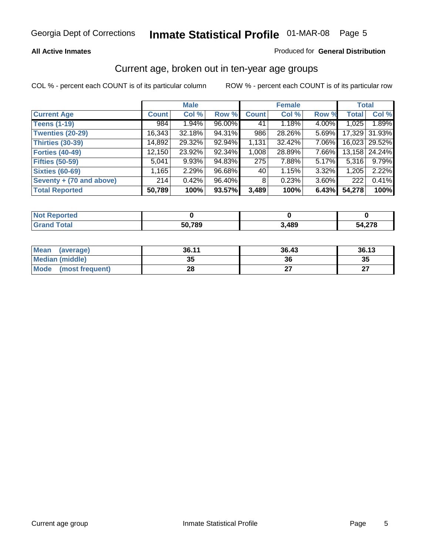#### **All Active Inmates**

#### Produced for **General Distribution**

### Current age, broken out in ten-year age groups

|                          |              | <b>Male</b> |        |                | <b>Female</b> |          | <b>Total</b> |                 |
|--------------------------|--------------|-------------|--------|----------------|---------------|----------|--------------|-----------------|
| <b>Current Age</b>       | <b>Count</b> | Col %       | Row %  | <b>Count</b>   | Col %         | Row %    | <b>Total</b> | Col %           |
| <b>Teens (1-19)</b>      | 984          | $1.94\%$    | 96.00% | 41             | 1.18%         | 4.00%    | 1,025        | 1.89%           |
| <b>Twenties (20-29)</b>  | 16,343       | 32.18%      | 94.31% | 986            | 28.26%        | $5.69\%$ |              | 17,329 31.93%   |
| <b>Thirties (30-39)</b>  | 14,892       | 29.32%      | 92.94% | 1,131          | 32.42%        | 7.06%    |              | 16,023   29.52% |
| <b>Forties (40-49)</b>   | 12,150       | 23.92%      | 92.34% | 1,008          | 28.89%        | 7.66%    |              | 13,158 24.24%   |
| <b>Fifties (50-59)</b>   | 5,041        | 9.93%       | 94.83% | 275            | 7.88%         | $5.17\%$ | 5,316        | 9.79%           |
| <b>Sixties (60-69)</b>   | 1,165        | 2.29%       | 96.68% | 40             | 1.15%         | $3.32\%$ | 1,205        | 2.22%           |
| Seventy + (70 and above) | 214          | 0.42%       | 96.40% | 8 <sup>1</sup> | 0.23%         | $3.60\%$ | 222          | 0.41%           |
| <b>Total Reported</b>    | 50,789       | 100%        | 93.57% | 3,489          | 100%          | 6.43%    | 54,278       | 100%            |

| $^{\prime}$ Not $\cdot$<br>بعدادها المعادل<br>reo |        |      |                    |
|---------------------------------------------------|--------|------|--------------------|
| <b>Total</b>                                      | 50,789 | ,489 | 54 27 <sup>r</sup> |

| <b>Mean</b><br>(average) | 36.11     | 36.43 | 36.13     |
|--------------------------|-----------|-------|-----------|
| Median (middle)          | 25<br>JJ. | 36    | 35        |
| Mode<br>(most frequent)  | ററ<br>20  |       | ^7<br>. . |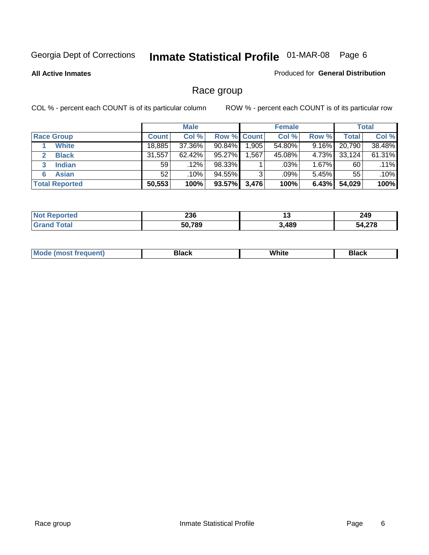**All Active Inmates**

#### Produced for **General Distribution**

### Race group

|                       |              | <b>Male</b> |             |       | <b>Female</b> |          |              | <b>Total</b> |
|-----------------------|--------------|-------------|-------------|-------|---------------|----------|--------------|--------------|
| <b>Race Group</b>     | <b>Count</b> | Col %       | Row % Count |       | Col %         | Row %    | <b>Total</b> | Col %        |
| <b>White</b>          | 18,885       | 37.36%      | 90.84%      | 1,905 | 54.80%        | 9.16%    | 20,790       | 38.48%       |
| <b>Black</b>          | 31,557       | $62.42\%$   | 95.27%      | .567  | 45.08%        | 4.73%    | 33,124       | 61.31%       |
| <b>Indian</b><br>3    | 59           | $.12\%$     | 98.33%      |       | $.03\%$       | 1.67%    | 60           | $.11\%$      |
| <b>Asian</b>          | 52           | $.10\%$     | 94.55%      | 3     | .09%          | $5.45\%$ | 55           | .10%         |
| <b>Total Reported</b> | 50,553       | 100%        | 93.57%      | 3,476 | 100%          | 6.43%    | 54,029       | 100%         |

| 236           | .,  | 249 |
|---------------|-----|-----|
| 50,789<br>้วน | 489 | 070 |

|  | $Mc$ | Black | White<br>$ -$ | 21904<br>DIACK |
|--|------|-------|---------------|----------------|
|--|------|-------|---------------|----------------|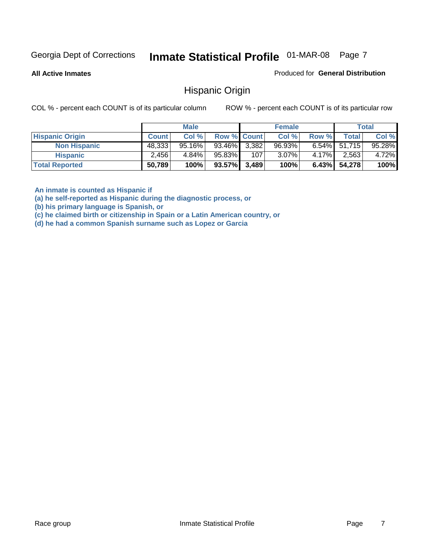**All Active Inmates**

Produced for **General Distribution**

### Hispanic Origin

COL % - percent each COUNT is of its particular column ROW % - percent each COUNT is of its particular row

|                        |              | <b>Male</b> |                    |     | <b>Female</b> |          |                 | <b>Total</b> |
|------------------------|--------------|-------------|--------------------|-----|---------------|----------|-----------------|--------------|
| <b>Hispanic Origin</b> | <b>Count</b> | Col %       | <b>Row % Count</b> |     | Col %         | Row %    | Total           | Col %        |
| <b>Non Hispanic</b>    | 48,333       | $95.16\%$   | 93.46% 3.382       |     | $96.93\%$     |          | $6.54\%$ 51,715 | 95.28%       |
| <b>Hispanic</b>        | 2.456        | 4.84%       | 95.83%             | 107 | $3.07\%$      | $4.17\%$ | 2,563           | 4.72%        |
| <b>Total Reported</b>  | 50,789       | 100%        | $93.57\%$ 3,489    |     | 100%          |          | 6.43% 54,278    | 100%         |

**An inmate is counted as Hispanic if** 

**(a) he self-reported as Hispanic during the diagnostic process, or** 

**(b) his primary language is Spanish, or** 

**(c) he claimed birth or citizenship in Spain or a Latin American country, or** 

**(d) he had a common Spanish surname such as Lopez or Garcia**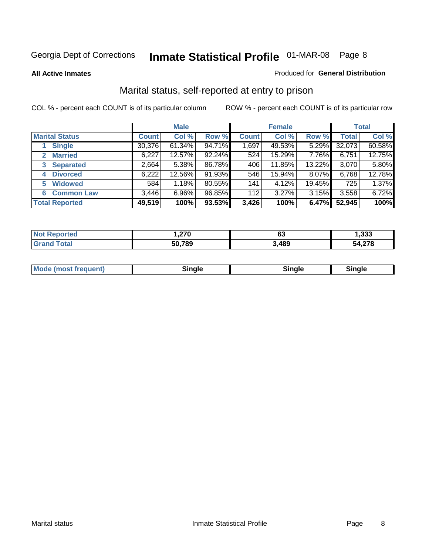#### **All Active Inmates**

#### Produced for **General Distribution**

### Marital status, self-reported at entry to prison

|                                | <b>Male</b>  |           |        | <b>Female</b> |        |          | <b>Total</b> |        |
|--------------------------------|--------------|-----------|--------|---------------|--------|----------|--------------|--------|
| <b>Marital Status</b>          | <b>Count</b> | Col %     | Row %  | <b>Count</b>  | Col %  | Row %    | <b>Total</b> | Col %  |
| <b>Single</b>                  | 30,376       | $61.34\%$ | 94.71% | 1,697         | 49.53% | $5.29\%$ | 32,073       | 60.58% |
| <b>Married</b><br>$\mathbf{2}$ | 6,227        | 12.57%    | 92.24% | 524           | 15.29% | 7.76%    | 6,751        | 12.75% |
| <b>Separated</b><br>3          | 2,664        | 5.38%     | 86.78% | 406           | 11.85% | 13.22%   | 3,070        | 5.80%  |
| <b>Divorced</b><br>4           | 6,222        | 12.56%    | 91.93% | 546           | 15.94% | 8.07%    | 6,768        | 12.78% |
| <b>Widowed</b><br>5            | 584          | 1.18%     | 80.55% | 141           | 4.12%  | 19.45%   | 725          | 1.37%  |
| <b>Common Law</b><br>6         | 3,446        | 6.96%     | 96.85% | 112           | 3.27%  | 3.15%    | 3,558        | 6.72%  |
| <b>Total Reported</b>          | 49,519       | 100%      | 93.53% | 3,426         | 100%   | 6.47%    | 52,945       | 100%   |

|         | 070          | νυ            | ההה<br>.ააა |
|---------|--------------|---------------|-------------|
| _______ | 50,789<br>50 | $A$ QC<br>10J | $\sim$      |

|  | Mode (most f<br>freauent) | `ınale |  | `inale |
|--|---------------------------|--------|--|--------|
|--|---------------------------|--------|--|--------|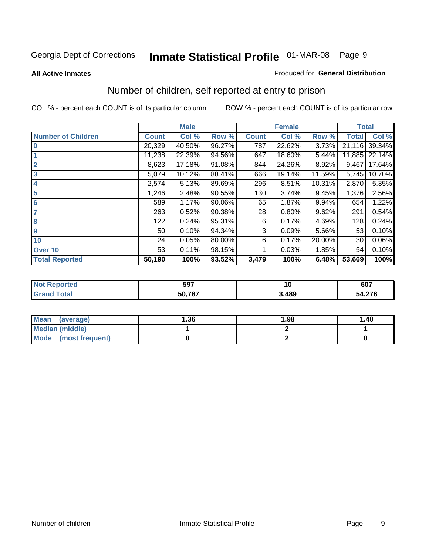#### **All Active Inmates**

#### Produced for **General Distribution**

### Number of children, self reported at entry to prison

|                           |              | <b>Male</b> |        |              | <b>Female</b> |        | <b>Total</b> |        |
|---------------------------|--------------|-------------|--------|--------------|---------------|--------|--------------|--------|
| <b>Number of Children</b> | <b>Count</b> | Col %       | Row %  | <b>Count</b> | Col %         | Row %  | <b>Total</b> | Col %  |
| $\bf{0}$                  | 20,329       | 40.50%      | 96.27% | 787          | 22.62%        | 3.73%  | 21,116       | 39.34% |
|                           | 11,238       | 22.39%      | 94.56% | 647          | 18.60%        | 5.44%  | 11,885       | 22.14% |
| $\overline{2}$            | 8,623        | 17.18%      | 91.08% | 844          | 24.26%        | 8.92%  | 9,467        | 17.64% |
| 3                         | 5,079        | 10.12%      | 88.41% | 666          | 19.14%        | 11.59% | 5,745        | 10.70% |
| 4                         | 2,574        | 5.13%       | 89.69% | 296          | 8.51%         | 10.31% | 2,870        | 5.35%  |
| 5                         | 1,246        | 2.48%       | 90.55% | 130          | 3.74%         | 9.45%  | 1,376        | 2.56%  |
| 6                         | 589          | 1.17%       | 90.06% | 65           | 1.87%         | 9.94%  | 654          | 1.22%  |
| 7                         | 263          | 0.52%       | 90.38% | 28           | 0.80%         | 9.62%  | 291          | 0.54%  |
| 8                         | 122          | 0.24%       | 95.31% | 6            | 0.17%         | 4.69%  | 128          | 0.24%  |
| $\boldsymbol{9}$          | 50           | 0.10%       | 94.34% | 3            | 0.09%         | 5.66%  | 53           | 0.10%  |
| 10                        | 24           | 0.05%       | 80.00% | 6            | 0.17%         | 20.00% | 30           | 0.06%  |
| Over 10                   | 53           | 0.11%       | 98.15% |              | 0.03%         | 1.85%  | 54           | 0.10%  |
| <b>Total Reported</b>     | 50,190       | 100%        | 93.52% | 3,479        | 100%          | 6.48%  | 53,669       | 100%   |

| 597<br>JJI | 1V   | 607        |
|------------|------|------------|
| 50787      | .489 | 27c<br>5Л. |

| <b>Mean</b><br>(average) | 36.، | 1.98 | 1.40 |
|--------------------------|------|------|------|
| <b>Median (middle)</b>   |      |      |      |
| Mode<br>(most frequent)  |      |      |      |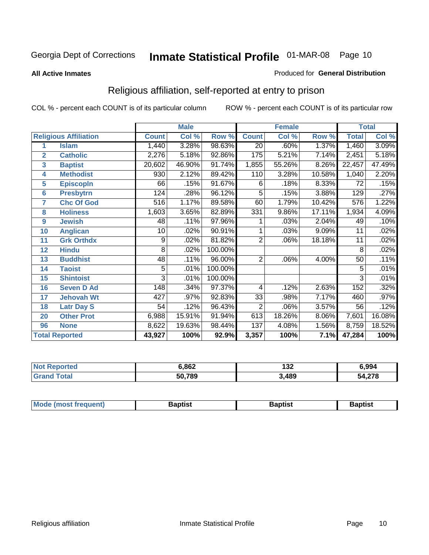#### **All Active Inmates**

#### Produced for **General Distribution**

### Religious affiliation, self-reported at entry to prison

|                  |                              |                | <b>Male</b> |         |                 | <b>Female</b> |        | <b>Total</b>    |        |  |
|------------------|------------------------------|----------------|-------------|---------|-----------------|---------------|--------|-----------------|--------|--|
|                  | <b>Religious Affiliation</b> | <b>Count</b>   | Col %       | Row %   | <b>Count</b>    | Col %         | Row %  | <b>Total</b>    | Col %  |  |
| 1                | <b>Islam</b>                 | 1,440          | 3.28%       | 98.63%  | $\overline{20}$ | .60%          | 1.37%  | 1,460           | 3.09%  |  |
| $\overline{2}$   | <b>Catholic</b>              | 2,276          | 5.18%       | 92.86%  | 175             | 5.21%         | 7.14%  | 2,451           | 5.18%  |  |
| 3                | <b>Baptist</b>               | 20,602         | 46.90%      | 91.74%  | 1,855           | 55.26%        | 8.26%  | 22,457          | 47.49% |  |
| 4                | <b>Methodist</b>             | 930            | 2.12%       | 89.42%  | 110             | 3.28%         | 10.58% | 1,040           | 2.20%  |  |
| 5                | <b>EpiscopIn</b>             | 66             | .15%        | 91.67%  | 6               | .18%          | 8.33%  | 72              | .15%   |  |
| 6                | <b>Presbytrn</b>             | 124            | .28%        | 96.12%  | 5               | .15%          | 3.88%  | 129             | .27%   |  |
| 7                | <b>Chc Of God</b>            | 516            | 1.17%       | 89.58%  | 60              | 1.79%         | 10.42% | 576             | 1.22%  |  |
| 8                | <b>Holiness</b>              | 1,603          | 3.65%       | 82.89%  | 331             | 9.86%         | 17.11% | 1,934           | 4.09%  |  |
| $\boldsymbol{9}$ | <b>Jewish</b>                | 48             | .11%        | 97.96%  |                 | .03%          | 2.04%  | 49              | .10%   |  |
| 10               | <b>Anglican</b>              | 10             | .02%        | 90.91%  |                 | .03%          | 9.09%  | 11              | .02%   |  |
| 11               | <b>Grk Orthdx</b>            | 9              | .02%        | 81.82%  | $\overline{2}$  | .06%          | 18.18% | 11              | .02%   |  |
| 12               | <b>Hindu</b>                 | 8              | .02%        | 100.00% |                 |               |        | 8               | .02%   |  |
| 13               | <b>Buddhist</b>              | 48             | .11%        | 96.00%  | $\overline{2}$  | .06%          | 4.00%  | $\overline{50}$ | .11%   |  |
| 14               | <b>Taoist</b>                | 5              | .01%        | 100.00% |                 |               |        | 5               | .01%   |  |
| 15               | <b>Shintoist</b>             | $\overline{3}$ | .01%        | 100.00% |                 |               |        | 3               | .01%   |  |
| 16               | <b>Seven D Ad</b>            | 148            | .34%        | 97.37%  | 4               | .12%          | 2.63%  | 152             | .32%   |  |
| 17               | <b>Jehovah Wt</b>            | 427            | .97%        | 92.83%  | 33              | .98%          | 7.17%  | 460             | .97%   |  |
| 18               | <b>Latr Day S</b>            | 54             | .12%        | 96.43%  | $\overline{2}$  | .06%          | 3.57%  | 56              | .12%   |  |
| 20               | <b>Other Prot</b>            | 6,988          | 15.91%      | 91.94%  | 613             | 18.26%        | 8.06%  | 7,601           | 16.08% |  |
| 96               | <b>None</b>                  | 8,622          | 19.63%      | 98.44%  | 137             | 4.08%         | 1.56%  | 8,759           | 18.52% |  |
|                  | <b>Total Reported</b>        | 43,927         | 100%        | 92.9%   | 3,357           | 100%          | 7.1%   | 47,284          | 100%   |  |

| rtec | ,862   | n -<br>IJZ | 6.994  |  |
|------|--------|------------|--------|--|
|      | 50,789 | 3,489      | 54,278 |  |

| <b>Mode</b><br>frequent)<br>umost | 3aptist | 3aptist | <b>Baptist</b> |
|-----------------------------------|---------|---------|----------------|
|                                   |         |         |                |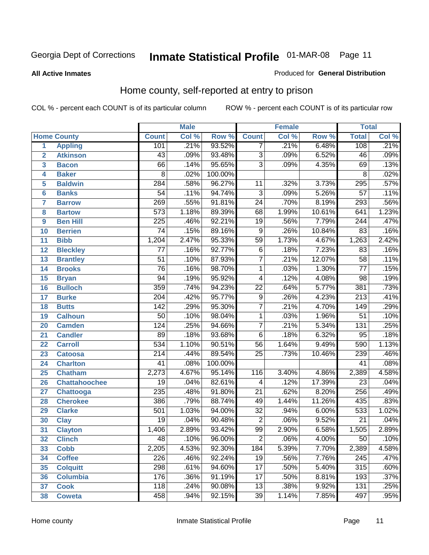**All Active Inmates**

#### Produced for **General Distribution**

### Home county, self-reported at entry to prison

|                 |                      | <b>Male</b>      |       |         |                 | <b>Female</b> |        | <b>Total</b>     |       |  |
|-----------------|----------------------|------------------|-------|---------|-----------------|---------------|--------|------------------|-------|--|
|                 | <b>Home County</b>   | <b>Count</b>     | Col % | Row %   | <b>Count</b>    | Col %         | Row %  | <b>Total</b>     | Col % |  |
| 1               | <b>Appling</b>       | 101              | .21%  | 93.52%  | 7               | .21%          | 6.48%  | 108              | .21%  |  |
| $\overline{2}$  | <b>Atkinson</b>      | $\overline{43}$  | .09%  | 93.48%  | $\overline{3}$  | .09%          | 6.52%  | 46               | .09%  |  |
| 3               | <b>Bacon</b>         | 66               | .14%  | 95.65%  | $\overline{3}$  | .09%          | 4.35%  | 69               | .13%  |  |
| 4               | <b>Baker</b>         | $\overline{8}$   | .02%  | 100.00% |                 |               |        | $\overline{8}$   | .02%  |  |
| 5               | <b>Baldwin</b>       | 284              | .58%  | 96.27%  | 11              | .32%          | 3.73%  | 295              | .57%  |  |
| $6\phantom{a}$  | <b>Banks</b>         | $\overline{54}$  | .11%  | 94.74%  | $\overline{3}$  | .09%          | 5.26%  | $\overline{57}$  | .11%  |  |
| $\overline{7}$  | <b>Barrow</b>        | 269              | .55%  | 91.81%  | $\overline{24}$ | .70%          | 8.19%  | 293              | .56%  |  |
| 8               | <b>Bartow</b>        | $\overline{573}$ | 1.18% | 89.39%  | $\overline{68}$ | 1.99%         | 10.61% | 641              | 1.23% |  |
| 9               | <b>Ben Hill</b>      | $\overline{225}$ | .46%  | 92.21%  | $\overline{19}$ | .56%          | 7.79%  | 244              | .47%  |  |
| 10              | <b>Berrien</b>       | $\overline{74}$  | .15%  | 89.16%  | $\overline{9}$  | .26%          | 10.84% | 83               | .16%  |  |
| 11              | <b>Bibb</b>          | 1,204            | 2.47% | 95.33%  | $\overline{59}$ | 1.73%         | 4.67%  | 1,263            | 2.42% |  |
| 12              | <b>Bleckley</b>      | $\overline{77}$  | .16%  | 92.77%  | $\overline{6}$  | .18%          | 7.23%  | $\overline{83}$  | .16%  |  |
| $\overline{13}$ | <b>Brantley</b>      | $\overline{51}$  | .10%  | 87.93%  | $\overline{7}$  | .21%          | 12.07% | $\overline{58}$  | .11%  |  |
| $\overline{14}$ | <b>Brooks</b>        | $\overline{76}$  | .16%  | 98.70%  | $\overline{1}$  | .03%          | 1.30%  | $\overline{77}$  | .15%  |  |
| 15              | <b>Bryan</b>         | $\overline{94}$  | .19%  | 95.92%  | 4               | .12%          | 4.08%  | $\overline{98}$  | .19%  |  |
| 16              | <b>Bulloch</b>       | 359              | .74%  | 94.23%  | $\overline{22}$ | .64%          | 5.77%  | 381              | .73%  |  |
| $\overline{17}$ | <b>Burke</b>         | $\overline{204}$ | .42%  | 95.77%  | $\overline{9}$  | .26%          | 4.23%  | $\overline{213}$ | .41%  |  |
| 18              | <b>Butts</b>         | $\overline{142}$ | .29%  | 95.30%  | $\overline{7}$  | .21%          | 4.70%  | 149              | .29%  |  |
| 19              | <b>Calhoun</b>       | $\overline{50}$  | .10%  | 98.04%  | $\mathbf{1}$    | .03%          | 1.96%  | $\overline{51}$  | .10%  |  |
| 20              | <b>Camden</b>        | 124              | .25%  | 94.66%  | $\overline{7}$  | .21%          | 5.34%  | 131              | .25%  |  |
| 21              | <b>Candler</b>       | $\overline{89}$  | .18%  | 93.68%  | $\overline{6}$  | .18%          | 6.32%  | $\overline{95}$  | .18%  |  |
| $\overline{22}$ | <b>Carroll</b>       | $\overline{534}$ | 1.10% | 90.51%  | $\overline{56}$ | 1.64%         | 9.49%  | 590              | 1.13% |  |
| 23              | <b>Catoosa</b>       | $\overline{214}$ | .44%  | 89.54%  | $\overline{25}$ | .73%          | 10.46% | 239              | .46%  |  |
| 24              | <b>Charlton</b>      | $\overline{41}$  | .08%  | 100.00% |                 |               |        | $\overline{41}$  | .08%  |  |
| 25              | <b>Chatham</b>       | 2,273            | 4.67% | 95.14%  | 116             | 3.40%         | 4.86%  | 2,389            | 4.58% |  |
| 26              | <b>Chattahoochee</b> | $\overline{19}$  | .04%  | 82.61%  | 4               | .12%          | 17.39% | $\overline{23}$  | .04%  |  |
| 27              | <b>Chattooga</b>     | $\overline{235}$ | .48%  | 91.80%  | $\overline{21}$ | .62%          | 8.20%  | 256              | .49%  |  |
| 28              | <b>Cherokee</b>      | 386              | .79%  | 88.74%  | 49              | 1.44%         | 11.26% | 435              | .83%  |  |
| 29              | <b>Clarke</b>        | 501              | 1.03% | 94.00%  | $\overline{32}$ | .94%          | 6.00%  | 533              | 1.02% |  |
| 30              | <b>Clay</b>          | $\overline{19}$  | .04%  | 90.48%  | $\overline{2}$  | .06%          | 9.52%  | $\overline{21}$  | .04%  |  |
| $\overline{31}$ | <b>Clayton</b>       | 1,406            | 2.89% | 93.42%  | $\overline{99}$ | 2.90%         | 6.58%  | 1,505            | 2.89% |  |
| 32              | <b>Clinch</b>        | 48               | .10%  | 96.00%  | 2               | .06%          | 4.00%  | 50               | .10%  |  |
| 33              | <b>Cobb</b>          | 2,205            | 4.53% | 92.30%  | 184             | 5.39%         | 7.70%  | 2,389            | 4.58% |  |
| 34              | <b>Coffee</b>        | 226              | .46%  | 92.24%  | $\overline{19}$ | .56%          | 7.76%  | $\overline{245}$ | .47%  |  |
| 35              | <b>Colquitt</b>      | 298              | .61%  | 94.60%  | $\overline{17}$ | .50%          | 5.40%  | 315              | .60%  |  |
| 36              | <b>Columbia</b>      | 176              | .36%  | 91.19%  | $\overline{17}$ | .50%          | 8.81%  | 193              | .37%  |  |
| 37              | <b>Cook</b>          | 118              | .24%  | 90.08%  | $\overline{13}$ | .38%          | 9.92%  | 131              | .25%  |  |
| 38              | <b>Coweta</b>        | 458              | .94%  | 92.15%  | $\overline{39}$ | 1.14%         | 7.85%  | 497              | .95%  |  |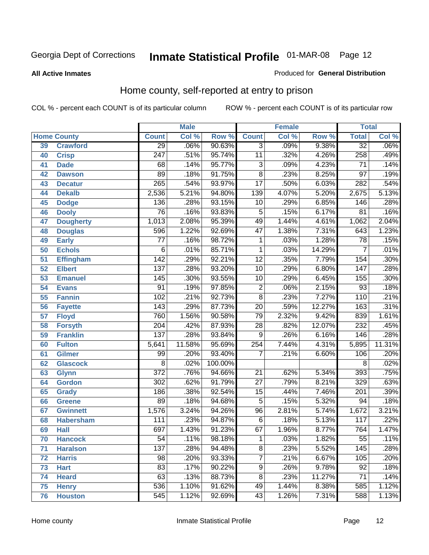#### **All Active Inmates**

#### Produced for **General Distribution**

### Home county, self-reported at entry to prison

|                 |                    | <b>Male</b>      |        |         |                 | <b>Female</b> |          | <b>Total</b>     |        |  |
|-----------------|--------------------|------------------|--------|---------|-----------------|---------------|----------|------------------|--------|--|
|                 | <b>Home County</b> | <b>Count</b>     | Col %  | Row %   | <b>Count</b>    | Col %         | Row %    | <b>Total</b>     | Col %  |  |
| 39              | <b>Crawford</b>    | $\overline{29}$  | .06%   | 90.63%  | $\overline{3}$  | .09%          | 9.38%    | $\overline{32}$  | .06%   |  |
| 40              | <b>Crisp</b>       | $\overline{247}$ | .51%   | 95.74%  | $\overline{11}$ | .32%          | 4.26%    | 258              | .49%   |  |
| 41              | <b>Dade</b>        | 68               | .14%   | 95.77%  | $\overline{3}$  | .09%          | 4.23%    | $\overline{71}$  | .14%   |  |
| 42              | <b>Dawson</b>      | 89               | .18%   | 91.75%  | $\overline{8}$  | .23%          | 8.25%    | $\overline{97}$  | .19%   |  |
| 43              | <b>Decatur</b>     | $\overline{265}$ | .54%   | 93.97%  | $\overline{17}$ | .50%          | 6.03%    | 282              | .54%   |  |
| 44              | <b>Dekalb</b>      | 2,536            | 5.21%  | 94.80%  | 139             | 4.07%         | 5.20%    | 2,675            | 5.13%  |  |
| 45              | <b>Dodge</b>       | 136              | .28%   | 93.15%  | $\overline{10}$ | .29%          | 6.85%    | 146              | .28%   |  |
| 46              | <b>Dooly</b>       | $\overline{76}$  | .16%   | 93.83%  | 5               | .15%          | 6.17%    | $\overline{81}$  | .16%   |  |
| 47              | <b>Dougherty</b>   | 1,013            | 2.08%  | 95.39%  | 49              | 1.44%         | 4.61%    | 1,062            | 2.04%  |  |
| 48              | <b>Douglas</b>     | 596              | 1.22%  | 92.69%  | $\overline{47}$ | 1.38%         | 7.31%    | 643              | 1.23%  |  |
| 49              | <b>Early</b>       | $\overline{77}$  | .16%   | 98.72%  | 1               | .03%          | 1.28%    | 78               | .15%   |  |
| 50              | <b>Echols</b>      | 6                | .01%   | 85.71%  | $\mathbf{1}$    | .03%          | 14.29%   | $\overline{7}$   | .01%   |  |
| $\overline{51}$ | Effingham          | $\overline{142}$ | .29%   | 92.21%  | $\overline{12}$ | .35%          | 7.79%    | 154              | .30%   |  |
| 52              | <b>Elbert</b>      | 137              | .28%   | 93.20%  | $\overline{10}$ | .29%          | 6.80%    | $\overline{147}$ | .28%   |  |
| 53              | <b>Emanuel</b>     | 145              | .30%   | 93.55%  | $\overline{10}$ | .29%          | 6.45%    | 155              | .30%   |  |
| 54              | <b>Evans</b>       | $\overline{91}$  | .19%   | 97.85%  | $\overline{2}$  | .06%          | 2.15%    | $\overline{93}$  | .18%   |  |
| 55              | <b>Fannin</b>      | 102              | .21%   | 92.73%  | $\overline{8}$  | .23%          | 7.27%    | 110              | .21%   |  |
| 56              | <b>Fayette</b>     | 143              | .29%   | 87.73%  | $\overline{20}$ | .59%          | 12.27%   | 163              | .31%   |  |
| 57              | <b>Floyd</b>       | 760              | 1.56%  | 90.58%  | $\overline{79}$ | 2.32%         | 9.42%    | 839              | 1.61%  |  |
| 58              | <b>Forsyth</b>     | $\overline{204}$ | .42%   | 87.93%  | $\overline{28}$ | .82%          | 12.07%   | 232              | .45%   |  |
| 59              | <b>Franklin</b>    | 137              | .28%   | 93.84%  | $\overline{9}$  | .26%          | 6.16%    | 146              | .28%   |  |
| 60              | <b>Fulton</b>      | 5,641            | 11.58% | 95.69%  | 254             | 7.44%         | 4.31%    | 5,895            | 11.31% |  |
| 61              | Gilmer             | 99               | .20%   | 93.40%  | 7               | .21%          | 6.60%    | 106              | .20%   |  |
| 62              | <b>Glascock</b>    | $\overline{8}$   | .02%   | 100.00% |                 |               |          | $\overline{8}$   | .02%   |  |
| 63              | <b>Glynn</b>       | $\overline{372}$ | .76%   | 94.66%  | $\overline{21}$ | .62%          | 5.34%    | 393              | .75%   |  |
| 64              | <b>Gordon</b>      | $\overline{302}$ | .62%   | 91.79%  | $\overline{27}$ | .79%          | 8.21%    | 329              | .63%   |  |
| 65              | <b>Grady</b>       | 186              | .38%   | 92.54%  | $\overline{15}$ | .44%          | 7.46%    | $\overline{201}$ | .39%   |  |
| 66              | <b>Greene</b>      | $\overline{89}$  | .18%   | 94.68%  | $\overline{5}$  | .15%          | 5.32%    | $\overline{94}$  | .18%   |  |
| 67              | <b>Gwinnett</b>    | 1,576            | 3.24%  | 94.26%  | $\overline{96}$ | 2.81%         | 5.74%    | 1,672            | 3.21%  |  |
| 68              | <b>Habersham</b>   | 111              | .23%   | 94.87%  | 6               | .18%          | 5.13%    | 117              | .22%   |  |
| 69              | <b>Hall</b>        | 697              | 1.43%  | 91.23%  | 67              | 1.96%         | 8.77%    | 764              | 1.47%  |  |
| 70              | <b>Hancock</b>     | 54               | .11%   | 98.18%  | 1               | .03%          | $1.82\%$ | 55               | .11%   |  |
| 71              | <b>Haralson</b>    | 137              | .28%   | 94.48%  | $\overline{8}$  | .23%          | 5.52%    | 145              | .28%   |  |
| 72              | <b>Harris</b>      | $\overline{98}$  | .20%   | 93.33%  | $\overline{7}$  | .21%          | 6.67%    | 105              | .20%   |  |
| 73              | <b>Hart</b>        | $\overline{83}$  | .17%   | 90.22%  | $\overline{9}$  | .26%          | 9.78%    | $\overline{92}$  | .18%   |  |
| 74              | <b>Heard</b>       | 63               | .13%   | 88.73%  | $\overline{8}$  | .23%          | 11.27%   | 71               | .14%   |  |
| 75              | <b>Henry</b>       | 536              | 1.10%  | 91.62%  | 49              | 1.44%         | 8.38%    | 585              | 1.12%  |  |
| 76              | <b>Houston</b>     | 545              | 1.12%  | 92.69%  | $\overline{43}$ | 1.26%         | 7.31%    | 588              | 1.13%  |  |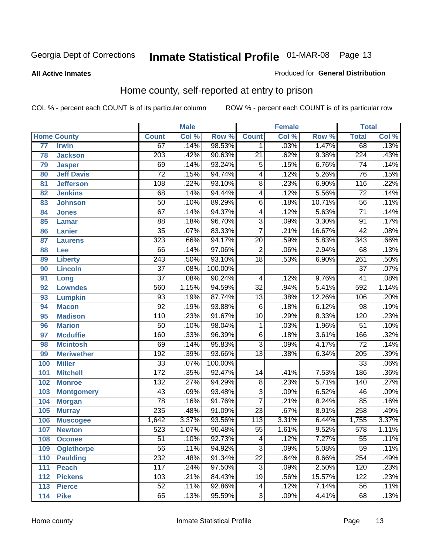#### **All Active Inmates**

#### Produced for **General Distribution**

### Home county, self-reported at entry to prison

|                 |                    |                  | <b>Male</b> |         |                           | <b>Female</b> |        | <b>Total</b>     |                            |  |
|-----------------|--------------------|------------------|-------------|---------|---------------------------|---------------|--------|------------------|----------------------------|--|
|                 | <b>Home County</b> | <b>Count</b>     | Col %       | Row %   | <b>Count</b>              | Col %         | Row %  | <b>Total</b>     | $\overline{\text{Col }\%}$ |  |
| $\overline{77}$ | <b>Irwin</b>       | 67               | .14%        | 98.53%  | 1                         | .03%          | 1.47%  | 68               | .13%                       |  |
| 78              | <b>Jackson</b>     | $\overline{203}$ | .42%        | 90.63%  | $\overline{21}$           | .62%          | 9.38%  | $\overline{224}$ | .43%                       |  |
| 79              | <b>Jasper</b>      | 69               | .14%        | 93.24%  | 5                         | .15%          | 6.76%  | $\overline{74}$  | .14%                       |  |
| 80              | <b>Jeff Davis</b>  | $\overline{72}$  | .15%        | 94.74%  | $\overline{4}$            | .12%          | 5.26%  | $\overline{76}$  | .15%                       |  |
| 81              | <b>Jefferson</b>   | 108              | .22%        | 93.10%  | $\overline{8}$            | .23%          | 6.90%  | 116              | .22%                       |  |
| 82              | <b>Jenkins</b>     | 68               | .14%        | 94.44%  | $\overline{4}$            | .12%          | 5.56%  | $\overline{72}$  | .14%                       |  |
| 83              | <b>Johnson</b>     | $\overline{50}$  | .10%        | 89.29%  | $\overline{6}$            | .18%          | 10.71% | $\overline{56}$  | .11%                       |  |
| 84              | <b>Jones</b>       | $\overline{67}$  | .14%        | 94.37%  | $\overline{4}$            | .12%          | 5.63%  | $\overline{71}$  | .14%                       |  |
| 85              | <b>Lamar</b>       | $\overline{88}$  | .18%        | 96.70%  | $\overline{3}$            | .09%          | 3.30%  | $\overline{91}$  | .17%                       |  |
| 86              | <b>Lanier</b>      | $\overline{35}$  | .07%        | 83.33%  | $\overline{7}$            | .21%          | 16.67% | $\overline{42}$  | .08%                       |  |
| 87              | <b>Laurens</b>     | $\overline{323}$ | .66%        | 94.17%  | $\overline{20}$           | .59%          | 5.83%  | $\overline{343}$ | .66%                       |  |
| 88              | Lee                | $\overline{66}$  | .14%        | 97.06%  | $\overline{2}$            | .06%          | 2.94%  | 68               | .13%                       |  |
| 89              | <b>Liberty</b>     | $\overline{243}$ | .50%        | 93.10%  | $\overline{18}$           | .53%          | 6.90%  | $\overline{261}$ | .50%                       |  |
| 90              | <b>Lincoln</b>     | $\overline{37}$  | .08%        | 100.00% |                           |               |        | $\overline{37}$  | .07%                       |  |
| 91              | Long               | $\overline{37}$  | .08%        | 90.24%  | $\overline{4}$            | .12%          | 9.76%  | $\overline{41}$  | .08%                       |  |
| 92              | <b>Lowndes</b>     | 560              | 1.15%       | 94.59%  | $\overline{32}$           | .94%          | 5.41%  | 592              | 1.14%                      |  |
| 93              | <b>Lumpkin</b>     | $\overline{93}$  | .19%        | 87.74%  | $\overline{13}$           | .38%          | 12.26% | 106              | .20%                       |  |
| 94              | <b>Macon</b>       | $\overline{92}$  | .19%        | 93.88%  | $\overline{6}$            | .18%          | 6.12%  | $\overline{98}$  | .19%                       |  |
| 95              | <b>Madison</b>     | 110              | .23%        | 91.67%  | $\overline{10}$           | .29%          | 8.33%  | 120              | .23%                       |  |
| 96              | <b>Marion</b>      | $\overline{50}$  | .10%        | 98.04%  | 1                         | .03%          | 1.96%  | $\overline{51}$  | .10%                       |  |
| 97              | <b>Mcduffie</b>    | 160              | .33%        | 96.39%  | $\overline{6}$            | .18%          | 3.61%  | 166              | .32%                       |  |
| 98              | <b>Mcintosh</b>    | $\overline{69}$  | .14%        | 95.83%  | $\overline{\overline{3}}$ | .09%          | 4.17%  | $\overline{72}$  | .14%                       |  |
| 99              | <b>Meriwether</b>  | 192              | .39%        | 93.66%  | $\overline{13}$           | .38%          | 6.34%  | $\overline{205}$ | .39%                       |  |
| 100             | <b>Miller</b>      | $\overline{33}$  | .07%        | 100.00% |                           |               |        | $\overline{33}$  | .06%                       |  |
| 101             | <b>Mitchell</b>    | 172              | .35%        | 92.47%  | $\overline{14}$           | .41%          | 7.53%  | 186              | .36%                       |  |
| 102             | <b>Monroe</b>      | $\overline{132}$ | .27%        | 94.29%  | $\overline{8}$            | .23%          | 5.71%  | 140              | .27%                       |  |
| 103             | <b>Montgomery</b>  | 43               | .09%        | 93.48%  | $\overline{3}$            | .09%          | 6.52%  | 46               | .09%                       |  |
| 104             | <b>Morgan</b>      | $\overline{78}$  | .16%        | 91.76%  | $\overline{7}$            | .21%          | 8.24%  | 85               | .16%                       |  |
| 105             | <b>Murray</b>      | 235              | .48%        | 91.09%  | $\overline{23}$           | .67%          | 8.91%  | 258              | .49%                       |  |
| 106             | <b>Muscogee</b>    | 1,642            | 3.37%       | 93.56%  | $\overline{113}$          | 3.31%         | 6.44%  | 1,755            | 3.37%                      |  |
| 107             | <b>Newton</b>      | 523              | 1.07%       | 90.48%  | $\overline{55}$           | 1.61%         | 9.52%  | 578              | 1.11%                      |  |
| 108             | <b>Oconee</b>      | 51               | .10%        | 92.73%  | 4                         | .12%          | 7.27%  | 55               | .11%                       |  |
| 109             | <b>Oglethorpe</b>  | $\overline{56}$  | .11%        | 94.92%  | $\overline{\mathbf{3}}$   | .09%          | 5.08%  | $\overline{59}$  | .11%                       |  |
| 110             | <b>Paulding</b>    | 232              | .48%        | 91.34%  | $\overline{22}$           | .64%          | 8.66%  | 254              | .49%                       |  |
| 111             | <b>Peach</b>       | 117              | .24%        | 97.50%  | $\overline{3}$            | .09%          | 2.50%  | 120              | .23%                       |  |
| 112             | <b>Pickens</b>     | 103              | .21%        | 84.43%  | $\overline{19}$           | .56%          | 15.57% | 122              | .23%                       |  |
| 113             | <b>Pierce</b>      | $\overline{52}$  | .11%        | 92.86%  | 4                         | .12%          | 7.14%  | 56               | .11%                       |  |
| 114             | <b>Pike</b>        | 65               | .13%        | 95.59%  | $\overline{3}$            | .09%          | 4.41%  | 68               | .13%                       |  |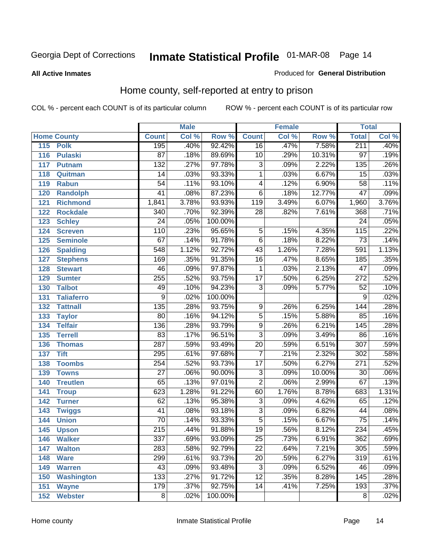#### **All Active Inmates**

#### Produced for **General Distribution**

### Home county, self-reported at entry to prison

|     |                    |                  | <b>Male</b> |         |                  | <b>Female</b> |        | <b>Total</b>     |       |  |
|-----|--------------------|------------------|-------------|---------|------------------|---------------|--------|------------------|-------|--|
|     | <b>Home County</b> | <b>Count</b>     | Col %       | Row %   | <b>Count</b>     | Col %         | Row %  | <b>Total</b>     | Col % |  |
| 115 | <b>Polk</b>        | 195              | .40%        | 92.42%  | $\overline{16}$  | .47%          | 7.58%  | 211              | .40%  |  |
| 116 | <b>Pulaski</b>     | $\overline{87}$  | .18%        | 89.69%  | $\overline{10}$  | .29%          | 10.31% | $\overline{97}$  | .19%  |  |
| 117 | <b>Putnam</b>      | $\overline{132}$ | .27%        | 97.78%  | $\overline{3}$   | .09%          | 2.22%  | $\overline{135}$ | .26%  |  |
| 118 | Quitman            | $\overline{14}$  | .03%        | 93.33%  | $\overline{1}$   | .03%          | 6.67%  | $\overline{15}$  | .03%  |  |
| 119 | <b>Rabun</b>       | $\overline{54}$  | .11%        | 93.10%  | 4                | .12%          | 6.90%  | $\overline{58}$  | .11%  |  |
| 120 | <b>Randolph</b>    | $\overline{41}$  | .08%        | 87.23%  | $\overline{6}$   | .18%          | 12.77% | $\overline{47}$  | .09%  |  |
| 121 | <b>Richmond</b>    | 1,841            | 3.78%       | 93.93%  | $\overline{119}$ | 3.49%         | 6.07%  | 1,960            | 3.76% |  |
| 122 | <b>Rockdale</b>    | $\overline{340}$ | .70%        | 92.39%  | 28               | .82%          | 7.61%  | 368              | .71%  |  |
| 123 | <b>Schley</b>      | $\overline{24}$  | .05%        | 100.00% |                  |               |        | $\overline{24}$  | .05%  |  |
| 124 | <b>Screven</b>     | 110              | .23%        | 95.65%  | 5                | .15%          | 4.35%  | 115              | .22%  |  |
| 125 | <b>Seminole</b>    | 67               | .14%        | 91.78%  | $\overline{6}$   | .18%          | 8.22%  | 73               | .14%  |  |
| 126 | <b>Spalding</b>    | 548              | 1.12%       | 92.72%  | 43               | 1.26%         | 7.28%  | 591              | 1.13% |  |
| 127 | <b>Stephens</b>    | 169              | .35%        | 91.35%  | $\overline{16}$  | .47%          | 8.65%  | 185              | .35%  |  |
| 128 | <b>Stewart</b>     | $\overline{46}$  | .09%        | 97.87%  | 1                | .03%          | 2.13%  | $\overline{47}$  | .09%  |  |
| 129 | <b>Sumter</b>      | 255              | .52%        | 93.75%  | $\overline{17}$  | .50%          | 6.25%  | $\overline{272}$ | .52%  |  |
| 130 | <b>Talbot</b>      | 49               | .10%        | 94.23%  | $\overline{3}$   | .09%          | 5.77%  | $\overline{52}$  | .10%  |  |
| 131 | <b>Taliaferro</b>  | 9                | .02%        | 100.00% |                  |               |        | 9                | .02%  |  |
| 132 | <b>Tattnall</b>    | $\overline{135}$ | .28%        | 93.75%  | 9                | .26%          | 6.25%  | 144              | .28%  |  |
| 133 | <b>Taylor</b>      | 80               | .16%        | 94.12%  | $\overline{5}$   | .15%          | 5.88%  | 85               | .16%  |  |
| 134 | <b>Telfair</b>     | 136              | .28%        | 93.79%  | $\overline{9}$   | .26%          | 6.21%  | 145              | .28%  |  |
| 135 | <b>Terrell</b>     | $\overline{83}$  | .17%        | 96.51%  | $\overline{3}$   | .09%          | 3.49%  | 86               | .16%  |  |
| 136 | <b>Thomas</b>      | $\overline{287}$ | .59%        | 93.49%  | $\overline{20}$  | .59%          | 6.51%  | $\overline{307}$ | .59%  |  |
| 137 | <b>Tift</b>        | 295              | .61%        | 97.68%  | $\overline{7}$   | .21%          | 2.32%  | $\overline{302}$ | .58%  |  |
| 138 | <b>Toombs</b>      | 254              | .52%        | 93.73%  | $\overline{17}$  | .50%          | 6.27%  | $\overline{271}$ | .52%  |  |
| 139 | <b>Towns</b>       | $\overline{27}$  | .06%        | 90.00%  | $\overline{3}$   | .09%          | 10.00% | 30               | .06%  |  |
| 140 | <b>Treutlen</b>    | 65               | .13%        | 97.01%  | $\overline{2}$   | .06%          | 2.99%  | 67               | .13%  |  |
| 141 | <b>Troup</b>       | 623              | 1.28%       | 91.22%  | 60               | 1.76%         | 8.78%  | 683              | 1.31% |  |
| 142 | <b>Turner</b>      | $\overline{62}$  | .13%        | 95.38%  | $\overline{3}$   | .09%          | 4.62%  | 65               | .12%  |  |
| 143 | <b>Twiggs</b>      | $\overline{41}$  | .08%        | 93.18%  | $\overline{3}$   | .09%          | 6.82%  | 44               | .08%  |  |
| 144 | <b>Union</b>       | $\overline{70}$  | .14%        | 93.33%  | $\overline{5}$   | .15%          | 6.67%  | $\overline{75}$  | .14%  |  |
| 145 | <b>Upson</b>       | $\overline{215}$ | .44%        | 91.88%  | $\overline{19}$  | .56%          | 8.12%  | 234              | .45%  |  |
| 146 | <b>Walker</b>      | 337              | .69%        | 93.09%  | $\overline{25}$  | .73%          | 6.91%  | 362              | .69%  |  |
| 147 | <b>Walton</b>      | 283              | .58%        | 92.79%  | $\overline{22}$  | .64%          | 7.21%  | 305              | .59%  |  |
| 148 | <b>Ware</b>        | 299              | .61%        | 93.73%  | $\overline{20}$  | .59%          | 6.27%  | 319              | .61%  |  |
| 149 | <b>Warren</b>      | 43               | .09%        | 93.48%  | $\overline{3}$   | .09%          | 6.52%  | 46               | .09%  |  |
| 150 | <b>Washington</b>  | 133              | .27%        | 91.72%  | $\overline{12}$  | .35%          | 8.28%  | 145              | .28%  |  |
| 151 | <b>Wayne</b>       | 179              | .37%        | 92.75%  | $\overline{14}$  | .41%          | 7.25%  | 193              | .37%  |  |
| 152 | <b>Webster</b>     | $\overline{8}$   | .02%        | 100.00% |                  |               |        | 8                | .02%  |  |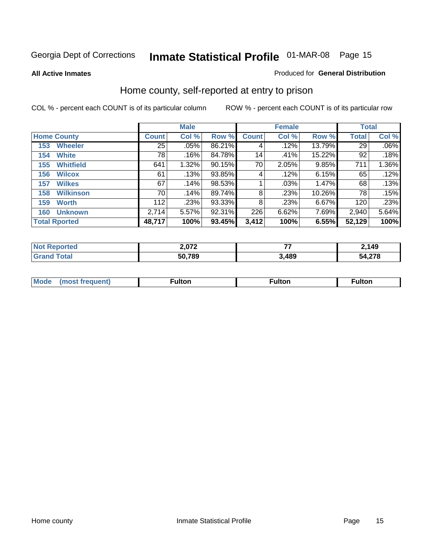**All Active Inmates**

#### Produced for **General Distribution**

### Home county, self-reported at entry to prison

|                      |                  |              | <b>Male</b> |        |              | <b>Female</b> | <b>Total</b> |              |         |
|----------------------|------------------|--------------|-------------|--------|--------------|---------------|--------------|--------------|---------|
| <b>Home County</b>   |                  | <b>Count</b> | Col %       | Row %  | <b>Count</b> | Col %         | Row %        | <b>Total</b> | Col %   |
| 153                  | <b>Wheeler</b>   | 25           | .05%        | 86.21% | 4            | .12%          | 13.79%       | 29           | $.06\%$ |
| 154                  | <b>White</b>     | 78           | .16%        | 84.78% | 14           | .41%          | 15.22%       | 92           | .18%    |
| 155                  | <b>Whitfield</b> | 641          | 1.32%       | 90.15% | 70           | 2.05%         | 9.85%        | 711          | 1.36%   |
| 156                  | <b>Wilcox</b>    | 61           | .13%        | 93.85% | 4            | .12%          | 6.15%        | 65           | .12%    |
| 157                  | <b>Wilkes</b>    | 67           | .14%        | 98.53% |              | .03%          | 1.47%        | 68           | .13%    |
| 158                  | <b>Wilkinson</b> | 70           | .14%        | 89.74% | 8            | .23%          | 10.26%       | 78           | .15%    |
| 159                  | <b>Worth</b>     | 112          | .23%        | 93.33% | 8            | .23%          | 6.67%        | 120          | .23%    |
| 160                  | <b>Unknown</b>   | 2,714        | 5.57%       | 92.31% | 226          | 6.62%         | 7.69%        | 2,940        | 5.64%   |
| <b>Total Rported</b> |                  | 48,717       | 100%        | 93.45% | 3,412        | 100%          | 6.55%        | 52,129       | 100%    |

| oorted<br>NO: | 2 ר7ס  | --   | 2,149           |
|---------------|--------|------|-----------------|
| otal<br>. Gr  | 50,789 | ,489 | 1.270<br>34.Z18 |

| <b>Mode</b> | ---<br>.tor | <b>ulton</b> | . |
|-------------|-------------|--------------|---|
|             |             |              |   |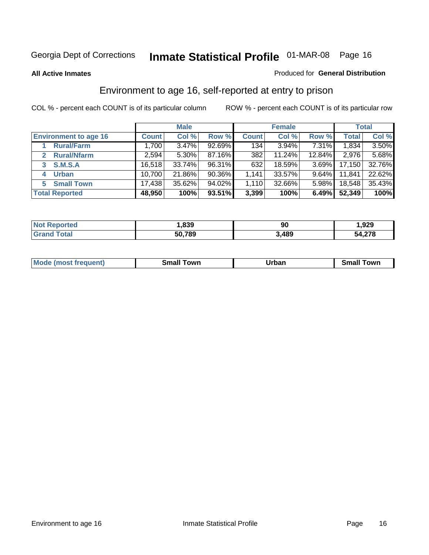#### **All Active Inmates**

#### Produced for **General Distribution**

### Environment to age 16, self-reported at entry to prison

|                              | <b>Male</b>  |        |           | <b>Female</b> |           |          | <b>Total</b> |          |
|------------------------------|--------------|--------|-----------|---------------|-----------|----------|--------------|----------|
| <b>Environment to age 16</b> | <b>Count</b> | Col %  | Row %     | <b>Count</b>  | Col %     | Row %    | <b>Total</b> | Col %    |
| <b>Rural/Farm</b>            | 1,700        | 3.47%  | $92.69\%$ | 134           | $3.94\%$  | 7.31%    | 1,834        | $3.50\%$ |
| <b>Rural/Nfarm</b>           | 2,594        | 5.30%  | 87.16%    | 382           | $11.24\%$ | 12.84%   | 2,976        | 5.68%    |
| <b>S.M.S.A</b><br>3          | 16,518       | 33.74% | 96.31%    | 632           | 18.59%    | $3.69\%$ | 17,150       | 32.76%   |
| <b>Urban</b><br>4            | 10,700       | 21.86% | 90.36%    | 1,141         | 33.57%    | $9.64\%$ | 11,841       | 22.62%   |
| <b>Small Town</b><br>5.      | 17,438       | 35.62% | 94.02%    | 1,110         | 32.66%    | $5.98\%$ | 18,548       | 35.43%   |
| <b>Total Reported</b>        | 48,950       | 100%   | 93.51%    | 3,399         | 100%      | 6.49%    | 52,349       | 100%     |

| Reported<br>' N∩t∶ | .839   | 90   | ,929         |
|--------------------|--------|------|--------------|
| ™otal              | 50,789 | 489, | 54,278<br>54 |

| Mo<br>. . | . owr | <u>'''' ''</u><br>roa<br>_____ | .0W <sub>r</sub> |
|-----------|-------|--------------------------------|------------------|
|           |       |                                |                  |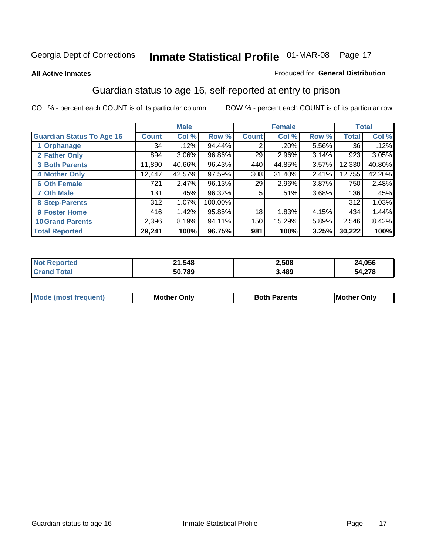#### **All Active Inmates**

#### Produced for **General Distribution**

### Guardian status to age 16, self-reported at entry to prison

|                                  |              | <b>Male</b> |         |              | <b>Female</b> |       |        | <b>Total</b> |
|----------------------------------|--------------|-------------|---------|--------------|---------------|-------|--------|--------------|
| <b>Guardian Status To Age 16</b> | <b>Count</b> | Col %       | Row %   | <b>Count</b> | Col %         | Row % | Total  | Col %        |
| 1 Orphanage                      | 34           | .12%        | 94.44%  | 2            | $.20\%$       | 5.56% | 36     | .12%         |
| 2 Father Only                    | 894          | 3.06%       | 96.86%  | 29           | 2.96%         | 3.14% | 923    | 3.05%        |
| <b>3 Both Parents</b>            | 11,890       | 40.66%      | 96.43%  | 440          | 44.85%        | 3.57% | 12,330 | 40.80%       |
| <b>4 Mother Only</b>             | 12,447       | 42.57%      | 97.59%  | 308          | 31.40%        | 2.41% | 12,755 | 42.20%       |
| <b>6 Oth Female</b>              | 721          | 2.47%       | 96.13%  | 29           | 2.96%         | 3.87% | 750    | 2.48%        |
| <b>7 Oth Male</b>                | 131          | .45%        | 96.32%  | 5            | .51%          | 3.68% | 136    | .45%         |
| 8 Step-Parents                   | 312          | 1.07%       | 100.00% |              |               |       | 312    | 1.03%        |
| 9 Foster Home                    | 416          | 1.42%       | 95.85%  | 18           | 1.83%         | 4.15% | 434    | 1.44%        |
| <b>10 Grand Parents</b>          | 2,396        | 8.19%       | 94.11%  | 150          | 15.29%        | 5.89% | 2,546  | 8.42%        |
| <b>Total Reported</b>            | 29,241       | 100%        | 96.75%  | 981          | 100%          | 3.25% | 30,222 | 100%         |

| NO  | 21,548<br>-- | 2,508 | ,056   |
|-----|--------------|-------|--------|
| Gr. | 50,789       | 3,489 | 54,278 |

| <b>Mode</b><br><i><b>IMOST</b></i> | Dnlv<br>MΩ | 'arents | IMo<br>)nlv |
|------------------------------------|------------|---------|-------------|
|                                    |            |         |             |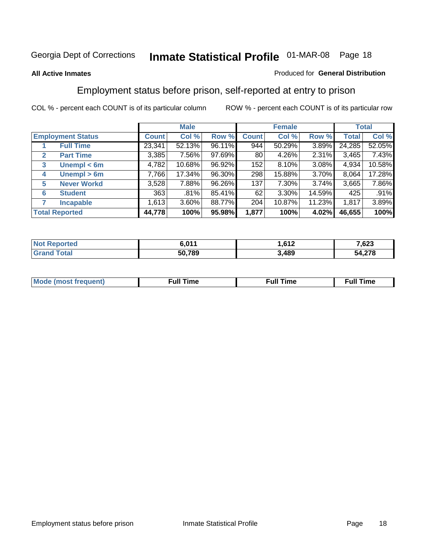#### **All Active Inmates**

#### Produced for **General Distribution**

### Employment status before prison, self-reported at entry to prison

|                                  |              | <b>Male</b> |        |              | <b>Female</b> |        |        | <b>Total</b> |
|----------------------------------|--------------|-------------|--------|--------------|---------------|--------|--------|--------------|
| <b>Employment Status</b>         | <b>Count</b> | Col %       | Row %  | <b>Count</b> | Col %         | Row %  | Total  | Col %        |
| <b>Full Time</b>                 | 23,341       | 52.13%      | 96.11% | 944          | 50.29%        | 3.89%  | 24,285 | 52.05%       |
| <b>Part Time</b><br>$\mathbf{2}$ | 3,385        | 7.56%       | 97.69% | 80           | 4.26%         | 2.31%  | 3,465  | 7.43%        |
| Unempl $<$ 6m<br>3               | 4,782        | 10.68%      | 96.92% | 152          | 8.10%         | 3.08%  | 4,934  | 10.58%       |
| Unempl > 6m<br>4                 | 7,766        | 17.34%      | 96.30% | 298          | 15.88%        | 3.70%  | 8,064  | 17.28%       |
| <b>Never Workd</b><br>5          | 3,528        | 7.88%       | 96.26% | 137          | 7.30%         | 3.74%  | 3,665  | 7.86%        |
| <b>Student</b><br>6              | 363          | .81%        | 85.41% | 62           | $3.30\%$      | 14.59% | 425    | .91%         |
| 7<br><b>Incapable</b>            | 1,613        | 3.60%       | 88.77% | 204          | 10.87%        | 11.23% | 1,817  | 3.89%        |
| <b>Total Reported</b>            | 44,778       | 100%        | 95.98% | 1,877        | 100%          | 4.02%  | 46,655 | 100%         |

| n e o | C 011<br>, u | $\sim$<br>.<br>14 | 7,623      |
|-------|--------------|-------------------|------------|
| . Gro | 50,789       | ,489              | .27c<br>54 |

| Mo | 'me<br>uн<br>the contract of the contract of the contract of the contract of the contract of the contract of the contract of the contract of the contract of the contract of the contract of the contract of the contract of the contract o | ïme<br>uı.<br>the contract of the contract of the contract of the contract of the contract of the contract of the contract of |
|----|---------------------------------------------------------------------------------------------------------------------------------------------------------------------------------------------------------------------------------------------|-------------------------------------------------------------------------------------------------------------------------------|
|    |                                                                                                                                                                                                                                             |                                                                                                                               |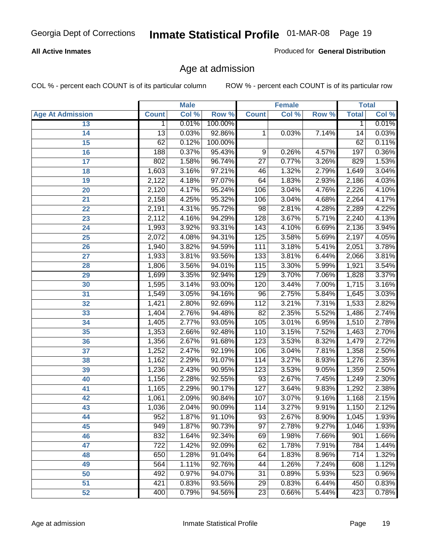#### **All Active Inmates**

Produced for **General Distribution**

### Age at admission

|                         |                 | <b>Male</b> |         |                  | <b>Female</b> |       |              | <b>Total</b> |
|-------------------------|-----------------|-------------|---------|------------------|---------------|-------|--------------|--------------|
| <b>Age At Admission</b> | <b>Count</b>    | Col %       | Row %   | <b>Count</b>     | Col %         | Row % | <b>Total</b> | Col %        |
| 13                      | 1               | 0.01%       | 100.00% |                  |               |       | 1            | 0.01%        |
| 14                      | $\overline{13}$ | 0.03%       | 92.86%  | 1                | 0.03%         | 7.14% | 14           | 0.03%        |
| $\overline{15}$         | 62              | 0.12%       | 100.00% |                  |               |       | 62           | 0.11%        |
| 16                      | 188             | 0.37%       | 95.43%  | 9                | 0.26%         | 4.57% | 197          | 0.36%        |
| $\overline{17}$         | 802             | 1.58%       | 96.74%  | $\overline{27}$  | 0.77%         | 3.26% | 829          | 1.53%        |
| 18                      | 1,603           | 3.16%       | 97.21%  | 46               | 1.32%         | 2.79% | 1,649        | 3.04%        |
| 19                      | 2,122           | 4.18%       | 97.07%  | 64               | 1.83%         | 2.93% | 2,186        | 4.03%        |
| 20                      | 2,120           | 4.17%       | 95.24%  | 106              | 3.04%         | 4.76% | 2,226        | 4.10%        |
| 21                      | 2,158           | 4.25%       | 95.32%  | 106              | 3.04%         | 4.68% | 2,264        | 4.17%        |
| 22                      | 2,191           | 4.31%       | 95.72%  | 98               | 2.81%         | 4.28% | 2,289        | 4.22%        |
| 23                      | 2,112           | 4.16%       | 94.29%  | 128              | 3.67%         | 5.71% | 2,240        | 4.13%        |
| 24                      | 1,993           | 3.92%       | 93.31%  | $\overline{143}$ | 4.10%         | 6.69% | 2,136        | 3.94%        |
| $\overline{25}$         | 2,072           | 4.08%       | 94.31%  | 125              | 3.58%         | 5.69% | 2,197        | 4.05%        |
| 26                      | 1,940           | 3.82%       | 94.59%  | 111              | 3.18%         | 5.41% | 2,051        | 3.78%        |
| 27                      | 1,933           | 3.81%       | 93.56%  | 133              | 3.81%         | 6.44% | 2,066        | 3.81%        |
| 28                      | 1,806           | 3.56%       | 94.01%  | 115              | 3.30%         | 5.99% | 1,921        | 3.54%        |
| 29                      | 1,699           | 3.35%       | 92.94%  | 129              | 3.70%         | 7.06% | 1,828        | 3.37%        |
| 30                      | 1,595           | 3.14%       | 93.00%  | 120              | 3.44%         | 7.00% | 1,715        | 3.16%        |
| 31                      | 1,549           | 3.05%       | 94.16%  | 96               | 2.75%         | 5.84% | 1,645        | 3.03%        |
| 32                      | 1,421           | 2.80%       | 92.69%  | 112              | 3.21%         | 7.31% | 1,533        | 2.82%        |
| 33                      | 1,404           | 2.76%       | 94.48%  | $\overline{82}$  | 2.35%         | 5.52% | 1,486        | 2.74%        |
| 34                      | 1,405           | 2.77%       | 93.05%  | 105              | 3.01%         | 6.95% | 1,510        | 2.78%        |
| 35                      | 1,353           | 2.66%       | 92.48%  | 110              | 3.15%         | 7.52% | 1,463        | 2.70%        |
| 36                      | 1,356           | 2.67%       | 91.68%  | $\overline{123}$ | 3.53%         | 8.32% | 1,479        | 2.72%        |
| 37                      | 1,252           | 2.47%       | 92.19%  | 106              | 3.04%         | 7.81% | 1,358        | 2.50%        |
| 38                      | 1,162           | 2.29%       | 91.07%  | 114              | 3.27%         | 8.93% | 1,276        | 2.35%        |
| 39                      | 1,236           | 2.43%       | 90.95%  | 123              | 3.53%         | 9.05% | 1,359        | 2.50%        |
| 40                      | 1,156           | 2.28%       | 92.55%  | 93               | 2.67%         | 7.45% | 1,249        | 2.30%        |
| 41                      | 1,165           | 2.29%       | 90.17%  | 127              | 3.64%         | 9.83% | 1,292        | 2.38%        |
| 42                      | 1,061           | 2.09%       | 90.84%  | 107              | 3.07%         | 9.16% | 1,168        | 2.15%        |
| 43                      | 1,036           | 2.04%       | 90.09%  | 114              | 3.27%         | 9.91% | 1,150        | 2.12%        |
| 44                      | 952             | 1.87%       | 91.10%  | 93               | 2.67%         | 8.90% | 1,045        | 1.93%        |
| 45                      | 949             | 1.87%       | 90.73%  | $\overline{97}$  | 2.78%         | 9.27% | 1,046        | 1.93%        |
| 46                      | 832             | 1.64%       | 92.34%  | 69               | 1.98%         | 7.66% | 901          | 1.66%        |
| 47                      | 722             | 1.42%       | 92.09%  | 62               | 1.78%         | 7.91% | 784          | 1.44%        |
| 48                      | 650             | 1.28%       | 91.04%  | 64               | 1.83%         | 8.96% | 714          | 1.32%        |
| 49                      | 564             | 1.11%       | 92.76%  | 44               | 1.26%         | 7.24% | 608          | 1.12%        |
| 50                      | 492             | 0.97%       | 94.07%  | 31               | 0.89%         | 5.93% | 523          | 0.96%        |
| 51                      | 421             | 0.83%       | 93.56%  | 29               | 0.83%         | 6.44% | 450          | 0.83%        |
| 52                      | 400             | 0.79%       | 94.56%  | 23               | 0.66%         | 5.44% | 423          | 0.78%        |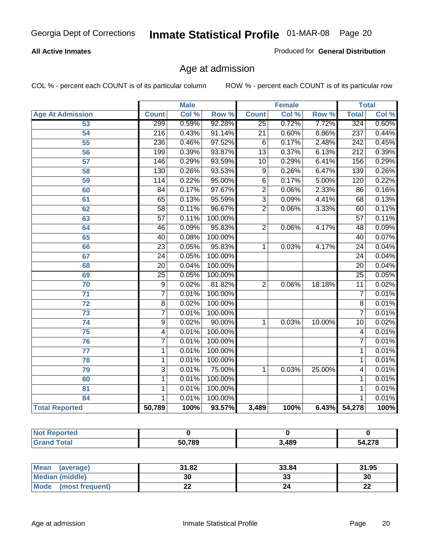#### **All Active Inmates**

Produced for **General Distribution**

### Age at admission

|                         | <b>Male</b>      |       | <b>Female</b> |                 |       | <b>Total</b> |                  |       |
|-------------------------|------------------|-------|---------------|-----------------|-------|--------------|------------------|-------|
| <b>Age At Admission</b> | <b>Count</b>     | Col % | Row %         | <b>Count</b>    | Col % | Row %        | <b>Total</b>     | Col % |
| 53                      | 299              | 0.59% | 92.28%        | $\overline{25}$ | 0.72% | 7.72%        | 324              | 0.60% |
| 54                      | $\overline{216}$ | 0.43% | 91.14%        | $\overline{21}$ | 0.60% | 8.86%        | $\overline{237}$ | 0.44% |
| $\overline{55}$         | 236              | 0.46% | 97.52%        | $\overline{6}$  | 0.17% | 2.48%        | 242              | 0.45% |
| $\overline{56}$         | 199              | 0.39% | 93.87%        | $\overline{13}$ | 0.37% | 6.13%        | $\overline{212}$ | 0.39% |
| $\overline{57}$         | 146              | 0.29% | 93.59%        | $\overline{10}$ | 0.29% | 6.41%        | 156              | 0.29% |
| 58                      | 130              | 0.26% | 93.53%        | 9               | 0.26% | 6.47%        | 139              | 0.26% |
| 59                      | 114              | 0.22% | 95.00%        | 6               | 0.17% | 5.00%        | 120              | 0.22% |
| 60                      | $\overline{84}$  | 0.17% | 97.67%        | $\overline{2}$  | 0.06% | 2.33%        | 86               | 0.16% |
| 61                      | 65               | 0.13% | 95.59%        | $\overline{3}$  | 0.09% | 4.41%        | 68               | 0.13% |
| 62                      | $\overline{58}$  | 0.11% | 96.67%        | $\overline{2}$  | 0.06% | 3.33%        | 60               | 0.11% |
| 63                      | $\overline{57}$  | 0.11% | 100.00%       |                 |       |              | $\overline{57}$  | 0.11% |
| 64                      | 46               | 0.09% | 95.83%        | $\overline{2}$  | 0.06% | 4.17%        | 48               | 0.09% |
| 65                      | 40               | 0.08% | 100.00%       |                 |       |              | 40               | 0.07% |
| 66                      | $\overline{23}$  | 0.05% | 95.83%        | 1               | 0.03% | 4.17%        | $\overline{24}$  | 0.04% |
| 67                      | 24               | 0.05% | 100.00%       |                 |       |              | $\overline{24}$  | 0.04% |
| 68                      | $\overline{20}$  | 0.04% | 100.00%       |                 |       |              | $\overline{20}$  | 0.04% |
| 69                      | $\overline{25}$  | 0.05% | 100.00%       |                 |       |              | $\overline{25}$  | 0.05% |
| 70                      | $\overline{9}$   | 0.02% | 81.82%        | $\overline{2}$  | 0.06% | 18.18%       | $\overline{11}$  | 0.02% |
| 71                      | $\overline{7}$   | 0.01% | 100.00%       |                 |       |              | 7                | 0.01% |
| $\overline{72}$         | $\overline{8}$   | 0.02% | 100.00%       |                 |       |              | $\overline{8}$   | 0.01% |
| $\overline{73}$         | $\overline{7}$   | 0.01% | 100.00%       |                 |       |              | $\overline{7}$   | 0.01% |
| $\overline{74}$         | $\overline{9}$   | 0.02% | 90.00%        | 1               | 0.03% | 10.00%       | $\overline{10}$  | 0.02% |
| $\overline{75}$         | 4                | 0.01% | 100.00%       |                 |       |              | 4                | 0.01% |
| 76                      | $\overline{7}$   | 0.01% | 100.00%       |                 |       |              | 7                | 0.01% |
| 77                      | 1                | 0.01% | 100.00%       |                 |       |              | 1                | 0.01% |
| 78                      | $\mathbf{1}$     | 0.01% | 100.00%       |                 |       |              | 1                | 0.01% |
| 79                      | $\overline{3}$   | 0.01% | 75.00%        | $\mathbf{1}$    | 0.03% | 25.00%       | 4                | 0.01% |
| 80                      | $\overline{1}$   | 0.01% | 100.00%       |                 |       |              | 1                | 0.01% |
| $\overline{81}$         | $\mathbf{1}$     | 0.01% | 100.00%       |                 |       |              | 1                | 0.01% |
| 84                      | 1                | 0.01% | 100.00%       |                 |       |              | 1                | 0.01% |
| <b>Total Reported</b>   | 50,789           | 100%  | 93.57%        | 3,489           | 100%  |              | 6.43% 54,278     | 100%  |

| <b>Not Reported</b> |        |      |        |
|---------------------|--------|------|--------|
| <b>Grand Total</b>  | 50,789 | ,489 | 54,278 |

| <b>Mean</b><br>(average)       | 31.82     | 33.84    | 31.95    |
|--------------------------------|-----------|----------|----------|
| Median (middle)                | 30        | ^^<br>vu | 30       |
| <b>Mode</b><br>(most frequent) | <u>__</u> |          | ^^<br>LL |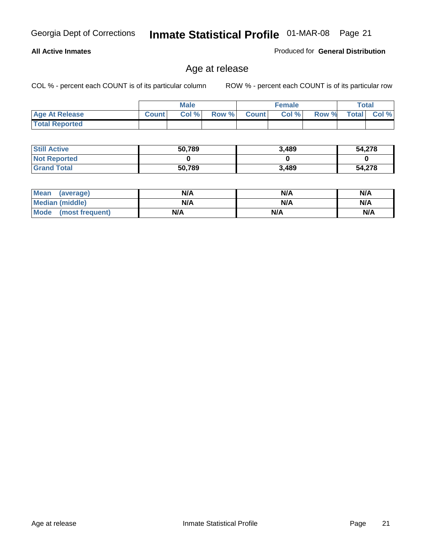#### **All Active Inmates**

Produced for **General Distribution**

### Age at release

|                       |              | <b>Male</b> |       |              | <b>Female</b> |       | <b>Total</b> |       |
|-----------------------|--------------|-------------|-------|--------------|---------------|-------|--------------|-------|
| <b>Age At Release</b> | <b>Count</b> | Col%        | Row % | <b>Count</b> | Col %         | Row % | <b>Total</b> | Col % |
| <b>Total Reported</b> |              |             |       |              |               |       |              |       |

| <b>Still Active</b> | 50,789 | 3,489 | 54,278 |
|---------------------|--------|-------|--------|
| <b>Not Reported</b> |        |       |        |
| <b>Grand Total</b>  | 50,789 | 3,489 | 54,278 |

| Mean (average)       | N/A | N/A | N/A |
|----------------------|-----|-----|-----|
| Median (middle)      | N/A | N/A | N/A |
| Mode (most frequent) | N/A | N/A | N/A |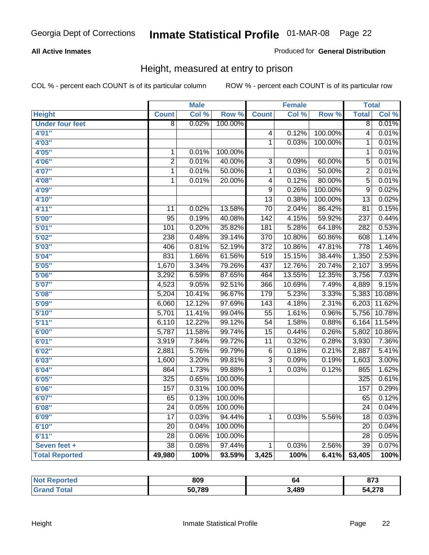#### **All Active Inmates**

#### Produced for **General Distribution**

### Height, measured at entry to prison

|                        |                  | <b>Male</b> |         |                  | <b>Female</b> |         | <b>Total</b>     |        |
|------------------------|------------------|-------------|---------|------------------|---------------|---------|------------------|--------|
| <b>Height</b>          | <b>Count</b>     | Col %       | Row %   | <b>Count</b>     | Col %         | Row %   | <b>Total</b>     | Col %  |
| <b>Under four feet</b> | $\overline{8}$   | 0.02%       | 100.00% |                  |               |         | $\overline{8}$   | 0.01%  |
| 4'01''                 |                  |             |         | $\overline{4}$   | 0.12%         | 100.00% | $\overline{4}$   | 0.01%  |
| 4'03''                 |                  |             |         | $\overline{1}$   | 0.03%         | 100.00% | 1                | 0.01%  |
| 4'05''                 | $\mathbf 1$      | 0.01%       | 100.00% |                  |               |         | 1                | 0.01%  |
| 4'06"                  | $\overline{2}$   | 0.01%       | 40.00%  | $\overline{3}$   | 0.09%         | 60.00%  | $\overline{5}$   | 0.01%  |
| 4'07"                  | $\overline{1}$   | 0.01%       | 50.00%  | $\overline{1}$   | 0.03%         | 50.00%  | $\overline{2}$   | 0.01%  |
| 4'08"                  | $\overline{1}$   | 0.01%       | 20.00%  | $\overline{4}$   | 0.12%         | 80.00%  | $\overline{5}$   | 0.01%  |
| 4'09"                  |                  |             |         | $\overline{9}$   | 0.26%         | 100.00% | $\overline{9}$   | 0.02%  |
| 4'10''                 |                  |             |         | $\overline{13}$  | 0.38%         | 100.00% | $\overline{13}$  | 0.02%  |
| 4'11''                 | 11               | 0.02%       | 13.58%  | $\overline{70}$  | 2.04%         | 86.42%  | $\overline{81}$  | 0.15%  |
| 5'00''                 | $\overline{95}$  | 0.19%       | 40.08%  | $\overline{142}$ | 4.15%         | 59.92%  | 237              | 0.44%  |
| 5'01''                 | 101              | 0.20%       | 35.82%  | 181              | 5.28%         | 64.18%  | 282              | 0.53%  |
| 5'02''                 | 238              | 0.48%       | 39.14%  | 370              | 10.80%        | 60.86%  | 608              | 1.14%  |
| 5'03''                 | 406              | 0.81%       | 52.19%  | $\overline{372}$ | 10.86%        | 47.81%  | $\overline{778}$ | 1.46%  |
| 5'04"                  | 831              | 1.66%       | 61.56%  | 519              | 15.15%        | 38.44%  | 1,350            | 2.53%  |
| 5'05''                 | 1,670            | 3.34%       | 79.26%  | 437              | 12.76%        | 20.74%  | 2,107            | 3.95%  |
| 5'06''                 | 3,292            | 6.59%       | 87.65%  | 464              | 13.55%        | 12.35%  | 3,756            | 7.03%  |
| 5'07''                 | 4,523            | 9.05%       | 92.51%  | 366              | 10.69%        | 7.49%   | 4,889            | 9.15%  |
| 5'08''                 | 5,204            | 10.41%      | 96.67%  | 179              | 5.23%         | 3.33%   | 5,383            | 10.08% |
| 5'09''                 | 6,060            | 12.12%      | 97.69%  | $\overline{143}$ | 4.18%         | 2.31%   | 6,203            | 11.62% |
| 5'10''                 | 5,701            | 11.41%      | 99.04%  | $\overline{55}$  | 1.61%         | 0.96%   | 5,756            | 10.78% |
| 5'11''                 | 6,110            | 12.22%      | 99.12%  | $\overline{54}$  | 1.58%         | 0.88%   | 6,164            | 11.54% |
| 6'00''                 | 5,787            | 11.58%      | 99.74%  | $\overline{15}$  | 0.44%         | 0.26%   | 5,802            | 10.86% |
| 6'01''                 | 3,919            | 7.84%       | 99.72%  | $\overline{11}$  | 0.32%         | 0.28%   | 3,930            | 7.36%  |
| 6'02''                 | 2,881            | 5.76%       | 99.79%  | $\overline{6}$   | 0.18%         | 0.21%   | 2,887            | 5.41%  |
| 6'03''                 | 1,600            | 3.20%       | 99.81%  | $\overline{3}$   | 0.09%         | 0.19%   | 1,603            | 3.00%  |
| 6'04''                 | 864              | 1.73%       | 99.88%  | $\overline{1}$   | 0.03%         | 0.12%   | 865              | 1.62%  |
| 6'05''                 | $\overline{325}$ | 0.65%       | 100.00% |                  |               |         | $\overline{325}$ | 0.61%  |
| 6'06''                 | 157              | 0.31%       | 100.00% |                  |               |         | 157              | 0.29%  |
| 6'07''                 | 65               | 0.13%       | 100.00% |                  |               |         | 65               | 0.12%  |
| 6'08''                 | $\overline{24}$  | 0.05%       | 100.00% |                  |               |         | $\overline{24}$  | 0.04%  |
| 6'09''                 | $\overline{17}$  | 0.03%       | 94.44%  | $\mathbf 1$      | 0.03%         | 5.56%   | $\overline{18}$  | 0.03%  |
| 6'10''                 | $\overline{20}$  | 0.04%       | 100.00% |                  |               |         | $\overline{20}$  | 0.04%  |
| 6'11''                 | $\overline{28}$  | 0.06%       | 100.00% |                  |               |         | $\overline{28}$  | 0.05%  |
| Seven feet +           | $\overline{38}$  | 0.08%       | 97.44%  | $\mathbf{1}$     | 0.03%         | 2.56%   | $\overline{39}$  | 0.07%  |
| <b>Total Reported</b>  | 49,980           | 100%        | 93.59%  | 3,425            | 100%          | 6.41%   | 53,405           | 100%   |

| <b>Reported</b><br>'NO. | 809    | 64   | 072<br>01 J |
|-------------------------|--------|------|-------------|
| ™ota.                   | 50,789 | ,489 | 54,276      |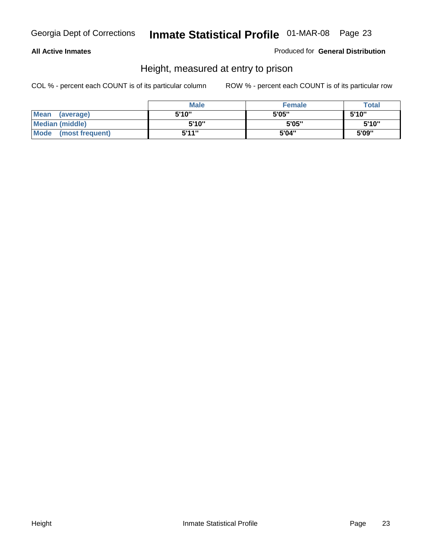#### **All Active Inmates**

Produced for **General Distribution**

### Height, measured at entry to prison

|                        | <b>Male</b> | <b>Female</b> | <b>Total</b> |
|------------------------|-------------|---------------|--------------|
| Mean (average)         | 5'10"       | 5'05"         | 5'10''       |
| <b>Median (middle)</b> | 5'10"       | 5'05"         | 5'10''       |
| Mode (most frequent)   | 5'11"       | 5'04"         | 5'09"        |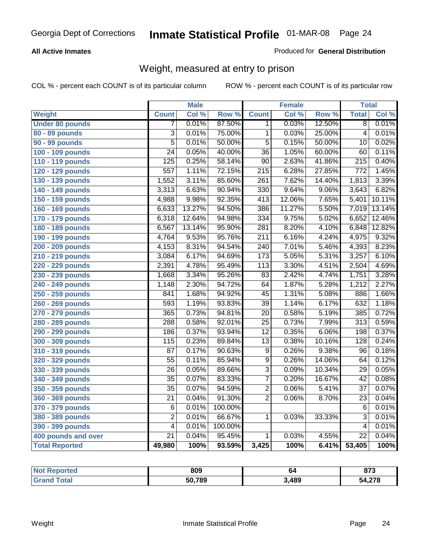#### **All Active Inmates**

#### Produced for **General Distribution**

### Weight, measured at entry to prison

|                        |                  | <b>Male</b> |         |                  | <b>Female</b> |        | <b>Total</b>     |        |
|------------------------|------------------|-------------|---------|------------------|---------------|--------|------------------|--------|
| <b>Weight</b>          | <b>Count</b>     | Col %       | Row %   | <b>Count</b>     | Col %         | Row %  | <b>Total</b>     | Col %  |
| <b>Under 80 pounds</b> | 7                | 0.01%       | 87.50%  | 1.               | 0.03%         | 12.50% | $\overline{8}$   | 0.01%  |
| 80 - 89 pounds         | $\overline{3}$   | 0.01%       | 75.00%  | $\overline{1}$   | 0.03%         | 25.00% | $\overline{4}$   | 0.01%  |
| 90 - 99 pounds         | $\overline{5}$   | 0.01%       | 50.00%  | $\overline{5}$   | 0.15%         | 50.00% | $\overline{10}$  | 0.02%  |
| 100 - 109 pounds       | $\overline{24}$  | 0.05%       | 40.00%  | $\overline{36}$  | 1.05%         | 60.00% | 60               | 0.11%  |
| 110 - 119 pounds       | $\overline{125}$ | 0.25%       | 58.14%  | $\overline{90}$  | 2.63%         | 41.86% | $\overline{215}$ | 0.40%  |
| 120 - 129 pounds       | 557              | 1.11%       | 72.15%  | $\overline{215}$ | 6.28%         | 27.85% | $\overline{772}$ | 1.45%  |
| 130 - 139 pounds       | 1,552            | 3.11%       | 85.60%  | $\overline{261}$ | 7.62%         | 14.40% | 1,813            | 3.39%  |
| 140 - 149 pounds       | 3,313            | 6.63%       | 90.94%  | $\overline{330}$ | 9.64%         | 9.06%  | 3,643            | 6.82%  |
| 150 - 159 pounds       | 4,988            | 9.98%       | 92.35%  | 413              | 12.06%        | 7.65%  | 5,401            | 10.11% |
| 160 - 169 pounds       | 6,633            | 13.27%      | 94.50%  | 386              | 11.27%        | 5.50%  | 7,019            | 13.14% |
| 170 - 179 pounds       | 6,318            | 12.64%      | 94.98%  | 334              | 9.75%         | 5.02%  | 6,652            | 12.46% |
| 180 - 189 pounds       | 6,567            | 13.14%      | 95.90%  | 281              | 8.20%         | 4.10%  | 6,848            | 12.82% |
| 190 - 199 pounds       | 4,764            | 9.53%       | 95.76%  | $\overline{211}$ | 6.16%         | 4.24%  | 4,975            | 9.32%  |
| 200 - 209 pounds       | 4,153            | 8.31%       | 94.54%  | 240              | 7.01%         | 5.46%  | 4,393            | 8.23%  |
| 210 - 219 pounds       | 3,084            | 6.17%       | 94.69%  | $\overline{173}$ | 5.05%         | 5.31%  | 3,257            | 6.10%  |
| 220 - 229 pounds       | 2,391            | 4.78%       | 95.49%  | $\overline{113}$ | 3.30%         | 4.51%  | 2,504            | 4.69%  |
| 230 - 239 pounds       | 1,668            | 3.34%       | 95.26%  | $\overline{83}$  | 2.42%         | 4.74%  | 1,751            | 3.28%  |
| 240 - 249 pounds       | 1,148            | 2.30%       | 94.72%  | 64               | 1.87%         | 5.28%  | 1,212            | 2.27%  |
| 250 - 259 pounds       | 841              | 1.68%       | 94.92%  | $\overline{45}$  | 1.31%         | 5.08%  | 886              | 1.66%  |
| 260 - 269 pounds       | 593              | 1.19%       | 93.83%  | $\overline{39}$  | 1.14%         | 6.17%  | 632              | 1.18%  |
| 270 - 279 pounds       | 365              | 0.73%       | 94.81%  | 20               | 0.58%         | 5.19%  | 385              | 0.72%  |
| 280 - 289 pounds       | 288              | 0.58%       | 92.01%  | $\overline{25}$  | 0.73%         | 7.99%  | $\overline{313}$ | 0.59%  |
| 290 - 299 pounds       | 186              | 0.37%       | 93.94%  | $\overline{12}$  | 0.35%         | 6.06%  | 198              | 0.37%  |
| 300 - 309 pounds       | $\overline{115}$ | 0.23%       | 89.84%  | $\overline{13}$  | 0.38%         | 10.16% | $\overline{128}$ | 0.24%  |
| 310 - 319 pounds       | $\overline{87}$  | 0.17%       | 90.63%  | $\overline{9}$   | 0.26%         | 9.38%  | 96               | 0.18%  |
| 320 - 329 pounds       | $\overline{55}$  | 0.11%       | 85.94%  | $\overline{9}$   | 0.26%         | 14.06% | 64               | 0.12%  |
| 330 - 339 pounds       | $\overline{26}$  | 0.05%       | 89.66%  | $\overline{3}$   | 0.09%         | 10.34% | $\overline{29}$  | 0.05%  |
| 340 - 349 pounds       | $\overline{35}$  | 0.07%       | 83.33%  | $\overline{7}$   | 0.20%         | 16.67% | $\overline{42}$  | 0.08%  |
| 350 - 359 pounds       | $\overline{35}$  | 0.07%       | 94.59%  | $\overline{2}$   | 0.06%         | 5.41%  | $\overline{37}$  | 0.07%  |
| 360 - 369 pounds       | $\overline{21}$  | 0.04%       | 91.30%  | $\overline{2}$   | 0.06%         | 8.70%  | $\overline{23}$  | 0.04%  |
| 370 - 379 pounds       | 6                | 0.01%       | 100.00% |                  |               |        | $6\phantom{1}6$  | 0.01%  |
| 380 - 389 pounds       | $\overline{2}$   | 0.01%       | 66.67%  | 1                | 0.03%         | 33.33% | $\overline{3}$   | 0.01%  |
| 390 - 399 pounds       | $\overline{4}$   | 0.01%       | 100.00% |                  |               |        | $\overline{4}$   | 0.01%  |
| 400 pounds and over    | $\overline{21}$  | 0.04%       | 95.45%  | 1                | 0.03%         | 4.55%  | $\overline{22}$  | 0.04%  |
| <b>Total Reported</b>  | 49,980           | 100%        | 93.59%  | 3,425            | 100%          | 6.41%  | 53,405           | 100%   |

| Reported<br>' Not | 809    | 64   | 070<br>0 I J |
|-------------------|--------|------|--------------|
| ⊺ota.<br>.Gr      | 50,789 | .489 | 54,278       |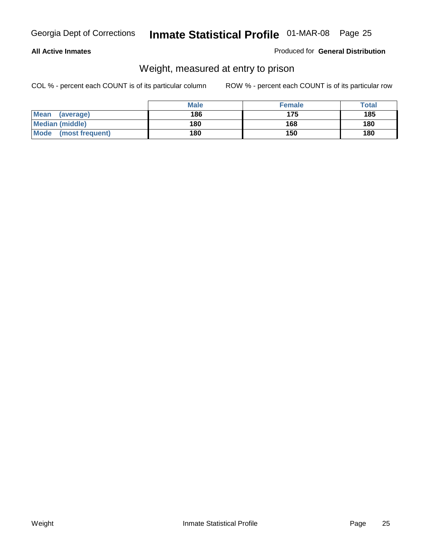#### **All Active Inmates**

#### Produced for **General Distribution**

### Weight, measured at entry to prison

|                          | <b>Male</b> | <b>Female</b> | Total |
|--------------------------|-------------|---------------|-------|
| <b>Mean</b><br>(average) | 186         | 175           | 185   |
| <b>Median (middle)</b>   | 180         | 168           | 180   |
| Mode<br>(most frequent)  | 180         | 150           | 180   |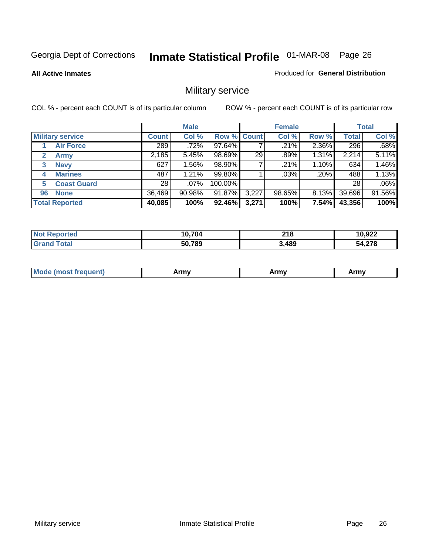**All Active Inmates**

#### Produced for **General Distribution**

### Military service

|                             |              | <b>Male</b> |                    |       | <b>Female</b> |         |              | <b>Total</b> |
|-----------------------------|--------------|-------------|--------------------|-------|---------------|---------|--------------|--------------|
| <b>Military service</b>     | <b>Count</b> | Col %       | <b>Row % Count</b> |       | Col %         | Row %   | <b>Total</b> | Col %        |
| <b>Air Force</b>            | 289          | .72%        | 97.64%             |       | $.21\%$       | 2.36%   | 296          | .68%         |
| $\mathbf{2}$<br><b>Army</b> | 2,185        | 5.45%       | 98.69%             | 29    | .89%          | 1.31%   | 2,214        | 5.11%        |
| <b>Navy</b><br>3            | 627          | 1.56%       | 98.90%             |       | .21%          | 1.10%   | 634          | 1.46%        |
| <b>Marines</b><br>4         | 487          | 1.21%       | 99.80%             |       | $.03\%$       | $.20\%$ | 488          | 1.13%        |
| <b>Coast Guard</b><br>5     | 28           | $.07\%$     | 100.00%            |       |               |         | 28           | .06%         |
| <b>None</b><br>96           | 36,469       | 90.98%      | 91.87%             | 3,227 | 98.65%        | 8.13%   | 39,696       | 91.56%       |
| <b>Total Reported</b>       | 40,085       | 100%        | 92.46%             | 3,271 | 100%          | 7.54%   | 43,356       | 100%         |

| orted<br><b>NO1</b> | 10.704 | 218   | 10,922 |
|---------------------|--------|-------|--------|
| `otal               | 50,789 | 3,489 | 54,278 |

|  | <b>Mou</b> | Army | Army | Army |
|--|------------|------|------|------|
|--|------------|------|------|------|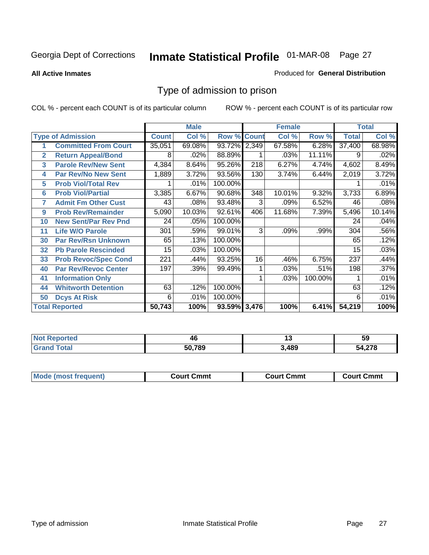#### **All Active Inmates**

#### Produced for **General Distribution**

### Type of admission to prison

|                |                             |              | <b>Male</b> |                    |     | <b>Female</b> |         |              | <b>Total</b> |
|----------------|-----------------------------|--------------|-------------|--------------------|-----|---------------|---------|--------------|--------------|
|                | <b>Type of Admission</b>    | <b>Count</b> | Col %       | <b>Row % Count</b> |     | Col %         | Row %   | <b>Total</b> | Col %        |
|                | <b>Committed From Court</b> | 35,051       | 69.08%      | 93.72% 2,349       |     | 67.58%        | 6.28%   | 37,400       | 68.98%       |
| $\overline{2}$ | <b>Return Appeal/Bond</b>   | 8            | .02%        | 88.89%             |     | .03%          | 11.11%  | 9            | .02%         |
| 3              | <b>Parole Rev/New Sent</b>  | 4,384        | 8.64%       | 95.26%             | 218 | 6.27%         | 4.74%   | 4,602        | 8.49%        |
| 4              | <b>Par Rev/No New Sent</b>  | 1,889        | 3.72%       | 93.56%             | 130 | 3.74%         | 6.44%   | 2,019        | 3.72%        |
| 5              | <b>Prob Viol/Total Rev</b>  |              | .01%        | 100.00%            |     |               |         |              | .01%         |
| 6              | <b>Prob Viol/Partial</b>    | 3,385        | 6.67%       | 90.68%             | 348 | 10.01%        | 9.32%   | 3,733        | 6.89%        |
| 7              | <b>Admit Fm Other Cust</b>  | 43           | .08%        | 93.48%             | 3   | .09%          | 6.52%   | 46           | .08%         |
| 9              | <b>Prob Rev/Remainder</b>   | 5,090        | 10.03%      | 92.61%             | 406 | 11.68%        | 7.39%   | 5,496        | 10.14%       |
| 10             | <b>New Sent/Par Rev Pnd</b> | 24           | .05%        | 100.00%            |     |               |         | 24           | .04%         |
| 11             | <b>Life W/O Parole</b>      | 301          | .59%        | 99.01%             | 3   | .09%          | .99%    | 304          | .56%         |
| 30             | <b>Par Rev/Rsn Unknown</b>  | 65           | .13%        | 100.00%            |     |               |         | 65           | .12%         |
| 32             | <b>Pb Parole Rescinded</b>  | 15           | .03%        | 100.00%            |     |               |         | 15           | .03%         |
| 33             | <b>Prob Revoc/Spec Cond</b> | 221          | .44%        | 93.25%             | 16  | .46%          | 6.75%   | 237          | .44%         |
| 40             | <b>Par Rev/Revoc Center</b> | 197          | .39%        | 99.49%             |     | .03%          | .51%    | 198          | .37%         |
| 41             | <b>Information Only</b>     |              |             |                    |     | .03%          | 100.00% |              | .01%         |
| 44             | <b>Whitworth Detention</b>  | 63           | .12%        | 100.00%            |     |               |         | 63           | .12%         |
| 50             | <b>Dcys At Risk</b>         | 6            | .01%        | 100.00%            |     |               |         | 6            | .01%         |
|                | <b>Total Reported</b>       | 50,743       | 100%        | 93.59% 3,476       |     | 100%          | 6.41%   | 54,219       | 100%         |

| <b>Reported</b><br>' Not | 46     | יי   | 59            |
|--------------------------|--------|------|---------------|
| īota.<br>Grr             | 50.789 | ,489 | 270<br>34.Z78 |

| <b>Court Cmmt</b><br><b>Court Cmmt</b><br>Court Cmmt |                             |  |  |
|------------------------------------------------------|-----------------------------|--|--|
|                                                      | <b>Mode (most frequent)</b> |  |  |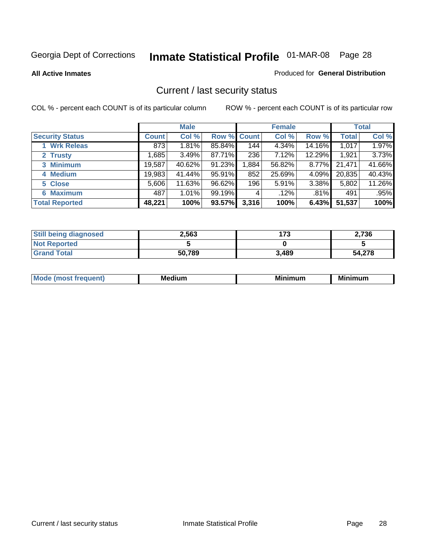**All Active Inmates**

#### Produced for **General Distribution**

### Current / last security status

|                        |              | <b>Male</b> |                    |       | <b>Female</b> |        |              | <b>Total</b> |
|------------------------|--------------|-------------|--------------------|-------|---------------|--------|--------------|--------------|
| <b>Security Status</b> | <b>Count</b> | Col %       | <b>Row % Count</b> |       | Col %         | Row %  | <b>Total</b> | Col %        |
| <b>Wrk Releas</b>      | 873          | $1.81\%$    | 85.84%             | 144   | 4.34%         | 14.16% | 1,017        | 1.97%        |
| 2 Trusty               | .685         | 3.49%       | 87.71%             | 236   | 7.12%         | 12.29% | 1,921        | 3.73%        |
| 3 Minimum              | 19,587       | 40.62%      | 91.23%             | 1,884 | 56.82%        | 8.77%  | 21,471       | 41.66%       |
| 4 Medium               | 19,983       | 41.44%      | 95.91%             | 852   | 25.69%        | 4.09%  | 20,835       | 40.43%       |
| 5 Close                | 5,606        | 11.63%      | 96.62%             | 196   | 5.91%         | 3.38%  | 5,802        | 11.26%       |
| <b>6 Maximum</b>       | 487          | 1.01%       | 99.19%             | 4     | .12%          | .81%   | 491          | .95%         |
| <b>Total Reported</b>  | 48,221       | 100%        | 93.57%             | 3,316 | 100%          | 6.43%  | 51,537       | 100%         |

| <b>Still being diagnosed</b> | 2,563  | 173   | 2,736  |
|------------------------------|--------|-------|--------|
| <b>Not Reported</b>          |        |       |        |
| <b>Grand Total</b>           | 50,789 | 3,489 | 54,278 |

| M | <br><br> | ALLAST |
|---|----------|--------|
|   |          |        |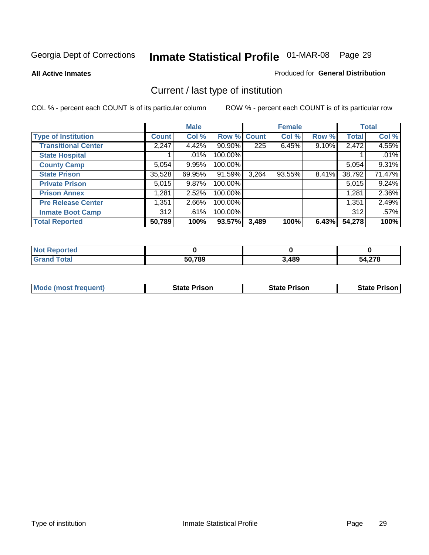**All Active Inmates**

#### Produced for **General Distribution**

### Current / last type of institution

|                            |              | <b>Male</b> |             |       | <b>Female</b> |          |              | <b>Total</b> |
|----------------------------|--------------|-------------|-------------|-------|---------------|----------|--------------|--------------|
| <b>Type of Institution</b> | <b>Count</b> | Col %       | Row % Count |       | Col %         | Row %    | <b>Total</b> | Col %        |
| <b>Transitional Center</b> | 2,247        | 4.42%       | 90.90%      | 225   | 6.45%         | $9.10\%$ | 2,472        | 4.55%        |
| <b>State Hospital</b>      |              | $.01\%$     | 100.00%     |       |               |          |              | .01%         |
| <b>County Camp</b>         | 5,054        | 9.95%       | 100.00%     |       |               |          | 5,054        | 9.31%        |
| <b>State Prison</b>        | 35,528       | 69.95%      | 91.59%      | 3,264 | 93.55%        | $8.41\%$ | 38,792       | 71.47%       |
| <b>Private Prison</b>      | 5,015        | 9.87%       | 100.00%     |       |               |          | 5,015        | 9.24%        |
| <b>Prison Annex</b>        | 1,281        | 2.52%       | 100.00%     |       |               |          | 1,281        | 2.36%        |
| <b>Pre Release Center</b>  | 1,351        | 2.66%       | 100.00%     |       |               |          | 1,351        | 2.49%        |
| <b>Inmate Boot Camp</b>    | 312          | .61%        | 100.00%     |       |               |          | 312          | .57%         |
| <b>Total Reported</b>      | 50,789       | 100%        | 93.57%      | 3,489 | 100%          | 6.43%    | 54,278       | 100%         |

| <b>Not</b><br>Reported |        |       |                 |
|------------------------|--------|-------|-----------------|
| <b>Grand Total</b>     | 50,789 | 3,489 | .1270<br>54.278 |

| <b>Mode (most frequent)</b> | <b>State Prison</b> | <b>State Prison</b> | <b>State Prison I</b> |
|-----------------------------|---------------------|---------------------|-----------------------|
|                             |                     |                     |                       |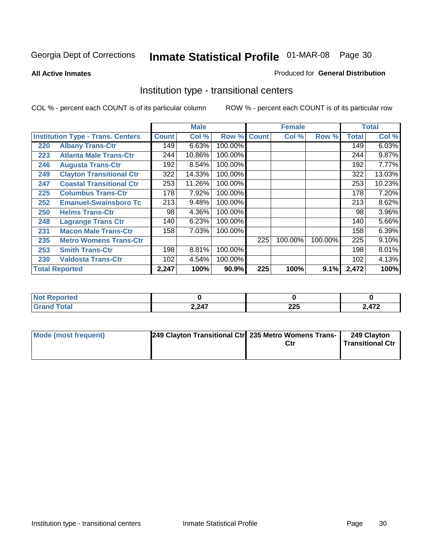**All Active Inmates**

#### Produced for **General Distribution**

### Institution type - transitional centers

|     |                                          |              | <b>Male</b> |                    |     | <b>Female</b> |         |              | <b>Total</b> |
|-----|------------------------------------------|--------------|-------------|--------------------|-----|---------------|---------|--------------|--------------|
|     | <b>Institution Type - Trans. Centers</b> | <b>Count</b> | Col %       | <b>Row % Count</b> |     | Col %         | Row %   | <b>Total</b> | Col %        |
| 220 | <b>Albany Trans-Ctr</b>                  | 149          | 6.63%       | 100.00%            |     |               |         | 149          | 6.03%        |
| 223 | <b>Atlanta Male Trans-Ctr</b>            | 244          | 10.86%      | 100.00%            |     |               |         | 244          | 9.87%        |
| 246 | <b>Augusta Trans-Ctr</b>                 | 192          | 8.54%       | 100.00%            |     |               |         | 192          | 7.77%        |
| 249 | <b>Clayton Transitional Ctr</b>          | 322          | 14.33%      | 100.00%            |     |               |         | 322          | 13.03%       |
| 247 | <b>Coastal Transitional Ctr</b>          | 253          | 11.26%      | 100.00%            |     |               |         | 253          | 10.23%       |
| 225 | <b>Columbus Trans-Ctr</b>                | 178          | 7.92%       | 100.00%            |     |               |         | 178          | 7.20%        |
| 252 | <b>Emanuel-Swainsboro Tc</b>             | 213          | 9.48%       | 100.00%            |     |               |         | 213          | 8.62%        |
| 250 | <b>Helms Trans-Ctr</b>                   | 98           | 4.36%       | 100.00%            |     |               |         | 98           | 3.96%        |
| 248 | <b>Lagrange Trans Ctr</b>                | 140          | 6.23%       | 100.00%            |     |               |         | 140          | 5.66%        |
| 231 | <b>Macon Male Trans-Ctr</b>              | 158          | 7.03%       | 100.00%            |     |               |         | 158          | 6.39%        |
| 235 | <b>Metro Womens Trans-Ctr</b>            |              |             |                    | 225 | 100.00%       | 100.00% | 225          | 9.10%        |
| 253 | <b>Smith Trans-Ctr</b>                   | 198          | 8.81%       | 100.00%            |     |               |         | 198          | 8.01%        |
| 230 | <b>Valdosta Trans-Ctr</b>                | 102          | 4.54%       | 100.00%            |     |               |         | 102          | 4.13%        |
|     | <b>Total Reported</b>                    | 2,247        | 100%        | 90.9%              | 225 | 100%          | 9.1%    | 2,472        | 100%         |

| rtea                  |       |            |     |
|-----------------------|-------|------------|-----|
| <b>otal</b><br>$\sim$ | 2,247 | 22E<br>LLJ | A72 |

| Mode (most frequent) | 249 Clayton Transitional Ctr 235 Metro Womens Trans- | Ctr | 249 Clayton<br>Transitional Ctr |
|----------------------|------------------------------------------------------|-----|---------------------------------|
|                      |                                                      |     |                                 |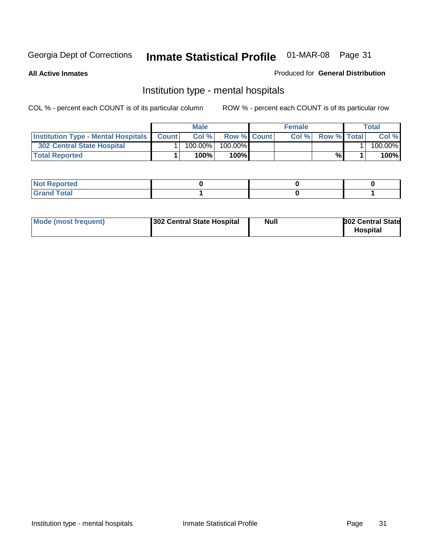**All Active Inmates**

#### Produced for **General Distribution**

### Institution type - mental hospitals

|                                                  | Male       |                    | <b>Female</b> |                    | Total   |
|--------------------------------------------------|------------|--------------------|---------------|--------------------|---------|
| <b>Institution Type - Mental Hospitals Count</b> | Col %      | <b>Row % Count</b> | Col%          | <b>Row % Total</b> | Col %   |
| 302 Central State Hospital                       | $100.00\%$ | 100.00%            |               |                    | 100.00% |
| <b>Total Reported</b>                            | 100%       | 100%I              |               | %                  | 100%    |

| Not Reported |  |  |
|--------------|--|--|
| <b>otal</b>  |  |  |

| Mode (most frequent)<br>302 Central State Hospital | Null | <b>302 Central State</b><br><b>Hospital</b> |
|----------------------------------------------------|------|---------------------------------------------|
|----------------------------------------------------|------|---------------------------------------------|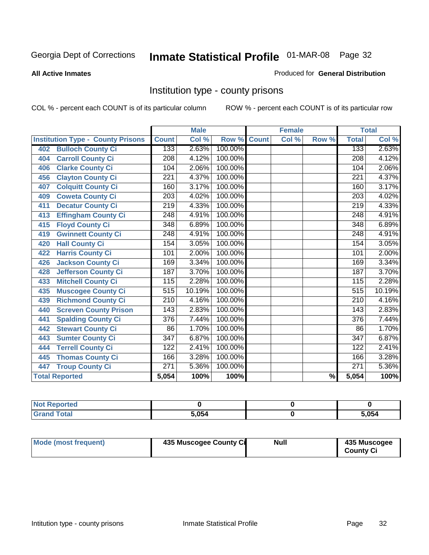#### **All Active Inmates**

#### Produced for **General Distribution**

### Institution type - county prisons

|                                          |                  | <b>Male</b> |         |              | <b>Female</b> |                          |                  | <b>Total</b>               |
|------------------------------------------|------------------|-------------|---------|--------------|---------------|--------------------------|------------------|----------------------------|
| <b>Institution Type - County Prisons</b> | <b>Count</b>     | Col %       | Row %   | <b>Count</b> | Col %         | Row %                    | <b>Total</b>     | $\overline{\text{Col }^9}$ |
| <b>Bulloch County Ci</b><br>402          | 133              | 2.63%       | 100.00% |              |               |                          | 133              | 2.63%                      |
| <b>Carroll County Ci</b><br>404          | $\overline{208}$ | 4.12%       | 100.00% |              |               |                          | $\overline{208}$ | 4.12%                      |
| <b>Clarke County Ci</b><br>406           | 104              | 2.06%       | 100.00% |              |               |                          | 104              | 2.06%                      |
| <b>Clayton County Ci</b><br>456          | 221              | 4.37%       | 100.00% |              |               |                          | 221              | 4.37%                      |
| <b>Colquitt County Ci</b><br>407         | 160              | 3.17%       | 100.00% |              |               |                          | 160              | 3.17%                      |
| <b>Coweta County Ci</b><br>409           | $\overline{203}$ | 4.02%       | 100.00% |              |               |                          | $\overline{203}$ | 4.02%                      |
| <b>Decatur County Ci</b><br>411          | 219              | 4.33%       | 100.00% |              |               |                          | 219              | 4.33%                      |
| <b>Effingham County Ci</b><br>413        | 248              | 4.91%       | 100.00% |              |               |                          | 248              | 4.91%                      |
| <b>Floyd County Ci</b><br>415            | $\overline{348}$ | 6.89%       | 100.00% |              |               |                          | $\overline{348}$ | 6.89%                      |
| <b>Gwinnett County Ci</b><br>419         | $\overline{248}$ | 4.91%       | 100.00% |              |               |                          | $\overline{248}$ | 4.91%                      |
| <b>Hall County Ci</b><br>420             | 154              | 3.05%       | 100.00% |              |               |                          | 154              | 3.05%                      |
| <b>Harris County Ci</b><br>422           | 101              | 2.00%       | 100.00% |              |               |                          | 101              | 2.00%                      |
| <b>Jackson County Ci</b><br>426          | 169              | 3.34%       | 100.00% |              |               |                          | 169              | 3.34%                      |
| <b>Jefferson County Ci</b><br>428        | 187              | 3.70%       | 100.00% |              |               |                          | 187              | 3.70%                      |
| <b>Mitchell County Ci</b><br>433         | 115              | 2.28%       | 100.00% |              |               |                          | 115              | 2.28%                      |
| <b>Muscogee County Ci</b><br>435         | $\overline{515}$ | 10.19%      | 100.00% |              |               |                          | $\overline{515}$ | 10.19%                     |
| <b>Richmond County Ci</b><br>439         | $\overline{210}$ | 4.16%       | 100.00% |              |               |                          | $\overline{210}$ | 4.16%                      |
| <b>Screven County Prison</b><br>440      | 143              | 2.83%       | 100.00% |              |               |                          | 143              | 2.83%                      |
| <b>Spalding County Ci</b><br>441         | $\overline{376}$ | 7.44%       | 100.00% |              |               |                          | $\overline{376}$ | 7.44%                      |
| <b>Stewart County Ci</b><br>442          | 86               | 1.70%       | 100.00% |              |               |                          | 86               | 1.70%                      |
| <b>Sumter County Ci</b><br>443           | $\overline{347}$ | 6.87%       | 100.00% |              |               |                          | $\overline{347}$ | 6.87%                      |
| <b>Terrell County Ci</b><br>444          | 122              | 2.41%       | 100.00% |              |               |                          | 122              | 2.41%                      |
| <b>Thomas County Ci</b><br>445           | 166              | 3.28%       | 100.00% |              |               |                          | 166              | 3.28%                      |
| <b>Troup County Ci</b><br>447            | 271              | 5.36%       | 100.00% |              |               |                          | 271              | 5.36%                      |
| <b>Total Reported</b>                    | 5,054            | 100%        | 100%    |              |               | $\overline{\frac{9}{6}}$ | 5,054            | 100%                       |

| τeα                                |      |       |
|------------------------------------|------|-------|
| $\sim$ $\sim$ $\sim$ $\sim$ $\sim$ | 5054 | 5.054 |

| Mode (most frequent) | 435 Muscogee County Ci | <b>Null</b> | 435 Muscogee     |
|----------------------|------------------------|-------------|------------------|
|                      |                        |             | <b>County Ci</b> |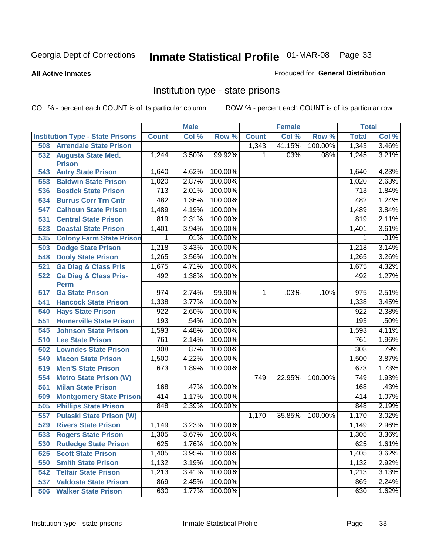#### **All Active Inmates**

#### Produced for **General Distribution**

### Institution type - state prisons

|     |                                            | <b>Male</b>  |       | <b>Female</b> |              |        | <b>Total</b> |              |       |
|-----|--------------------------------------------|--------------|-------|---------------|--------------|--------|--------------|--------------|-------|
|     | <b>Institution Type - State Prisons</b>    | <b>Count</b> | Col % | Row %         | <b>Count</b> | Col %  | Row %        | <b>Total</b> | Col % |
| 508 | <b>Arrendale State Prison</b>              |              |       |               | 1,343        | 41.15% | 100.00%      | 1,343        | 3.46% |
| 532 | <b>Augusta State Med.</b><br><b>Prison</b> | 1,244        | 3.50% | 99.92%        | 1            | .03%   | .08%         | 1,245        | 3.21% |
| 543 | <b>Autry State Prison</b>                  | 1,640        | 4.62% | 100.00%       |              |        |              | 1,640        | 4.23% |
| 553 | <b>Baldwin State Prison</b>                | 1,020        | 2.87% | 100.00%       |              |        |              | 1,020        | 2.63% |
| 536 | <b>Bostick State Prison</b>                | 713          | 2.01% | 100.00%       |              |        |              | 713          | 1.84% |
| 534 | <b>Burrus Corr Trn Cntr</b>                | 482          | 1.36% | 100.00%       |              |        |              | 482          | 1.24% |
| 547 | <b>Calhoun State Prison</b>                | 1,489        | 4.19% | 100.00%       |              |        |              | 1,489        | 3.84% |
| 531 | <b>Central State Prison</b>                | 819          | 2.31% | 100.00%       |              |        |              | 819          | 2.11% |
| 523 | <b>Coastal State Prison</b>                | 1,401        | 3.94% | 100.00%       |              |        |              | 1,401        | 3.61% |
| 535 | <b>Colony Farm State Prison</b>            | 1            | .01%  | 100.00%       |              |        |              | 1            | .01%  |
| 503 | <b>Dodge State Prison</b>                  | 1,218        | 3.43% | 100.00%       |              |        |              | 1,218        | 3.14% |
| 548 | <b>Dooly State Prison</b>                  | 1,265        | 3.56% | 100.00%       |              |        |              | 1,265        | 3.26% |
| 521 | <b>Ga Diag &amp; Class Pris</b>            | 1,675        | 4.71% | 100.00%       |              |        |              | 1,675        | 4.32% |
| 522 | <b>Ga Diag &amp; Class Pris-</b>           | 492          | 1.38% | 100.00%       |              |        |              | 492          | 1.27% |
|     | <b>Perm</b>                                |              |       |               |              |        |              |              |       |
| 517 | <b>Ga State Prison</b>                     | 974          | 2.74% | 99.90%        | 1            | .03%   | .10%         | 975          | 2.51% |
| 541 | <b>Hancock State Prison</b>                | 1,338        | 3.77% | 100.00%       |              |        |              | 1,338        | 3.45% |
| 540 | <b>Hays State Prison</b>                   | 922          | 2.60% | 100.00%       |              |        |              | 922          | 2.38% |
| 551 | <b>Homerville State Prison</b>             | 193          | .54%  | 100.00%       |              |        |              | 193          | .50%  |
| 545 | <b>Johnson State Prison</b>                | 1,593        | 4.48% | 100.00%       |              |        |              | 1,593        | 4.11% |
| 510 | <b>Lee State Prison</b>                    | 761          | 2.14% | 100.00%       |              |        |              | 761          | 1.96% |
| 502 | <b>Lowndes State Prison</b>                | 308          | .87%  | 100.00%       |              |        |              | 308          | .79%  |
| 549 | <b>Macon State Prison</b>                  | 1,500        | 4.22% | 100.00%       |              |        |              | 1,500        | 3.87% |
| 519 | <b>Men'S State Prison</b>                  | 673          | 1.89% | 100.00%       |              |        |              | 673          | 1.73% |
| 554 | <b>Metro State Prison (W)</b>              |              |       |               | 749          | 22.95% | 100.00%      | 749          | 1.93% |
| 561 | <b>Milan State Prison</b>                  | 168          | .47%  | 100.00%       |              |        |              | 168          | .43%  |
| 509 | <b>Montgomery State Prison</b>             | 414          | 1.17% | 100.00%       |              |        |              | 414          | 1.07% |
| 505 | <b>Phillips State Prison</b>               | 848          | 2.39% | 100.00%       |              |        |              | 848          | 2.19% |
| 557 | <b>Pulaski State Prison (W)</b>            |              |       |               | 1,170        | 35.85% | 100.00%      | 1,170        | 3.02% |
| 529 | <b>Rivers State Prison</b>                 | 1,149        | 3.23% | 100.00%       |              |        |              | 1,149        | 2.96% |
|     | 533 Rogers State Prison                    | 1,305        | 3.67% | 100.00%       |              |        |              | 1,305        | 3.36% |
|     | 530 Rutledge State Prison                  | 625          |       | 1.76% 100.00% |              |        |              | 625          | 1.61% |
| 525 | <b>Scott State Prison</b>                  | 1,405        | 3.95% | 100.00%       |              |        |              | 1,405        | 3.62% |
| 550 | <b>Smith State Prison</b>                  | 1,132        | 3.19% | 100.00%       |              |        |              | 1,132        | 2.92% |
| 542 | <b>Telfair State Prison</b>                | 1,213        | 3.41% | 100.00%       |              |        |              | 1,213        | 3.13% |
| 537 | <b>Valdosta State Prison</b>               | 869          | 2.45% | 100.00%       |              |        |              | 869          | 2.24% |
| 506 | <b>Walker State Prison</b>                 | 630          | 1.77% | 100.00%       |              |        |              | 630          | 1.62% |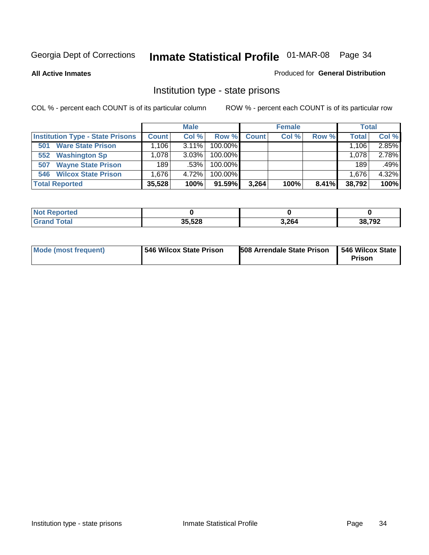**All Active Inmates**

#### Produced for **General Distribution**

### Institution type - state prisons

|                                         |              | <b>Male</b> |            |       | <b>Female</b> |       | <b>Total</b> |       |
|-----------------------------------------|--------------|-------------|------------|-------|---------------|-------|--------------|-------|
| <b>Institution Type - State Prisons</b> | <b>Count</b> | Col %       | Row %      | Count | Col %         | Row % | <b>Total</b> | Col % |
| <b>Ware State Prison</b><br>501         | .106         | $3.11\%$    | $100.00\%$ |       |               |       | 1.106        | 2.85% |
| <b>Washington Sp</b><br>552             | .078         | $3.03\%$    | $100.00\%$ |       |               |       | 1,078        | 2.78% |
| <b>Wayne State Prison</b><br>507        | 189          | .53%        | $100.00\%$ |       |               |       | 189          | .49%  |
| <b>Wilcox State Prison</b><br>546       | .676         | 4.72%       | $100.00\%$ |       |               |       | 1,676        | 4.32% |
| <b>Total Reported</b>                   | 35,528       | 100%        | 91.59%     | 3,264 | 100%          | 8.41% | 38,792       | 100%  |

| N <sub>of</sub><br><b>Reported</b> |        |       |        |
|------------------------------------|--------|-------|--------|
| and Total                          | 35,528 | 3,264 | 38,792 |

| <b>Mode (most frequent)</b> | <b>1546 Wilcox State Prison</b> | <b>508 Arrendale State Prison</b> | 546 Wilcox State<br>Prison |
|-----------------------------|---------------------------------|-----------------------------------|----------------------------|
|-----------------------------|---------------------------------|-----------------------------------|----------------------------|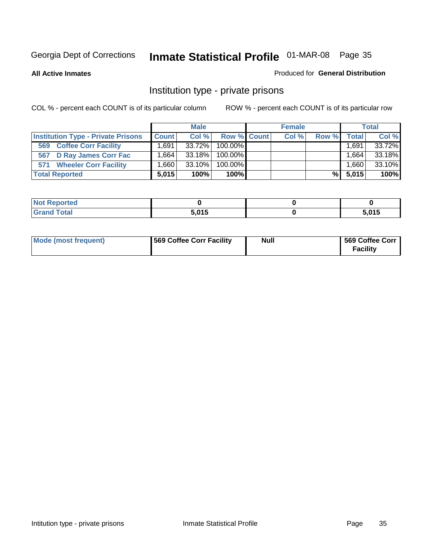**All Active Inmates**

#### Produced for **General Distribution**

### Institution type - private prisons

|                                           |                   | <b>Male</b> |             | <b>Female</b> |       |              | <b>Total</b> |
|-------------------------------------------|-------------------|-------------|-------------|---------------|-------|--------------|--------------|
| <b>Institution Type - Private Prisons</b> | <b>Count</b>      | Col %       | Row % Count | Col %         | Row % | <b>Total</b> | Col %        |
| <b>Coffee Corr Facility</b><br>569        | ˈ 691.،           | $33.72\%$   | 100.00%     |               |       | .691،        | 33.72%       |
| 567 D Ray James Corr Fac                  | $.664+$           | $33.18\%$   | $100.00\%$  |               |       | ٔ 664. ،     | 33.18%       |
| <b>Wheeler Corr Facility</b><br>571       | .660 <sub>1</sub> | 33.10%      | 100.00%     |               |       | ٔ 660, ،     | 33.10%       |
| <b>Total Reported</b>                     | 5.015             | 100%        | 100%        |               | %     | 5,015        | 100%         |

| <b>Reported</b><br><b>NOT</b>               |       |       |
|---------------------------------------------|-------|-------|
| <b>Total</b><br>$\mathbf{v}$ . $\mathbf{u}$ | 5,015 | 5,015 |

| <b>Mode (most frequent)</b> | 569 Coffee Corr Facility | <b>Null</b> | 569 Coffee Corr<br><b>Facility</b> |
|-----------------------------|--------------------------|-------------|------------------------------------|
|-----------------------------|--------------------------|-------------|------------------------------------|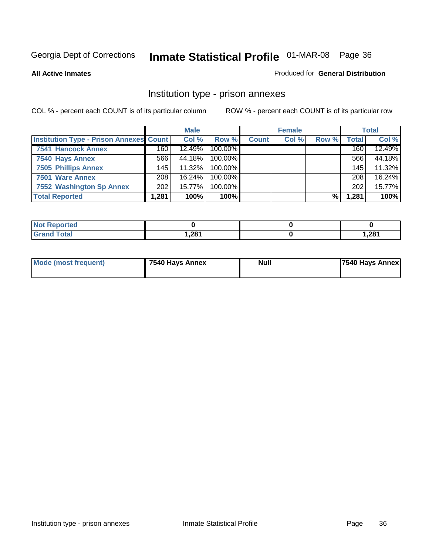#### **All Active Inmates**

#### Produced for **General Distribution**

### Institution type - prison annexes

|                                                |                  | <b>Male</b> |            |              | <b>Female</b> |       |                  | <b>Total</b> |
|------------------------------------------------|------------------|-------------|------------|--------------|---------------|-------|------------------|--------------|
| <b>Institution Type - Prison Annexes Count</b> |                  | Col %       | Row %      | <b>Count</b> | Col %         | Row % | Total            | Col %        |
| 7541 Hancock Annex                             | 160              | 12.49%      | 100.00%    |              |               |       | 160              | 12.49%       |
| 7540 Hays Annex                                | 566              | 44.18%      | $100.00\%$ |              |               |       | 566              | 44.18%       |
| <b>7505 Phillips Annex</b>                     | 145              | $11.32\%$   | $100.00\%$ |              |               |       | 145 <sub>1</sub> | 11.32%       |
| 7501 Ware Annex                                | 208              | $16.24\%$   | $100.00\%$ |              |               |       | 208              | 16.24%       |
| 7552 Washington Sp Annex                       | 202 <sub>1</sub> | 15.77%      | 100.00%    |              |               |       | 202              | 15.77%       |
| <b>Total Reported</b>                          | 1,281            | 100%        | 100%       |              |               | %     | 1,281            | 100%         |

| <b>Reported</b><br><b>NOT</b> |      |       |
|-------------------------------|------|-------|
| <b>Total</b><br>'Grand        | 281. | 1,281 |

| Mode (most frequent) | 7540 Hays Annex | <b>Null</b> | 7540 Hays Annex |
|----------------------|-----------------|-------------|-----------------|
|                      |                 |             |                 |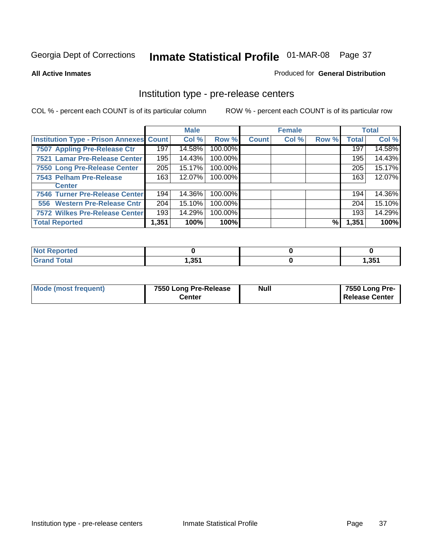#### **All Active Inmates**

#### Produced for **General Distribution**

## Institution type - pre-release centers

|                                         |       | <b>Male</b> |         |              | <b>Female</b> |       |              | <b>Total</b> |
|-----------------------------------------|-------|-------------|---------|--------------|---------------|-------|--------------|--------------|
| Institution Type - Prison Annexes Count |       | Col %       | Row %   | <b>Count</b> | Col %         | Row % | <b>Total</b> | Col %        |
| 7507 Appling Pre-Release Ctr            | 197   | 14.58%      | 100.00% |              |               |       | 197          | 14.58%       |
| 7521 Lamar Pre-Release Center           | 195   | 14.43%      | 100.00% |              |               |       | 195          | 14.43%       |
| 7550 Long Pre-Release Center            | 205   | 15.17%      | 100.00% |              |               |       | 205          | 15.17%       |
| 7543 Pelham Pre-Release                 | 163   | 12.07%      | 100.00% |              |               |       | 163          | 12.07%       |
| <b>Center</b>                           |       |             |         |              |               |       |              |              |
| 7546 Turner Pre-Release Center          | 194   | 14.36%      | 100.00% |              |               |       | 194          | 14.36%       |
| 556 Western Pre-Release Cntr            | 204   | 15.10%      | 100.00% |              |               |       | 204          | 15.10%       |
| 7572 Wilkes Pre-Release Center          | 193   | 14.29%      | 100.00% |              |               |       | 193          | 14.29%       |
| <b>Total Reported</b>                   | 1,351 | 100%        | 100%    |              |               | %     | 1,351        | 100%         |

| <b>Reported</b><br><b>NOT</b> |       |       |
|-------------------------------|-------|-------|
| <b>Total</b><br>Cron          | 351,ا | 1,351 |

| Mode (most frequent) | 7550 Long Pre-Release<br>Center | <b>Null</b> | 7550 Long Pre-<br><b>Release Center</b> |
|----------------------|---------------------------------|-------------|-----------------------------------------|
|                      |                                 |             |                                         |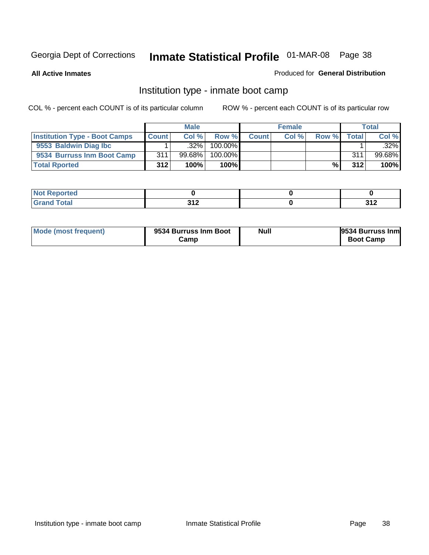**All Active Inmates**

## Produced for **General Distribution**

## Institution type - inmate boot camp

|                                      |              | <b>Male</b> |               |              | <b>Female</b> |       |        | <b>Total</b> |
|--------------------------------------|--------------|-------------|---------------|--------------|---------------|-------|--------|--------------|
| <b>Institution Type - Boot Camps</b> | <b>Count</b> | Col%        | Row %         | <b>Count</b> | Col %         | Row % | Totall | Col %        |
| 9553 Baldwin Diag Ibc                |              | $.32\%$     | 100.00%       |              |               |       |        | $.32\%$      |
| 9534 Burruss Inm Boot Camp           | 311          | 99.68%      | 100.00%       |              |               |       | 311    | 99.68%       |
| <b>Total Rported</b>                 | 312          | 100%        | 100% <b>I</b> |              |               | %     | 312    | 100%         |

| tea<br>___ |            |     |
|------------|------------|-----|
| 'otal      | 242        | 242 |
| _          | <b>VIA</b> | .   |

| Mode (most frequent) | 9534 Burruss Inm Boot<br>Camr | <b>Null</b> | 9534 Burruss Inm<br><b>Boot Camp</b> |
|----------------------|-------------------------------|-------------|--------------------------------------|
|----------------------|-------------------------------|-------------|--------------------------------------|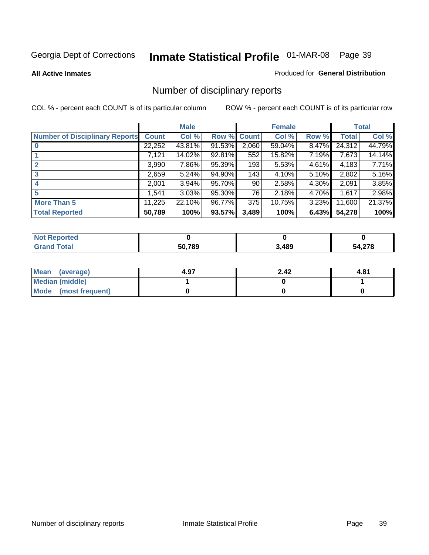#### **All Active Inmates**

#### Produced for **General Distribution**

## Number of disciplinary reports

|                                       |              | <b>Male</b> |        |              | <b>Female</b> |          |              | <b>Total</b> |
|---------------------------------------|--------------|-------------|--------|--------------|---------------|----------|--------------|--------------|
| <b>Number of Disciplinary Reports</b> | <b>Count</b> | Col %       | Row %  | <b>Count</b> | Col %         | Row %    | <b>Total</b> | Col %        |
|                                       | 22,252       | 43.81%      | 91.53% | 2,060        | $59.04\%$     | $8.47\%$ | 24,312       | 44.79%       |
|                                       | 7,121        | 14.02%      | 92.81% | 552          | 15.82%        | 7.19%    | 7,673        | 14.14%       |
| $\mathbf{2}$                          | 3,990        | 7.86%       | 95.39% | 193          | 5.53%         | 4.61%    | 4,183        | 7.71%        |
| 3                                     | 2,659        | 5.24%       | 94.90% | 143          | 4.10%         | 5.10%    | 2,802        | 5.16%        |
|                                       | 2,001        | $3.94\%$    | 95.70% | 90           | 2.58%         | 4.30%    | 2,091        | 3.85%        |
| 5                                     | 1,541        | 3.03%       | 95.30% | 76           | 2.18%         | 4.70%    | 1,617        | 2.98%        |
| <b>More Than 5</b>                    | 11,225       | 22.10%      | 96.77% | 375          | 10.75%        | 3.23%    | 11,600       | 21.37%       |
| <b>Total Reported</b>                 | 50,789       | 100%        | 93.57% | 3,489        | 100%          | 6.43%    | 54,278       | 100%         |

| $int^{\bullet}$<br>______ | EN 700 | 3.489 | $\sim$<br>$\mathbf{r}, \mathbf{z}$ , $\mathbf{v}$ |
|---------------------------|--------|-------|---------------------------------------------------|

| Mean (average)       | 4.97 | 2.42 | 4.81 |
|----------------------|------|------|------|
| Median (middle)      |      |      |      |
| Mode (most frequent) |      |      |      |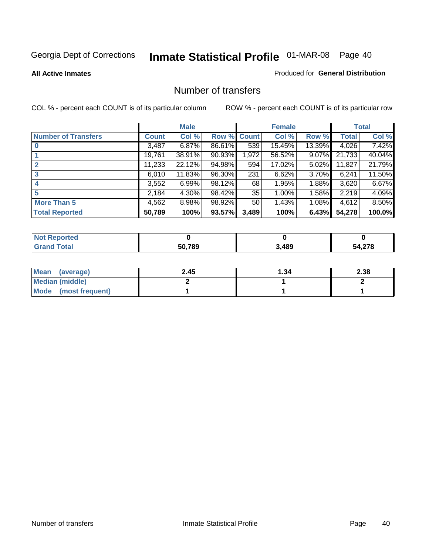**All Active Inmates**

#### Produced for **General Distribution**

## Number of transfers

|                            |         | <b>Male</b> |        |              | <b>Female</b> |          |              | <b>Total</b> |
|----------------------------|---------|-------------|--------|--------------|---------------|----------|--------------|--------------|
| <b>Number of Transfers</b> | Count l | Col %       | Row %  | <b>Count</b> | Col %         | Row %    | <b>Total</b> | Col %        |
|                            | 3,487   | 6.87%       | 86.61% | 539          | 15.45%        | 13.39%   | 4,026        | 7.42%        |
|                            | 19,761  | 38.91%      | 90.93% | 1,972        | 56.52%        | $9.07\%$ | 21,733       | 40.04%       |
| 2                          | 11,233  | 22.12%      | 94.98% | 594          | 17.02%        | $5.02\%$ | 11,827       | 21.79%       |
| 3                          | 6.010   | 11.83%      | 96.30% | 231          | 6.62%         | $3.70\%$ | 6,241        | 11.50%       |
|                            | 3,552   | 6.99%       | 98.12% | 68           | 1.95%         | $1.88\%$ | 3,620        | 6.67%        |
| 5                          | 2,184   | $4.30\%$    | 98.42% | 35           | 1.00%         | $1.58\%$ | 2,219        | 4.09%        |
| <b>More Than 5</b>         | 4,562   | 8.98%       | 98.92% | 50           | 1.43%         | $1.08\%$ | 4,612        | 8.50%        |
| <b>Total Reported</b>      | 50,789  | 100%        | 93.57% | 3,489        | 100%          | 6.43%    | 54,278       | 100.0%       |

| N                   |       |       |           |
|---------------------|-------|-------|-----------|
| $\sim$ 10<br>______ | 50789 | 3,489 | 270<br>יי |

| Mean (average)       | 2.45 | ∣.34 | 2.38 |
|----------------------|------|------|------|
| Median (middle)      |      |      |      |
| Mode (most frequent) |      |      |      |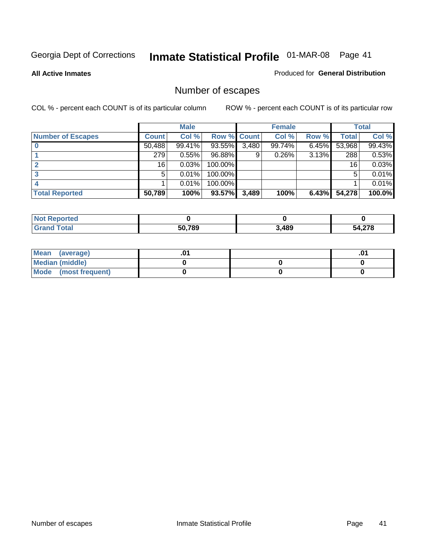**All Active Inmates**

#### Produced for **General Distribution**

## Number of escapes

|                          |              | <b>Male</b> |                    |       | <b>Female</b> |          |        | <b>Total</b> |
|--------------------------|--------------|-------------|--------------------|-------|---------------|----------|--------|--------------|
| <b>Number of Escapes</b> | <b>Count</b> | Col %       | <b>Row % Count</b> |       | Col %         | Row %    | Total  | Col %        |
|                          | 50,488       | 99.41%      | 93.55%             | 3,480 | 99.74%        | $6.45\%$ | 53,968 | 99.43%       |
|                          | 279          | 0.55%       | 96.88%             | 9     | 0.26%         | 3.13%    | 288    | 0.53%        |
|                          | 16           | 0.03%       | 100.00%            |       |               |          | 16     | 0.03%        |
|                          | 5            | 0.01%       | 100.00%            |       |               |          | 5      | 0.01%        |
|                          |              | 0.01%       | $100.00\%$         |       |               |          |        | 0.01%        |
| <b>Total Reported</b>    | 50,789       | 100%        | 93.57%             | 3,489 | 100%          | 6.43%    | 54,278 | 100.0%       |

| тео      |        |       |                         |
|----------|--------|-------|-------------------------|
| $T0$ tol | 50,789 | 3,489 | 1.270<br><i>. Z I</i> O |

| Mean (average)         |  | $.0^{\prime}$ |
|------------------------|--|---------------|
| <b>Median (middle)</b> |  |               |
| Mode (most frequent)   |  |               |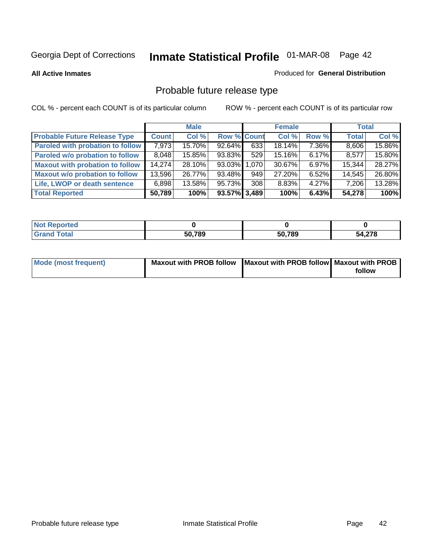**All Active Inmates**

#### Produced for **General Distribution**

## Probable future release type

|                                         |              | <b>Male</b> |                    |            | <b>Female</b> |          | <b>Total</b> |        |
|-----------------------------------------|--------------|-------------|--------------------|------------|---------------|----------|--------------|--------|
| <b>Probable Future Release Type</b>     | <b>Count</b> | Col%        | <b>Row % Count</b> |            | Col %         | Row %    | <b>Total</b> | Col %  |
| <b>Paroled with probation to follow</b> | 7,973        | 15.70%      | 92.64%             | 633        | 18.14%        | 7.36%    | 8,606        | 15.86% |
| Paroled w/o probation to follow         | 8,048        | 15.85%      | 93.83%             | 529        | 15.16%        | $6.17\%$ | 8,577        | 15.80% |
| <b>Maxout with probation to follow</b>  | 14,274       | 28.10%      | 93.03% 1.070       |            | 30.67%        | $6.97\%$ | 15,344       | 28.27% |
| <b>Maxout w/o probation to follow</b>   | 13,596       | 26.77%      | 93.48%             | $949 \mid$ | 27.20%        | $6.52\%$ | 14,545       | 26.80% |
| Life, LWOP or death sentence            | 6,898        | 13.58%      | 95.73%             | 308        | 8.83%         | $4.27\%$ | 7,206        | 13.28% |
| <b>Total Reported</b>                   | 50,789       | 100%        | 93.57% 3,489       |            | 100%          | 6.43%    | 54,278       | 100%   |

| Reported                    |        |        |        |
|-----------------------------|--------|--------|--------|
| <b>Total</b><br><b>Gran</b> | 50,789 | 50,789 | 54,278 |

| Mode (most frequent) | Maxout with PROB follow   Maxout with PROB follow   Maxout with PROB |        |
|----------------------|----------------------------------------------------------------------|--------|
|                      |                                                                      | follow |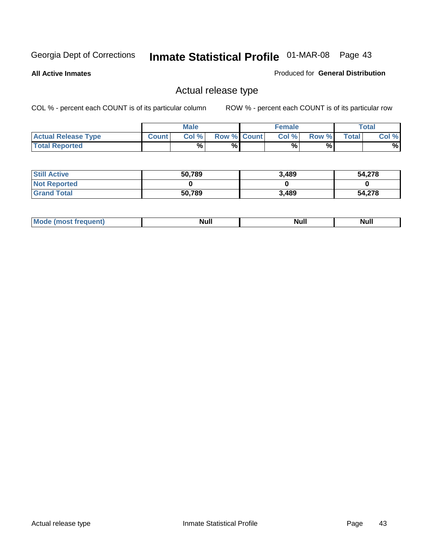**All Active Inmates**

#### Produced for **General Distribution**

## Actual release type

|                            |              | <b>Male</b> |                    | <b>Female</b> |       |             | Total |
|----------------------------|--------------|-------------|--------------------|---------------|-------|-------------|-------|
| <b>Actual Release Type</b> | <b>Count</b> | Col %       | <b>Row % Count</b> | Col %         | Row % | $\tau$ otal | Col % |
| <b>Total Reported</b>      |              | %           | %                  | %             | %     |             | %     |

| <b>Still Active</b> | 50,789 | 3,489 | 54,278 |
|---------------------|--------|-------|--------|
| <b>Not Reported</b> |        |       |        |
| <b>Grand Total</b>  | 50,789 | 3,489 | 54,278 |

| M<br>____<br>_____ | NI | Null | $\cdots$ |
|--------------------|----|------|----------|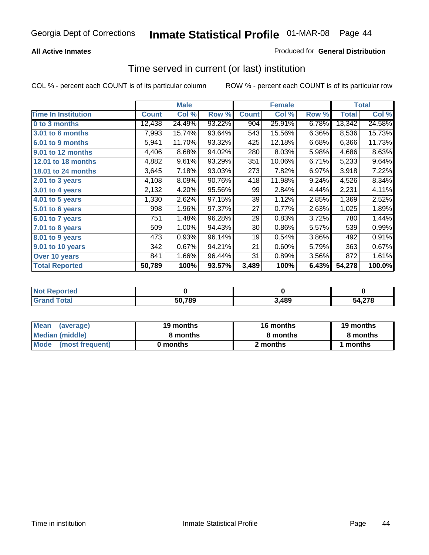## **All Active Inmates**

### Produced for **General Distribution**

## Time served in current (or last) institution

|                            |              | <b>Male</b> |        |              | <b>Female</b> |       |              | <b>Total</b> |
|----------------------------|--------------|-------------|--------|--------------|---------------|-------|--------------|--------------|
| <b>Time In Institution</b> | <b>Count</b> | Col %       | Row %  | <b>Count</b> | Col %         | Row % | <b>Total</b> | Col %        |
| 0 to 3 months              | 12,438       | 24.49%      | 93.22% | 904          | 25.91%        | 6.78% | 13,342       | 24.58%       |
| 3.01 to 6 months           | 7,993        | 15.74%      | 93.64% | 543          | 15.56%        | 6.36% | 8,536        | 15.73%       |
| 6.01 to 9 months           | 5,941        | 11.70%      | 93.32% | 425          | 12.18%        | 6.68% | 6,366        | 11.73%       |
| 9.01 to 12 months          | 4,406        | 8.68%       | 94.02% | 280          | 8.03%         | 5.98% | 4,686        | 8.63%        |
| <b>12.01 to 18 months</b>  | 4,882        | 9.61%       | 93.29% | 351          | 10.06%        | 6.71% | 5,233        | 9.64%        |
| 18.01 to 24 months         | 3,645        | 7.18%       | 93.03% | 273          | 7.82%         | 6.97% | 3,918        | 7.22%        |
| $2.01$ to 3 years          | 4,108        | 8.09%       | 90.76% | 418          | 11.98%        | 9.24% | 4,526        | 8.34%        |
| $3.01$ to 4 years          | 2,132        | 4.20%       | 95.56% | 99           | 2.84%         | 4.44% | 2,231        | 4.11%        |
| 4.01 to 5 years            | 1,330        | 2.62%       | 97.15% | 39           | 1.12%         | 2.85% | 1,369        | 2.52%        |
| 5.01 to 6 years            | 998          | 1.96%       | 97.37% | 27           | 0.77%         | 2.63% | 1,025        | 1.89%        |
| 6.01 to 7 years            | 751          | 1.48%       | 96.28% | 29           | 0.83%         | 3.72% | 780          | 1.44%        |
| 7.01 to 8 years            | 509          | 1.00%       | 94.43% | 30           | 0.86%         | 5.57% | 539          | 0.99%        |
| 8.01 to 9 years            | 473          | 0.93%       | 96.14% | 19           | 0.54%         | 3.86% | 492          | 0.91%        |
| 9.01 to 10 years           | 342          | 0.67%       | 94.21% | 21           | 0.60%         | 5.79% | 363          | 0.67%        |
| Over 10 years              | 841          | 1.66%       | 96.44% | 31           | 0.89%         | 3.56% | 872          | 1.61%        |
| <b>Total Reported</b>      | 50,789       | 100%        | 93.57% | 3,489        | 100%          | 6.43% | 54,278       | 100.0%       |

| <b>Not R</b><br><b>Reported</b> |        |      |                         |
|---------------------------------|--------|------|-------------------------|
| <b>Total</b>                    | 50,789 | ,489 | .27c<br>54 <sup>o</sup> |

| <b>Mean</b><br>(average) | 19 months | 16 months | 19 months |  |  |
|--------------------------|-----------|-----------|-----------|--|--|
| Median (middle)          | 8 months  | 8 months  | 8 months  |  |  |
| Mode<br>(most frequent)  | 0 months  | 2 months  | months    |  |  |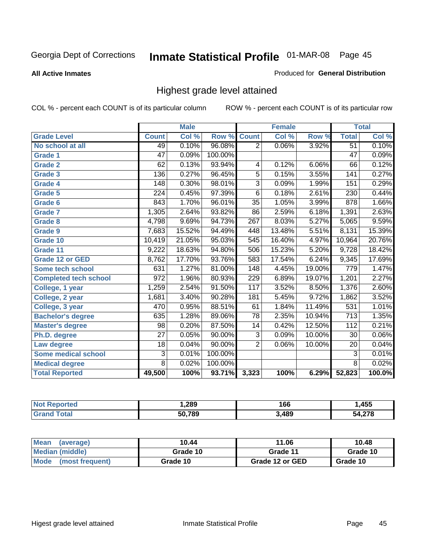**All Active Inmates**

#### Produced for **General Distribution**

## Highest grade level attained

|                              |                  | <b>Male</b> |         |                  | <b>Female</b> |        |                  | <b>Total</b> |
|------------------------------|------------------|-------------|---------|------------------|---------------|--------|------------------|--------------|
| <b>Grade Level</b>           | <b>Count</b>     | Col %       | Row %   | <b>Count</b>     | Col %         | Row %  | <b>Total</b>     | Col %        |
| No school at all             | 49               | 0.10%       | 96.08%  | $\overline{2}$   | 0.06%         | 3.92%  | $\overline{51}$  | 0.10%        |
| Grade 1                      | $\overline{47}$  | 0.09%       | 100.00% |                  |               |        | $\overline{47}$  | 0.09%        |
| <b>Grade 2</b>               | 62               | 0.13%       | 93.94%  | 4                | 0.12%         | 6.06%  | 66               | 0.12%        |
| <b>Grade 3</b>               | $\overline{136}$ | 0.27%       | 96.45%  | 5                | 0.15%         | 3.55%  | 141              | 0.27%        |
| Grade 4                      | $\overline{148}$ | 0.30%       | 98.01%  | $\overline{3}$   | 0.09%         | 1.99%  | 151              | 0.29%        |
| Grade 5                      | 224              | 0.45%       | 97.39%  | $\overline{6}$   | 0.18%         | 2.61%  | 230              | 0.44%        |
| Grade 6                      | 843              | 1.70%       | 96.01%  | $\overline{35}$  | 1.05%         | 3.99%  | $\overline{878}$ | 1.66%        |
| <b>Grade 7</b>               | 1,305            | 2.64%       | 93.82%  | 86               | 2.59%         | 6.18%  | 1,391            | 2.63%        |
| <b>Grade 8</b>               | 4,798            | 9.69%       | 94.73%  | $\overline{267}$ | 8.03%         | 5.27%  | 5,065            | 9.59%        |
| Grade 9                      | 7,683            | 15.52%      | 94.49%  | 448              | 13.48%        | 5.51%  | 8,131            | 15.39%       |
| Grade 10                     | 10,419           | 21.05%      | 95.03%  | $\overline{545}$ | 16.40%        | 4.97%  | 10,964           | 20.76%       |
| Grade 11                     | 9,222            | 18.63%      | 94.80%  | 506              | 15.23%        | 5.20%  | 9,728            | 18.42%       |
| <b>Grade 12 or GED</b>       | 8,762            | 17.70%      | 93.76%  | 583              | 17.54%        | 6.24%  | 9,345            | 17.69%       |
| <b>Some tech school</b>      | 631              | 1.27%       | 81.00%  | 148              | 4.45%         | 19.00% | 779              | 1.47%        |
| <b>Completed tech school</b> | 972              | 1.96%       | 80.93%  | 229              | 6.89%         | 19.07% | 1,201            | 2.27%        |
| College, 1 year              | 1,259            | 2.54%       | 91.50%  | 117              | 3.52%         | 8.50%  | 1,376            | 2.60%        |
| College, 2 year              | 1,681            | 3.40%       | 90.28%  | 181              | 5.45%         | 9.72%  | 1,862            | 3.52%        |
| College, 3 year              | 470              | 0.95%       | 88.51%  | 61               | 1.84%         | 11.49% | 531              | 1.01%        |
| <b>Bachelor's degree</b>     | 635              | 1.28%       | 89.06%  | $\overline{78}$  | 2.35%         | 10.94% | $\overline{713}$ | 1.35%        |
| <b>Master's degree</b>       | 98               | 0.20%       | 87.50%  | 14               | 0.42%         | 12.50% | 112              | 0.21%        |
| Ph.D. degree                 | $\overline{27}$  | 0.05%       | 90.00%  | $\overline{3}$   | 0.09%         | 10.00% | 30               | $0.06\%$     |
| Law degree                   | $\overline{18}$  | 0.04%       | 90.00%  | $\overline{2}$   | 0.06%         | 10.00% | $\overline{20}$  | 0.04%        |
| <b>Some medical school</b>   | $\overline{3}$   | 0.01%       | 100.00% |                  |               |        | $\overline{3}$   | 0.01%        |
| <b>Medical degree</b>        | $\overline{8}$   | 0.02%       | 100.00% |                  |               |        | $\overline{8}$   | 0.02%        |
| <b>Total Reported</b>        | 49,500           | 100%        | 93.71%  | 3,323            | 100%          | 6.29%  | 52,823           | 100.0%       |

| .289   | 166  | ,455 |
|--------|------|------|
| 50 789 | 489, | 070  |

| <b>Mean</b><br>(average)       | 10.44    | 11.06           | 10.48    |
|--------------------------------|----------|-----------------|----------|
| Median (middle)                | Grade 10 | Grade 11        | Grade 10 |
| <b>Mode</b><br>(most frequent) | Grade 10 | Grade 12 or GED | Grade 10 |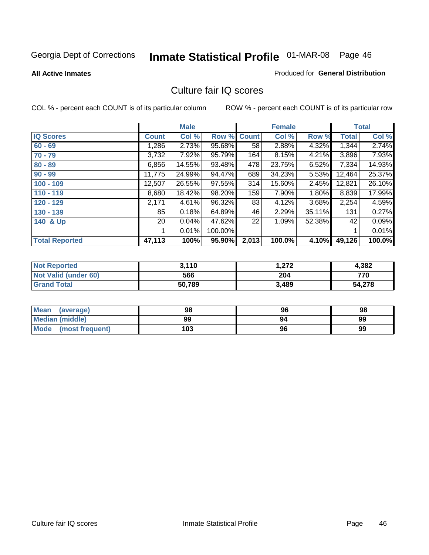**All Active Inmates**

#### Produced for **General Distribution**

## Culture fair IQ scores

|                       |              | <b>Male</b> |         |                 | <b>Female</b> |        |              | <b>Total</b> |
|-----------------------|--------------|-------------|---------|-----------------|---------------|--------|--------------|--------------|
| <b>IQ Scores</b>      | <b>Count</b> | Col %       | Row %   | <b>Count</b>    | Col %         | Row %  | <b>Total</b> | Col %        |
| $60 - 69$             | ,286         | 2.73%       | 95.68%  | 58 <sup>1</sup> | 2.88%         | 4.32%  | 1,344        | 2.74%        |
| $70 - 79$             | 3,732        | 7.92%       | 95.79%  | 164             | 8.15%         | 4.21%  | 3,896        | 7.93%        |
| $80 - 89$             | 6,856        | 14.55%      | 93.48%  | 478             | 23.75%        | 6.52%  | 7,334        | 14.93%       |
| $90 - 99$             | 11,775       | 24.99%      | 94.47%  | 689             | 34.23%        | 5.53%  | 12,464       | 25.37%       |
| $100 - 109$           | 12,507       | 26.55%      | 97.55%  | 314             | 15.60%        | 2.45%  | 12,821       | 26.10%       |
| $110 - 119$           | 8,680        | 18.42%      | 98.20%  | 159             | 7.90%         | 1.80%  | 8,839        | 17.99%       |
| 120 - 129             | 2,171        | 4.61%       | 96.32%  | 83              | 4.12%         | 3.68%  | 2,254        | 4.59%        |
| 130 - 139             | 85           | 0.18%       | 64.89%  | 46              | 2.29%         | 35.11% | 131          | 0.27%        |
| 140 & Up              | 20           | 0.04%       | 47.62%  | 22              | 1.09%         | 52.38% | 42           | 0.09%        |
|                       |              | 0.01%       | 100.00% |                 |               |        | 1            | 0.01%        |
| <b>Total Reported</b> | 47,113       | 100%        | 95.90%  | 2,013           | 100.0%        | 4.10%  | 49,126       | 100.0%       |

| <b>Not Reported</b>  | 3.110  | 272. ا | 4,382  |
|----------------------|--------|--------|--------|
| Not Valid (under 60) | 566    | 204    | 770    |
| <b>Grand Total</b>   | 50,789 | 3,489  | 54,278 |

| <b>Mean</b><br>(average) | 98  | 96 | 98 |
|--------------------------|-----|----|----|
| <b>Median (middle)</b>   | 99  | 94 | 99 |
| Mode (most frequent)     | 103 | 96 | 99 |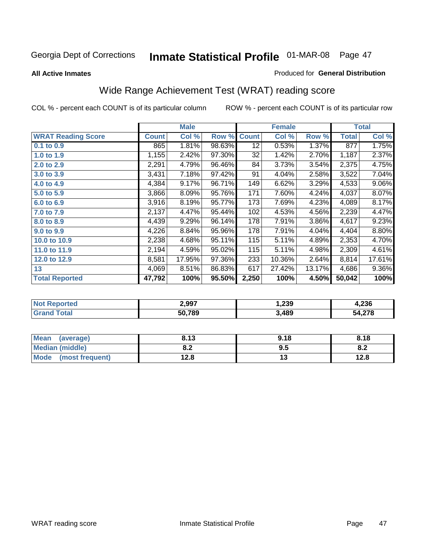#### **All Active Inmates**

#### Produced for **General Distribution**

## Wide Range Achievement Test (WRAT) reading score

|                           |              | <b>Male</b> |        |                 | <b>Female</b> |        |              | <b>Total</b> |
|---------------------------|--------------|-------------|--------|-----------------|---------------|--------|--------------|--------------|
| <b>WRAT Reading Score</b> | <b>Count</b> | Col %       | Row %  | <b>Count</b>    | Col %         | Row %  | <b>Total</b> | Col %        |
| $0.1$ to $0.9$            | 865          | 1.81%       | 98.63% | $\overline{12}$ | 0.53%         | 1.37%  | 877          | 1.75%        |
| 1.0 to 1.9                | 1,155        | 2.42%       | 97.30% | 32              | 1.42%         | 2.70%  | 1,187        | 2.37%        |
| 2.0 to 2.9                | 2,291        | 4.79%       | 96.46% | 84              | 3.73%         | 3.54%  | 2,375        | 4.75%        |
| 3.0 to 3.9                | 3,431        | 7.18%       | 97.42% | 91              | 4.04%         | 2.58%  | 3,522        | 7.04%        |
| 4.0 to 4.9                | 4,384        | 9.17%       | 96.71% | 149             | 6.62%         | 3.29%  | 4,533        | $9.06\%$     |
| 5.0 to 5.9                | 3,866        | 8.09%       | 95.76% | 171             | 7.60%         | 4.24%  | 4,037        | 8.07%        |
| 6.0 to 6.9                | 3,916        | 8.19%       | 95.77% | 173             | 7.69%         | 4.23%  | 4,089        | 8.17%        |
| 7.0 to 7.9                | 2,137        | 4.47%       | 95.44% | 102             | 4.53%         | 4.56%  | 2,239        | 4.47%        |
| 8.0 to 8.9                | 4,439        | 9.29%       | 96.14% | 178             | 7.91%         | 3.86%  | 4,617        | 9.23%        |
| 9.0 to 9.9                | 4,226        | 8.84%       | 95.96% | 178             | 7.91%         | 4.04%  | 4,404        | 8.80%        |
| 10.0 to 10.9              | 2,238        | 4.68%       | 95.11% | 115             | 5.11%         | 4.89%  | 2,353        | 4.70%        |
| 11.0 to 11.9              | 2,194        | 4.59%       | 95.02% | 115             | 5.11%         | 4.98%  | 2,309        | 4.61%        |
| 12.0 to 12.9              | 8,581        | 17.95%      | 97.36% | 233             | 10.36%        | 2.64%  | 8,814        | 17.61%       |
| 13                        | 4,069        | 8.51%       | 86.83% | 617             | 27.42%        | 13.17% | 4,686        | $9.36\%$     |
| <b>Total Reported</b>     | 47,792       | 100%        | 95.50% | 2,250           | 100%          | 4.50%  | 50,042       | 100%         |

| orted<br>N | 2,997  | 239, ا | 4,236 |
|------------|--------|--------|-------|
| ota.       | 50,789 | ,489   | 4,278 |

| Mean (average)       | 8.13       | 9.18 | 8.18      |
|----------------------|------------|------|-----------|
| Median (middle)      | י ס<br>o.z | 9.5  | ററ<br>o.z |
| Mode (most frequent) | 12.8       | ں ו  | 12.8      |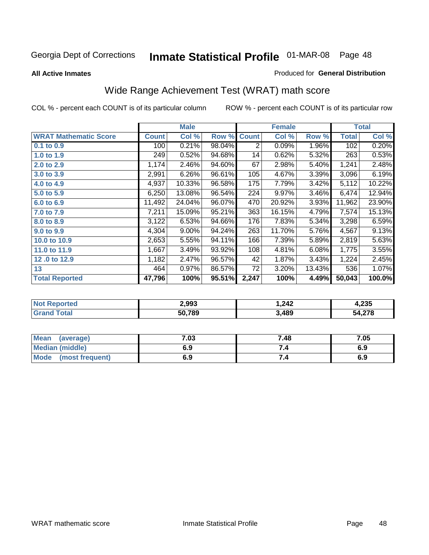## Georgia Dept of Corrections **Inmate Statistical Profile** 01-MAR-08 Page 48

**All Active Inmates**

#### Produced for **General Distribution**

## Wide Range Achievement Test (WRAT) math score

|                              |              | <b>Male</b> |        |              | <b>Female</b> |        |              | <b>Total</b> |
|------------------------------|--------------|-------------|--------|--------------|---------------|--------|--------------|--------------|
| <b>WRAT Mathematic Score</b> | <b>Count</b> | Col %       | Row %  | <b>Count</b> | Col %         | Row %  | <b>Total</b> | Col %        |
| 0.1 to 0.9                   | 100          | 0.21%       | 98.04% | 2            | 0.09%         | 1.96%  | 102          | 0.20%        |
| 1.0 to 1.9                   | 249          | 0.52%       | 94.68% | 14           | 0.62%         | 5.32%  | 263          | 0.53%        |
| 2.0 to 2.9                   | 1,174        | 2.46%       | 94.60% | 67           | 2.98%         | 5.40%  | 1,241        | 2.48%        |
| 3.0 to 3.9                   | 2,991        | 6.26%       | 96.61% | 105          | 4.67%         | 3.39%  | 3,096        | 6.19%        |
| 4.0 to 4.9                   | 4,937        | 10.33%      | 96.58% | 175          | 7.79%         | 3.42%  | 5,112        | 10.22%       |
| 5.0 to 5.9                   | 6,250        | 13.08%      | 96.54% | 224          | 9.97%         | 3.46%  | 6,474        | 12.94%       |
| 6.0 to 6.9                   | 11,492       | 24.04%      | 96.07% | 470          | 20.92%        | 3.93%  | 11,962       | 23.90%       |
| 7.0 to 7.9                   | 7,211        | 15.09%      | 95.21% | 363          | 16.15%        | 4.79%  | 7,574        | 15.13%       |
| 8.0 to 8.9                   | 3,122        | 6.53%       | 94.66% | 176          | 7.83%         | 5.34%  | 3,298        | 6.59%        |
| 9.0 to 9.9                   | 4,304        | 9.00%       | 94.24% | 263          | 11.70%        | 5.76%  | 4,567        | 9.13%        |
| 10.0 to 10.9                 | 2,653        | 5.55%       | 94.11% | 166          | 7.39%         | 5.89%  | 2,819        | 5.63%        |
| 11.0 to 11.9                 | 1,667        | 3.49%       | 93.92% | 108          | 4.81%         | 6.08%  | 1,775        | 3.55%        |
| 12.0 to 12.9                 | 1,182        | 2.47%       | 96.57% | 42           | 1.87%         | 3.43%  | 1,224        | 2.45%        |
| 13                           | 464          | $0.97\%$    | 86.57% | 72           | 3.20%         | 13.43% | 536          | 1.07%        |
| <b>Total Reported</b>        | 47,796       | 100%        | 95.51% | 2,247        | 100%          | 4.49%  | 50,043       | 100.0%       |

| 2.993  | 1,242 | 1,235 |
|--------|-------|-------|
| 50,789 | ,489  | 4,278 |

| <b>Mean</b><br>(average)       | .03 | 7.48 | 7.05 |
|--------------------------------|-----|------|------|
| <b>Median (middle)</b>         | 6.9 |      | 6.9  |
| <b>Mode</b><br>(most frequent) | 6.9 | 7.4  | 6.9  |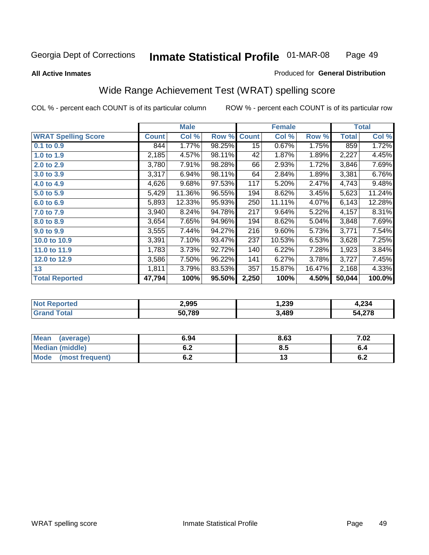#### **All Active Inmates**

#### Produced for **General Distribution**

## Wide Range Achievement Test (WRAT) spelling score

|                            |              | <b>Male</b> |        |              | <b>Female</b> |        |              | <b>Total</b> |
|----------------------------|--------------|-------------|--------|--------------|---------------|--------|--------------|--------------|
| <b>WRAT Spelling Score</b> | <b>Count</b> | Col %       | Row %  | <b>Count</b> | Col %         | Row %  | <b>Total</b> | Col %        |
| 0.1 to 0.9                 | 844          | 1.77%       | 98.25% | 15           | 0.67%         | 1.75%  | 859          | 1.72%        |
| 1.0 to 1.9                 | 2,185        | 4.57%       | 98.11% | 42           | 1.87%         | 1.89%  | 2,227        | 4.45%        |
| 2.0 to 2.9                 | 3,780        | 7.91%       | 98.28% | 66           | 2.93%         | 1.72%  | 3,846        | 7.69%        |
| 3.0 to 3.9                 | 3,317        | 6.94%       | 98.11% | 64           | 2.84%         | 1.89%  | 3,381        | 6.76%        |
| 4.0 to 4.9                 | 4,626        | 9.68%       | 97.53% | 117          | 5.20%         | 2.47%  | 4,743        | 9.48%        |
| 5.0 to 5.9                 | 5,429        | 11.36%      | 96.55% | 194          | 8.62%         | 3.45%  | 5,623        | 11.24%       |
| 6.0 to 6.9                 | 5,893        | 12.33%      | 95.93% | 250          | 11.11%        | 4.07%  | 6,143        | 12.28%       |
| 7.0 to 7.9                 | 3,940        | 8.24%       | 94.78% | 217          | 9.64%         | 5.22%  | 4,157        | 8.31%        |
| 8.0 to 8.9                 | 3,654        | 7.65%       | 94.96% | 194          | 8.62%         | 5.04%  | 3,848        | 7.69%        |
| 9.0 to 9.9                 | 3,555        | 7.44%       | 94.27% | 216          | 9.60%         | 5.73%  | 3,771        | 7.54%        |
| 10.0 to 10.9               | 3,391        | 7.10%       | 93.47% | 237          | 10.53%        | 6.53%  | 3,628        | 7.25%        |
| 11.0 to 11.9               | 1,783        | 3.73%       | 92.72% | 140          | 6.22%         | 7.28%  | 1,923        | 3.84%        |
| 12.0 to 12.9               | 3,586        | 7.50%       | 96.22% | 141          | 6.27%         | 3.78%  | 3,727        | 7.45%        |
| 13                         | 1,811        | 3.79%       | 83.53% | 357          | 15.87%        | 16.47% | 2,168        | 4.33%        |
| <b>Total Reported</b>      | 47,794       | 100%        | 95.50% | 2,250        | 100%          | 4.50%  | 50,044       | 100.0%       |

| <b>rteo</b><br>NO | 2,995  | 1,239 | 1,234        |
|-------------------|--------|-------|--------------|
|                   | 50,789 | ,489  | 4,278ر<br>54 |

| <b>Mean</b><br>(average)       | 6.94       | 8.63 | 7.02 |
|--------------------------------|------------|------|------|
| <b>Median (middle)</b>         | ο.Ζ        | ၓ.ͻ  |      |
| <b>Mode</b><br>(most frequent) | . .<br>U.Z | . .  | ν.Ζ  |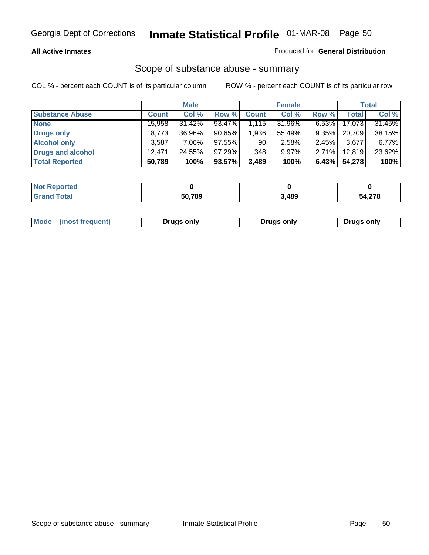#### **All Active Inmates**

### Produced for **General Distribution**

## Scope of substance abuse - summary

|                        |              | <b>Male</b> |           |              | <b>Female</b> |          |              | <b>Total</b> |
|------------------------|--------------|-------------|-----------|--------------|---------------|----------|--------------|--------------|
| <b>Substance Abuse</b> | <b>Count</b> | Col %       | Row %     | <b>Count</b> | Col %         | Row %    | <b>Total</b> | Col %        |
| <b>None</b>            | 15,958       | $31.42\%$   | $93.47\%$ | 1,115        | 31.96%        | $6.53\%$ | 17,073       | 31.45%       |
| Drugs only             | 18,773       | 36.96%      | $90.65\%$ | 1,936        | 55.49%        | $9.35\%$ | 20.709       | 38.15%       |
| <b>Alcohol only</b>    | 3,587        | $7.06\%$    | 97.55%    | 90           | 2.58%         | $2.45\%$ | 3,677        | 6.77%        |
| Drugs and alcohol      | 12.471       | 24.55%      | $97.29\%$ | 348          | $9.97\%$      | $2.71\%$ | 12,819       | 23.62%       |
| <b>Total Reported</b>  | 50,789       | 100%        | 93.57%    | 3,489        | 100%          | 6.43%    | 54,278       | 100%         |

| <b>Not Reported</b> |        |       |                 |
|---------------------|--------|-------|-----------------|
| Grand Total         | 50.789 | 3,489 | 1.270<br>54.278 |

|  | Mode<br>(most freauent) | Drugs only | Druas only | Drugs only |
|--|-------------------------|------------|------------|------------|
|--|-------------------------|------------|------------|------------|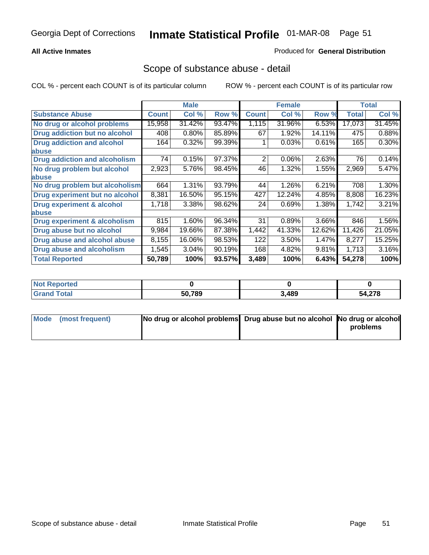### **All Active Inmates**

#### Produced for **General Distribution**

## Scope of substance abuse - detail

|                                      |              | <b>Male</b> |        |              | <b>Female</b> |        |              | <b>Total</b> |
|--------------------------------------|--------------|-------------|--------|--------------|---------------|--------|--------------|--------------|
| <b>Substance Abuse</b>               | <b>Count</b> | Col %       | Row %  | <b>Count</b> | Col %         | Row %  | <b>Total</b> | Col %        |
| No drug or alcohol problems          | 15,958       | 31.42%      | 93.47% | 1,115        | 31.96%        | 6.53%  | 17,073       | 31.45%       |
| Drug addiction but no alcohol        | 408          | 0.80%       | 85.89% | 67           | 1.92%         | 14.11% | 475          | 0.88%        |
| <b>Drug addiction and alcohol</b>    | 164          | 0.32%       | 99.39% |              | 0.03%         | 0.61%  | 165          | $0.30\%$     |
| abuse                                |              |             |        |              |               |        |              |              |
| <b>Drug addiction and alcoholism</b> | 74           | 0.15%       | 97.37% | 2            | 0.06%         | 2.63%  | 76           | 0.14%        |
| No drug problem but alcohol          | 2,923        | 5.76%       | 98.45% | 46           | 1.32%         | 1.55%  | 2,969        | 5.47%        |
| <b>labuse</b>                        |              |             |        |              |               |        |              |              |
| No drug problem but alcoholism       | 664          | 1.31%       | 93.79% | 44           | 1.26%         | 6.21%  | 708          | 1.30%        |
| Drug experiment but no alcohol       | 8,381        | 16.50%      | 95.15% | 427          | 12.24%        | 4.85%  | 8,808        | 16.23%       |
| <b>Drug experiment &amp; alcohol</b> | 1,718        | 3.38%       | 98.62% | 24           | 0.69%         | 1.38%  | 1,742        | 3.21%        |
| <b>labuse</b>                        |              |             |        |              |               |        |              |              |
| Drug experiment & alcoholism         | 815          | 1.60%       | 96.34% | 31           | 0.89%         | 3.66%  | 846          | 1.56%        |
| Drug abuse but no alcohol            | 9,984        | 19.66%      | 87.38% | 1,442        | 41.33%        | 12.62% | 11,426       | 21.05%       |
| Drug abuse and alcohol abuse         | 8,155        | 16.06%      | 98.53% | 122          | 3.50%         | 1.47%  | 8,277        | 15.25%       |
| <b>Drug abuse and alcoholism</b>     | 1,545        | 3.04%       | 90.19% | 168          | 4.82%         | 9.81%  | 1,713        | 3.16%        |
| <b>Total Reported</b>                | 50,789       | 100%        | 93.57% | 3,489        | 100%          | 6.43%  | 54,278       | 100%         |

| : Reported<br><b>NOT</b> |        |       |                 |
|--------------------------|--------|-------|-----------------|
| 'otal                    | 50.789 | 3,489 | - 270<br>J4.Z10 |

| Mode (most frequent) | No drug or alcohol problems Drug abuse but no alcohol No drug or alcohol |          |
|----------------------|--------------------------------------------------------------------------|----------|
|                      |                                                                          | problems |
|                      |                                                                          |          |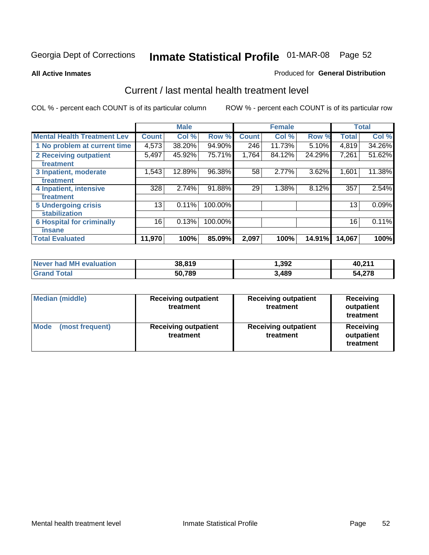#### **All Active Inmates**

#### Produced for **General Distribution**

## Current / last mental health treatment level

|                                    |              | <b>Male</b> |         |              | <b>Female</b> |        |              | <b>Total</b> |
|------------------------------------|--------------|-------------|---------|--------------|---------------|--------|--------------|--------------|
| <b>Mental Health Treatment Lev</b> | <b>Count</b> | Col %       | Row %   | <b>Count</b> | Col %         | Row %  | <b>Total</b> | Col %        |
| 1 No problem at current time       | 4,573        | 38.20%      | 94.90%  | 246          | 11.73%        | 5.10%  | 4,819        | 34.26%       |
| 2 Receiving outpatient             | 5,497        | 45.92%      | 75.71%  | 1,764        | 84.12%        | 24.29% | 7,261        | 51.62%       |
| treatment                          |              |             |         |              |               |        |              |              |
| 3 Inpatient, moderate              | 1,543        | 12.89%      | 96.38%  | 58           | 2.77%         | 3.62%  | 1,601        | 11.38%       |
| treatment                          |              |             |         |              |               |        |              |              |
| 4 Inpatient, intensive             | 328          | 2.74%       | 91.88%  | 29           | 1.38%         | 8.12%  | 357          | 2.54%        |
| treatment                          |              |             |         |              |               |        |              |              |
| <b>5 Undergoing crisis</b>         | 13           | 0.11%       | 100.00% |              |               |        | 13           | 0.09%        |
| stabilization                      |              |             |         |              |               |        |              |              |
| <b>6 Hospital for criminally</b>   | 16           | 0.13%       | 100.00% |              |               |        | 16           | 0.11%        |
| insane                             |              |             |         |              |               |        |              |              |
| <b>Total Evaluated</b>             | 11,970       | 100%        | 85.09%  | 2,097        | 100%          | 14.91% | 14,067       | 100%         |

| Never had MH evaluation | 38,819 | 1,392 | 40,211 |
|-------------------------|--------|-------|--------|
| <b>Grand Total</b>      | 50,789 | 3,489 | 54,278 |

| <b>Median (middle)</b>         | <b>Receiving outpatient</b><br>treatment | <b>Receiving outpatient</b><br>treatment | <b>Receiving</b><br>outpatient<br>treatment |
|--------------------------------|------------------------------------------|------------------------------------------|---------------------------------------------|
| <b>Mode</b><br>(most frequent) | <b>Receiving outpatient</b><br>treatment | <b>Receiving outpatient</b><br>treatment | <b>Receiving</b><br>outpatient<br>treatment |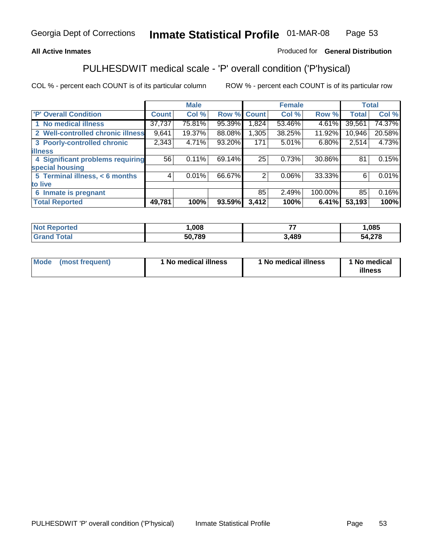### **All Active Inmates**

## Produced for **General Distribution**

## PULHESDWIT medical scale - 'P' overall condition ('P'hysical)

|                                   |              | <b>Male</b> |        |              | <b>Female</b> |         |              | <b>Total</b> |
|-----------------------------------|--------------|-------------|--------|--------------|---------------|---------|--------------|--------------|
| 'P' Overall Condition             | <b>Count</b> | Col %       | Row %  | <b>Count</b> | Col %         | Row %   | <b>Total</b> | Col %        |
| 1 No medical illness              | 37,737       | 75.81%      | 95.39% | 1,824        | 53.46%        | 4.61%   | 39,561       | 74.37%       |
| 2 Well-controlled chronic illness | 9,641        | 19.37%      | 88.08% | 1,305        | 38.25%        | 11.92%  | 10,946       | 20.58%       |
| 3 Poorly-controlled chronic       | 2,343        | 4.71%       | 93.20% | 171          | 5.01%         | 6.80%   | 2,514        | 4.73%        |
| <b>illness</b>                    |              |             |        |              |               |         |              |              |
| 4 Significant problems requiring  | 56           | 0.11%       | 69.14% | 25           | 0.73%         | 30.86%  | 81           | 0.15%        |
| special housing                   |              |             |        |              |               |         |              |              |
| 5 Terminal illness, < 6 months    | 4            | 0.01%       | 66.67% | 2            | 0.06%         | 33.33%  | 6            | 0.01%        |
| to live                           |              |             |        |              |               |         |              |              |
| Inmate is pregnant<br>6           |              |             |        | 85           | 2.49%         | 100.00% | 85           | 0.16%        |
| <b>Total Reported</b>             | 49,781       | 100%        | 93.59% | 3,412        | 100%          | 6.41%   | 53,193       | 100%         |

| <b>Not Reported</b> | ,008   |      | ,085   |
|---------------------|--------|------|--------|
| <b>Grand Total</b>  | 50,789 | ,489 | 54,278 |

| Mode (most frequent) | 1 No medical illness | 1 No medical illness | 1 No medical |
|----------------------|----------------------|----------------------|--------------|
|                      |                      |                      | illness      |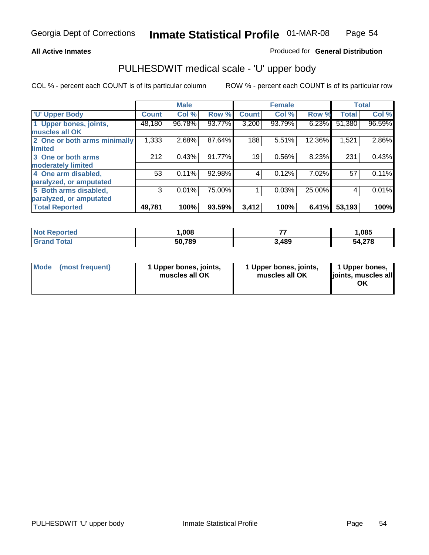#### **All Active Inmates**

#### Produced for **General Distribution**

## PULHESDWIT medical scale - 'U' upper body

|                              |              | <b>Male</b> |        |              | <b>Female</b> |        |              | <b>Total</b> |
|------------------------------|--------------|-------------|--------|--------------|---------------|--------|--------------|--------------|
| <b>U' Upper Body</b>         | <b>Count</b> | Col %       | Row %  | <b>Count</b> | Col %         | Row %  | <b>Total</b> | Col %        |
| 1 Upper bones, joints,       | 48,180       | 96.78%      | 93.77% | 3,200        | 93.79%        | 6.23%  | 51,380       | 96.59%       |
| muscles all OK               |              |             |        |              |               |        |              |              |
| 2 One or both arms minimally | 1,333        | 2.68%       | 87.64% | 188          | 5.51%         | 12.36% | 1,521        | 2.86%        |
| limited                      |              |             |        |              |               |        |              |              |
| 3 One or both arms           | 212          | 0.43%       | 91.77% | 19           | 0.56%         | 8.23%  | 231          | 0.43%        |
| moderately limited           |              |             |        |              |               |        |              |              |
| 4 One arm disabled,          | 53           | 0.11%       | 92.98% | 4            | 0.12%         | 7.02%  | 57           | 0.11%        |
| paralyzed, or amputated      |              |             |        |              |               |        |              |              |
| 5 Both arms disabled,        | 3            | 0.01%       | 75.00% |              | 0.03%         | 25.00% | 4            | 0.01%        |
| paralyzed, or amputated      |              |             |        |              |               |        |              |              |
| <b>Total Reported</b>        | 49,781       | 100%        | 93.59% | 3,412        | 100%          | 6.41%  | 53,193       | 100%         |

| <b>Not Reported</b>   | .008   | --    | ,085   |
|-----------------------|--------|-------|--------|
| $\tau$ otal<br>'Grand | 50,789 | 3,489 | 54,278 |

| <b>Mode</b> | (most frequent) | 1 Upper bones, joints,<br>muscles all OK | 1 Upper bones, joints,<br>muscles all OK | 1 Upper bones,<br>joints, muscles all<br>ΟK |
|-------------|-----------------|------------------------------------------|------------------------------------------|---------------------------------------------|
|-------------|-----------------|------------------------------------------|------------------------------------------|---------------------------------------------|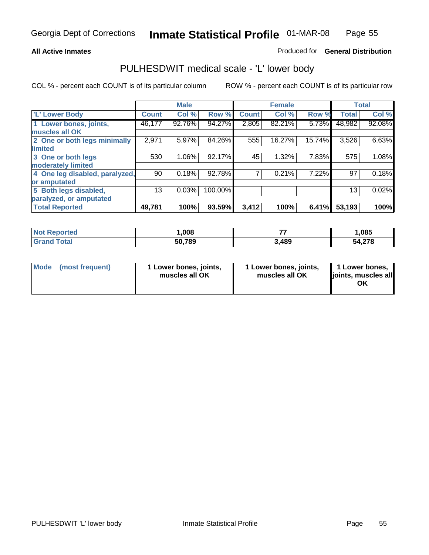## **All Active Inmates**

## Produced for **General Distribution**

## PULHESDWIT medical scale - 'L' lower body

|                                |         | <b>Male</b> |         |              | <b>Female</b> |        |              | <b>Total</b> |
|--------------------------------|---------|-------------|---------|--------------|---------------|--------|--------------|--------------|
| <b>L' Lower Body</b>           | Count ! | Col %       | Row %   | <b>Count</b> | Col %         | Row %  | <b>Total</b> | Col %        |
| 1 Lower bones, joints,         | 46,177  | 92.76%      | 94.27%  | 2,805        | 82.21%        | 5.73%  | 48,982       | 92.08%       |
| muscles all OK                 |         |             |         |              |               |        |              |              |
| 2 One or both legs minimally   | 2,971   | 5.97%       | 84.26%  | 555          | 16.27%        | 15.74% | 3,526        | 6.63%        |
| limited                        |         |             |         |              |               |        |              |              |
| 3 One or both legs             | 530     | 1.06%       | 92.17%  | 45           | 1.32%         | 7.83%  | 575          | 1.08%        |
| moderately limited             |         |             |         |              |               |        |              |              |
| 4 One leg disabled, paralyzed, | 90      | 0.18%       | 92.78%  |              | 0.21%         | 7.22%  | 97           | 0.18%        |
| or amputated                   |         |             |         |              |               |        |              |              |
| 5 Both legs disabled,          | 13      | 0.03%       | 100.00% |              |               |        | 13           | 0.02%        |
| paralyzed, or amputated        |         |             |         |              |               |        |              |              |
| <b>Total Reported</b>          | 49,781  | 100%        | 93.59%  | 3,412        | 100%          | 6.41%  | 53,193       | 100%         |

| Reported<br><b>Not F</b>               | .008   | --    | ,085   |
|----------------------------------------|--------|-------|--------|
| <sup>-</sup> otal<br>"Gra <sub>n</sub> | 50,789 | 3,489 | 54,278 |

|  | Mode (most frequent) | 1 Lower bones, joints,<br>muscles all OK | 1 Lower bones, joints,<br>muscles all OK | 1 Lower bones,<br>joints, muscles all<br>OK |
|--|----------------------|------------------------------------------|------------------------------------------|---------------------------------------------|
|--|----------------------|------------------------------------------|------------------------------------------|---------------------------------------------|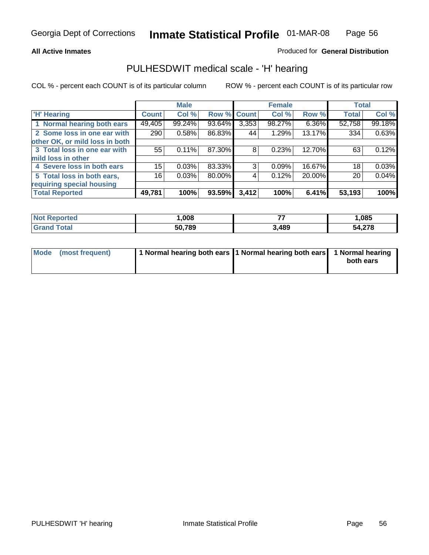#### **All Active Inmates**

#### Produced for **General Distribution**

## PULHESDWIT medical scale - 'H' hearing

|                                |              | <b>Male</b> |             |       | <b>Female</b> |        | <b>Total</b> |        |
|--------------------------------|--------------|-------------|-------------|-------|---------------|--------|--------------|--------|
| <b>H'</b> Hearing              | <b>Count</b> | Col %       | Row % Count |       | Col %         | Row %  | <b>Total</b> | Col %  |
| 1 Normal hearing both ears     | 49,405       | 99.24%      | 93.64%      | 3,353 | 98.27%        | 6.36%  | 52,758       | 99.18% |
| 2 Some loss in one ear with    | 290          | 0.58%       | 86.83%      | 44    | 1.29%         | 13.17% | 334          | 0.63%  |
| other OK, or mild loss in both |              |             |             |       |               |        |              |        |
| 3 Total loss in one ear with   | 55           | 0.11%       | 87.30%      | 8     | 0.23%         | 12.70% | 63           | 0.12%  |
| mild loss in other             |              |             |             |       |               |        |              |        |
| 4 Severe loss in both ears     | 15           | 0.03%       | 83.33%      | 3     | 0.09%         | 16.67% | 18           | 0.03%  |
| 5 Total loss in both ears,     | 16           | 0.03%       | 80.00%      | 4     | 0.12%         | 20.00% | 20           | 0.04%  |
| requiring special housing      |              |             |             |       |               |        |              |        |
| <b>Total Reported</b>          | 49,781       | 100%        | 93.59%      | 3,412 | 100%          | 6.41%  | 53,193       | 100%   |

| orted        | ,008   | --   | 085. ا        |
|--------------|--------|------|---------------|
| <b>Total</b> | 50.789 | ,489 | 54,278<br>- 4 |

| Mode (most frequent) | 1 Normal hearing both ears   1 Normal hearing both ears   1 Normal hearing |           |
|----------------------|----------------------------------------------------------------------------|-----------|
|                      |                                                                            | both ears |
|                      |                                                                            |           |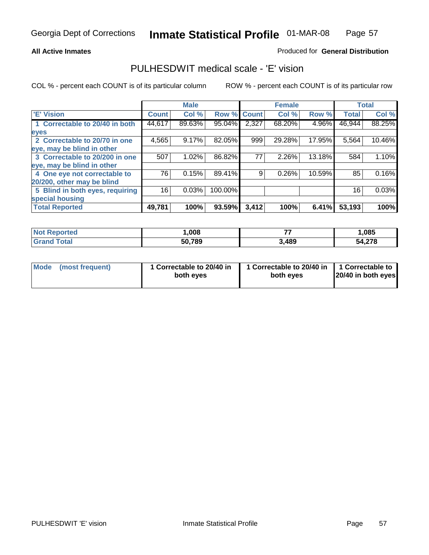#### **All Active Inmates**

### Produced for **General Distribution**

## PULHESDWIT medical scale - 'E' vision

|                                 |              | <b>Male</b> |             |       | <b>Female</b> |        |              | <b>Total</b> |
|---------------------------------|--------------|-------------|-------------|-------|---------------|--------|--------------|--------------|
| 'E' Vision                      | <b>Count</b> | Col %       | Row % Count |       | Col %         | Row %  | <b>Total</b> | Col %        |
| 1 Correctable to 20/40 in both  | 44,617       | 89.63%      | 95.04%      | 2,327 | 68.20%        | 4.96%  | 46,944       | 88.25%       |
| eyes                            |              |             |             |       |               |        |              |              |
| 2 Correctable to 20/70 in one   | 4,565        | 9.17%       | 82.05%      | 999   | 29.28%        | 17.95% | 5,564        | 10.46%       |
| eye, may be blind in other      |              |             |             |       |               |        |              |              |
| 3 Correctable to 20/200 in one  | 507          | 1.02%       | 86.82%      | 77    | 2.26%         | 13.18% | 584          | 1.10%        |
| eye, may be blind in other      |              |             |             |       |               |        |              |              |
| 4 One eye not correctable to    | 76           | 0.15%       | 89.41%      | 9     | 0.26%         | 10.59% | 85           | 0.16%        |
| 20/200, other may be blind      |              |             |             |       |               |        |              |              |
| 5 Blind in both eyes, requiring | 16           | 0.03%       | 100.00%     |       |               |        | 16           | 0.03%        |
| special housing                 |              |             |             |       |               |        |              |              |
| <b>Total Reported</b>           | 49,781       | 100%        | 93.59%      | 3,412 | 100%          | 6.41%  | 53,193       | 100%         |

| <b>Not Reported</b> | ,008   | --    | ,085   |
|---------------------|--------|-------|--------|
| Total<br>Gran       | 50,789 | 3,489 | 54,278 |

| Mode | (most frequent) | 1 Correctable to 20/40 in<br>both eyes | 1 Correctable to 20/40 in   1 Correctable to<br>both eyes | 20/40 in both eyes |
|------|-----------------|----------------------------------------|-----------------------------------------------------------|--------------------|
|      |                 |                                        |                                                           |                    |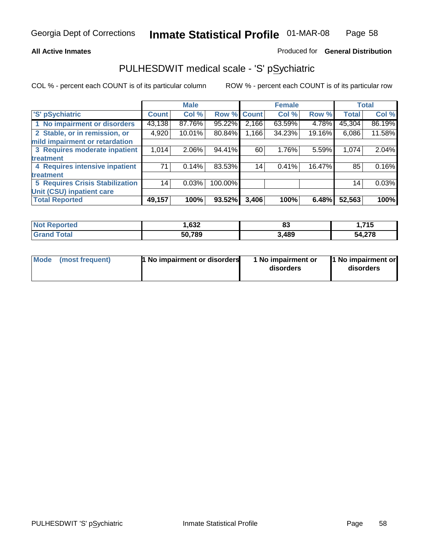#### **All Active Inmates**

#### Produced for **General Distribution**

## PULHESDWIT medical scale - 'S' pSychiatric

|                                        |              | <b>Male</b> |         |              | <b>Female</b> |        |              | <b>Total</b> |
|----------------------------------------|--------------|-------------|---------|--------------|---------------|--------|--------------|--------------|
| 'S' pSychiatric                        | <b>Count</b> | Col %       | Row %   | <b>Count</b> | Col %         | Row %  | <b>Total</b> | Col %        |
| 1 No impairment or disorders           | 43,138       | 87.76%      | 95.22%  | 2,166        | 63.59%        | 4.78%  | 45,304       | 86.19%       |
| 2 Stable, or in remission, or          | 4,920        | 10.01%      | 80.84%  | 1,166        | 34.23%        | 19.16% | 6,086        | 11.58%       |
| mild impairment or retardation         |              |             |         |              |               |        |              |              |
| 3 Requires moderate inpatient          | 1,014        | $2.06\%$    | 94.41%  | 60           | 1.76%         | 5.59%  | 1,074        | 2.04%        |
| treatment                              |              |             |         |              |               |        |              |              |
| 4 Requires intensive inpatient         | 71           | 0.14%       | 83.53%  | 14           | 0.41%         | 16.47% | 85           | 0.16%        |
| treatment                              |              |             |         |              |               |        |              |              |
| <b>5 Requires Crisis Stabilization</b> | 14           | 0.03%       | 100.00% |              |               |        | 14           | 0.03%        |
| Unit (CSU) inpatient care              |              |             |         |              |               |        |              |              |
| <b>Total Reported</b>                  | 49,157       | 100%        | 93.52%  | 3,406        | 100%          | 6.48%  | 52,563       | 100%         |

| <b>Not Reported</b>         | 632, ا | o-<br>ია | 1,715  |
|-----------------------------|--------|----------|--------|
| $\tau$ otal<br><b>Grand</b> | 50,789 | 3,489    | 54,278 |

| Mode (most frequent) | <b>1</b> No impairment or disorders | 1 No impairment or<br>disorders | 1 No impairment or<br>disorders |
|----------------------|-------------------------------------|---------------------------------|---------------------------------|
|                      |                                     |                                 |                                 |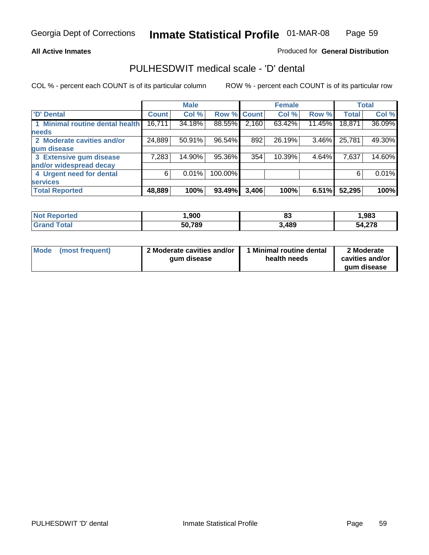#### **All Active Inmates**

#### Produced for **General Distribution**

## PULHESDWIT medical scale - 'D' dental

|                                 |              | <b>Male</b> |             |       | <b>Female</b> |          |              | <b>Total</b> |
|---------------------------------|--------------|-------------|-------------|-------|---------------|----------|--------------|--------------|
| <b>D' Dental</b>                | <b>Count</b> | Col %       | Row % Count |       | Col %         | Row %    | <b>Total</b> | Col %        |
| 1 Minimal routine dental health | 16,711       | 34.18%      | 88.55%      | 2,160 | 63.42%        | 11.45%   | 18,871       | 36.09%       |
| <b>needs</b>                    |              |             |             |       |               |          |              |              |
| 2 Moderate cavities and/or      | 24,889       | 50.91%      | 96.54%      | 892   | 26.19%        | $3.46\%$ | 25,781       | 49.30%       |
| gum disease                     |              |             |             |       |               |          |              |              |
| 3 Extensive gum disease         | 7,283        | 14.90%      | 95.36%      | 354   | 10.39%        | 4.64%    | 7,637        | 14.60%       |
| and/or widespread decay         |              |             |             |       |               |          |              |              |
| 4 Urgent need for dental        | 6            | 0.01%       | 100.00%     |       |               |          | 6            | 0.01%        |
| <b>services</b>                 |              |             |             |       |               |          |              |              |
| <b>Total Reported</b>           | 48,889       | 100%        | 93.49%      | 3,406 | 100%          | 6.51%    | 52,295       | 100%         |

| orted<br>NG       | ,900   | n-<br>υJ | 983. ا      |
|-------------------|--------|----------|-------------|
| <b>ota</b><br>Gr. | 50,789 | 3,489    | 4,278<br>54 |

| <b>Mode</b> | (most frequent) | 2 Moderate cavities and/or<br>qum disease | Minimal routine dental<br>health needs | 2 Moderate<br>cavities and/or |
|-------------|-----------------|-------------------------------------------|----------------------------------------|-------------------------------|
|             |                 |                                           |                                        | qum disease                   |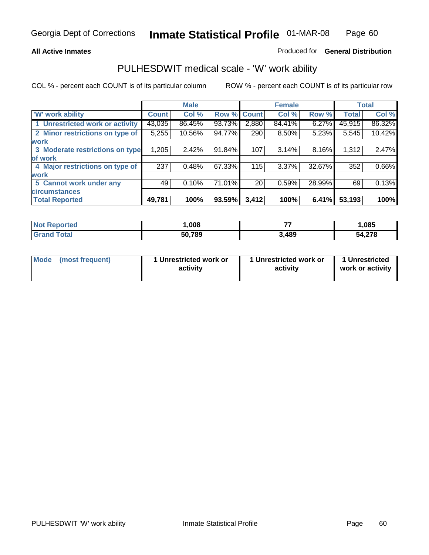#### **All Active Inmates**

#### Produced for **General Distribution**

## PULHESDWIT medical scale - 'W' work ability

|                                 |              | <b>Male</b> |        |              | <b>Female</b> |        |              | <b>Total</b> |
|---------------------------------|--------------|-------------|--------|--------------|---------------|--------|--------------|--------------|
| <b>W' work ability</b>          | <b>Count</b> | Col %       | Row %  | <b>Count</b> | Col %         | Row %  | <b>Total</b> | Col %        |
| 1 Unrestricted work or activity | 43,035       | 86.45%      | 93.73% | 2,880        | 84.41%        | 6.27%  | 45,915       | 86.32%       |
| 2 Minor restrictions on type of | 5,255        | 10.56%      | 94.77% | 290          | 8.50%         | 5.23%  | 5,545        | 10.42%       |
| <b>work</b>                     |              |             |        |              |               |        |              |              |
| 3 Moderate restrictions on type | 1,205        | 2.42%       | 91.84% | 107          | 3.14%         | 8.16%  | 1,312        | 2.47%        |
| of work                         |              |             |        |              |               |        |              |              |
| 4 Major restrictions on type of | 237          | 0.48%       | 67.33% | 115          | 3.37%         | 32.67% | 352          | 0.66%        |
| <b>work</b>                     |              |             |        |              |               |        |              |              |
| 5 Cannot work under any         | 49           | 0.10%       | 71.01% | 20           | 0.59%         | 28.99% | 69           | 0.13%        |
| <b>circumstances</b>            |              |             |        |              |               |        |              |              |
| <b>Total Reported</b>           | 49,781       | 100%        | 93.59% | 3,412        | 100%          | 6.41%  | 53,193       | 100%         |

| <b>Not Reported</b>          | ,008   | --    | ,085   |
|------------------------------|--------|-------|--------|
| <b>Total</b><br><b>Grand</b> | 50,789 | 3,489 | 54,278 |

| Mode            | 1 Unrestricted work or | 1 Unrestricted work or | 1 Unrestricted   |
|-----------------|------------------------|------------------------|------------------|
| (most frequent) | activity               | activity               | work or activity |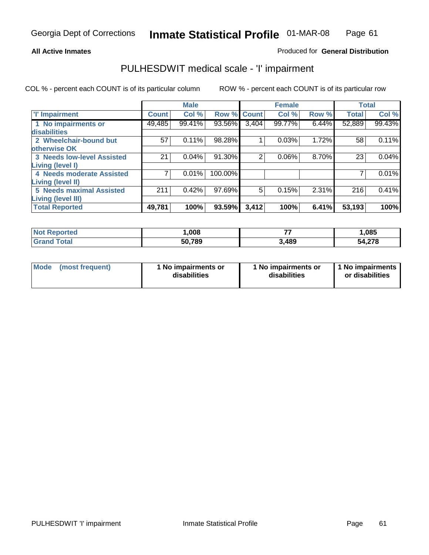Produced for **General Distribution**

## **All Active Inmates**

## PULHESDWIT medical scale - 'I' impairment

|                                   |                    | <b>Male</b> |             |       | <b>Female</b> |       |              | <b>Total</b> |
|-----------------------------------|--------------------|-------------|-------------|-------|---------------|-------|--------------|--------------|
| <b>T' Impairment</b>              | Count <sup>1</sup> | Col %       | Row % Count |       | Col %         | Row % | <b>Total</b> | Col %        |
| 1 No impairments or               | 49,485             | 99.41%      | 93.56%      | 3,404 | 99.77%        | 6.44% | 52,889       | 99.43%       |
| <b>disabilities</b>               |                    |             |             |       |               |       |              |              |
| 2 Wheelchair-bound but            | 57                 | 0.11%       | 98.28%      |       | 0.03%         | 1.72% | 58           | 0.11%        |
| otherwise OK                      |                    |             |             |       |               |       |              |              |
| <b>3 Needs low-level Assisted</b> | 21                 | 0.04%       | 91.30%      | 2     | 0.06%         | 8.70% | 23           | 0.04%        |
| <b>Living (level I)</b>           |                    |             |             |       |               |       |              |              |
| 4 Needs moderate Assisted         |                    | 0.01%       | 100.00%     |       |               |       |              | 0.01%        |
| <b>Living (level II)</b>          |                    |             |             |       |               |       |              |              |
| <b>5 Needs maximal Assisted</b>   | 211                | 0.42%       | 97.69%      | 5     | 0.15%         | 2.31% | 216          | 0.41%        |
| <b>Living (level III)</b>         |                    |             |             |       |               |       |              |              |
| <b>Total Reported</b>             | 49,781             | 100%        | 93.59%      | 3,412 | 100%          | 6.41% | 53,193       | 100%         |

| <b>Not Reported</b> | ,008   | --    | 1,085  |
|---------------------|--------|-------|--------|
| <b>Grand Total</b>  | 50,789 | 3,489 | 54,278 |

| Mode | (most frequent) | 1 No impairments or<br>disabilities | 1 No impairments or<br>disabilities | 1 No impairments  <br>or disabilities |
|------|-----------------|-------------------------------------|-------------------------------------|---------------------------------------|
|------|-----------------|-------------------------------------|-------------------------------------|---------------------------------------|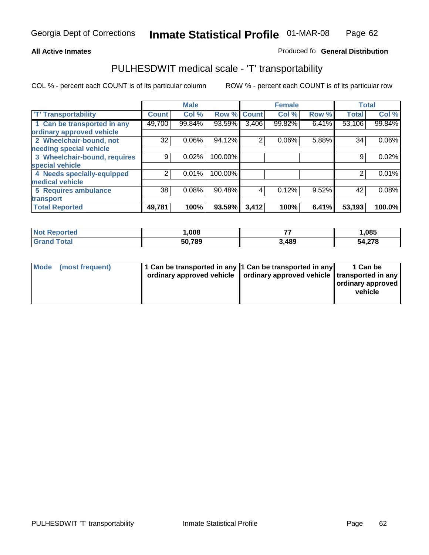#### **Inmate Statistical Profile** 01-MAR-08 Page Page 62

## **All Active Inmates Allowski** Produced fo **General Distribution**

## PULHESDWIT medical scale - 'T' transportability

|                              |              | <b>Male</b> |             |                | <b>Female</b> |          | <b>Total</b> |          |
|------------------------------|--------------|-------------|-------------|----------------|---------------|----------|--------------|----------|
| <b>'T' Transportability</b>  | <b>Count</b> | Col %       | Row % Count |                | Col %         | Row %    | <b>Total</b> | Col %    |
| 1 Can be transported in any  | 49,700       | 99.84%      | 93.59%      | 3,406          | 99.82%        | $6.41\%$ | 53,106       | 99.84%   |
| ordinary approved vehicle    |              |             |             |                |               |          |              |          |
| 2 Wheelchair-bound, not      | 32           | $0.06\%$    | 94.12%      | $\overline{2}$ | 0.06%         | 5.88%    | 34           | $0.06\%$ |
| needing special vehicle      |              |             |             |                |               |          |              |          |
| 3 Wheelchair-bound, requires | 9            | 0.02%       | 100.00%     |                |               |          | 9            | 0.02%    |
| special vehicle              |              |             |             |                |               |          |              |          |
| 4 Needs specially-equipped   | 2            | 0.01%       | 100.00%     |                |               |          |              | 0.01%    |
| medical vehicle              |              |             |             |                |               |          |              |          |
| <b>5 Requires ambulance</b>  | 38           | 0.08%       | 90.48%      | 4              | 0.12%         | 9.52%    | 42           | 0.08%    |
| transport                    |              |             |             |                |               |          |              |          |
| <b>Total Reported</b>        | 49,781       | 100%        | 93.59%      | 3,412          | 100%          | 6.41%    | 53,193       | 100.0%   |

| <b>Not Reported</b>    | .008   | --    | 1,085  |
|------------------------|--------|-------|--------|
| <b>Total</b><br>'Grand | 50,789 | 3,489 | 54,278 |

|  | Mode (most frequent) | 1 Can be transported in any 1 Can be transported in any<br>ordinary approved vehicle   ordinary approved vehicle   transported in any |  | 1 Can be<br>ordinary approved<br>vehicle |
|--|----------------------|---------------------------------------------------------------------------------------------------------------------------------------|--|------------------------------------------|
|--|----------------------|---------------------------------------------------------------------------------------------------------------------------------------|--|------------------------------------------|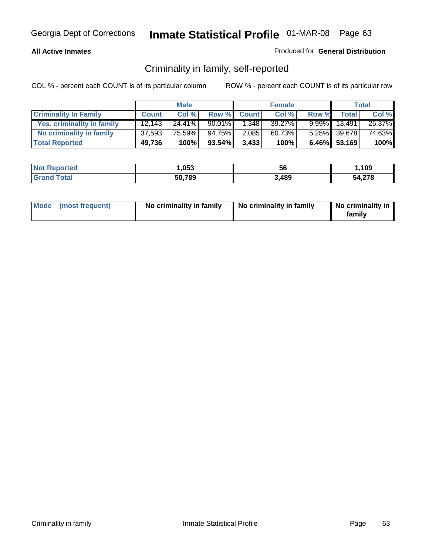#### **All Active Inmates**

### Produced for **General Distribution**

## Criminality in family, self-reported

|                              |              | <b>Male</b> |           |              | <b>Female</b> |       |              | <b>Total</b> |
|------------------------------|--------------|-------------|-----------|--------------|---------------|-------|--------------|--------------|
| <b>Criminality In Family</b> | <b>Count</b> | Col %       | Row %     | <b>Count</b> | Col %         | Row % | <b>Total</b> | Col %        |
| Yes, criminality in family   | 12.143       | $24.41\%$   | $90.01\%$ | 1.348        | 39.27%        |       | 9.99% 13,491 | 25.37%       |
| No criminality in family     | 37,593       | 75.59%      | 94.75%    | 2,085        | 60.73%        |       | 5.25% 39,678 | 74.63%       |
| <b>Total Reported</b>        | 49,736       | 100%        | $93.54\%$ | 3,433        | 100%          |       | 6.46% 53,169 | 100%         |

| <b>Not Reported</b> | ,053   | 56    | ,109   |
|---------------------|--------|-------|--------|
| fotal               | 50,789 | 3,489 | 54,278 |

| Mode (most frequent) |  | No criminality in family | No criminality in family | No criminality in<br>family |
|----------------------|--|--------------------------|--------------------------|-----------------------------|
|----------------------|--|--------------------------|--------------------------|-----------------------------|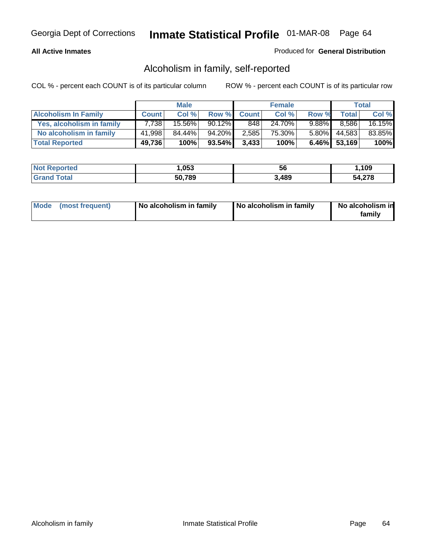#### **All Active Inmates**

### Produced for **General Distribution**

## Alcoholism in family, self-reported

|                             |              | <b>Male</b> |           |              | <b>Female</b> |          |              | <b>Total</b> |
|-----------------------------|--------------|-------------|-----------|--------------|---------------|----------|--------------|--------------|
| <b>Alcoholism In Family</b> | <b>Count</b> | Col %       | Row %     | <b>Count</b> | Col %         | Row %    | <b>Total</b> | Col %        |
| Yes, alcoholism in family   | 7.738        | 15.56%      | $90.12\%$ | 848          | 24.70%        | $9.88\%$ | 8.586        | 16.15%       |
| No alcoholism in family     | 41,998       | 84.44%      | 94.20%    | 2,585        | 75.30%        | 5.80%    | 44,583       | 83.85%       |
| <b>Total Reported</b>       | 49,736       | 100%        | 93.54%    | 3,433        | 100%          |          | 6.46% 53,169 | 100%         |

| <b>Not Reported</b>   | ,053   | 56    | ,109   |
|-----------------------|--------|-------|--------|
| ™otal<br><b>Grand</b> | 50,789 | 3,489 | 54,278 |

|  | Mode (most frequent) | No alcoholism in family | No alcoholism in family | No alcoholism in<br>familv |
|--|----------------------|-------------------------|-------------------------|----------------------------|
|--|----------------------|-------------------------|-------------------------|----------------------------|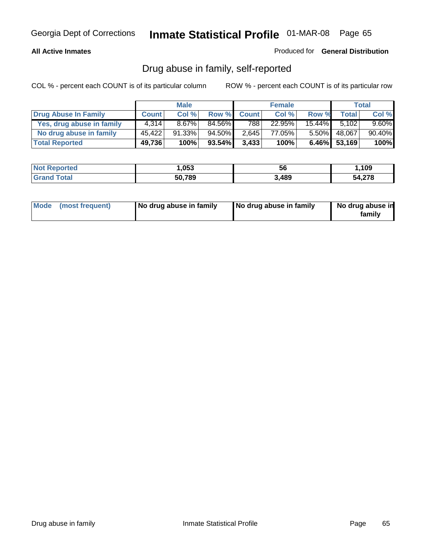### **All Active Inmates**

Produced for **General Distribution**

## Drug abuse in family, self-reported

|                           |              | <b>Male</b> |        |              | <b>Female</b> |           |              | <b>Total</b> |
|---------------------------|--------------|-------------|--------|--------------|---------------|-----------|--------------|--------------|
| Drug Abuse In Family      | <b>Count</b> | Col %       | Row %  | <b>Count</b> | Col %         | Row %     | <b>Total</b> | Col %        |
| Yes, drug abuse in family | 4.314        | $8.67\%$    | 84.56% | 788          | 22.95%        | $15.44\%$ | 5,102        | $9.60\%$     |
| No drug abuse in family   | 45.422       | $91.33\%$   | 94.50% | 2.645        | 77.05%        | $5.50\%$  | 48,067       | 90.40%       |
| <b>Total Reported</b>     | 49,736       | 100%        | 93.54% | 3,433        | 100%          |           | 6.46% 53,169 | 100%         |

| <b>Not Reported</b>   | ,053   | 56    | ,109   |
|-----------------------|--------|-------|--------|
| ™otal<br><b>Grand</b> | 50,789 | 3,489 | 54,278 |

|  | Mode (most frequent) | No drug abuse in family | No drug abuse in family | No drug abuse in<br>family |
|--|----------------------|-------------------------|-------------------------|----------------------------|
|--|----------------------|-------------------------|-------------------------|----------------------------|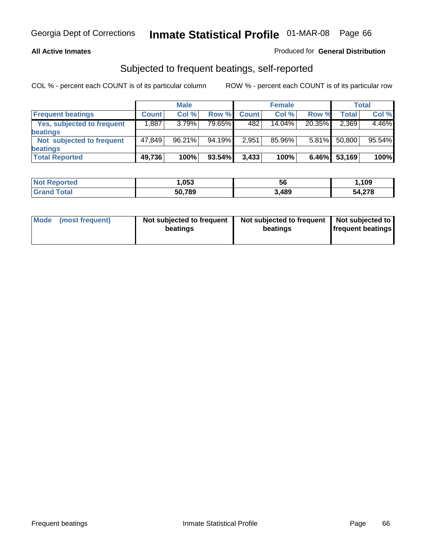### **All Active Inmates**

## Produced for **General Distribution**

## Subjected to frequent beatings, self-reported

|                                   |              | <b>Male</b> |         |              | <b>Female</b> |          |        | <b>Total</b> |
|-----------------------------------|--------------|-------------|---------|--------------|---------------|----------|--------|--------------|
| <b>Frequent beatings</b>          | <b>Count</b> | Col%        | Row %   | <b>Count</b> | Col%          | Row %    | Total  | Col %        |
| <b>Yes, subjected to frequent</b> | .887         | 3.79%       | 79.65%I | 482          | 14.04%        | 20.35%   | 2,369  | 4.46%        |
| <b>beatings</b>                   |              |             |         |              |               |          |        |              |
| Not subjected to frequent         | 47.849       | $96.21\%$   | 94.19%  | 2,951        | 85.96%        | $5.81\%$ | 50,800 | 95.54%       |
| <b>beatings</b>                   |              |             |         |              |               |          |        |              |
| <b>Total Reported</b>             | 49,736       | 100%        | 93.54%  | 3,433        | 100%          | 6.46%    | 53,169 | 100%         |

| N <sub>of</sub><br>rted<br>Renoi | ,053   | 56    | 109،،       |
|----------------------------------|--------|-------|-------------|
| <b>Fotal</b>                     | 50,789 | 3,489 | 4,278<br>51 |

| <b>Mode</b> | (most frequent) | Not subjected to frequent<br>beatings | Not subjected to frequent<br>beatings | Not subjected to<br>frequent beatings |
|-------------|-----------------|---------------------------------------|---------------------------------------|---------------------------------------|
|             |                 |                                       |                                       |                                       |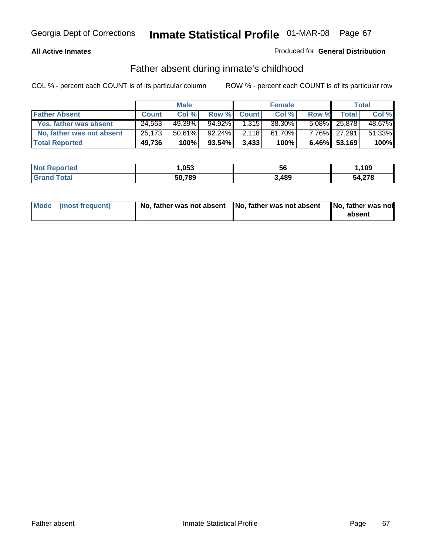## **All Active Inmates**

### Produced for **General Distribution**

## Father absent during inmate's childhood

|                           |              | <b>Male</b> |           |              | <b>Female</b> |       |              | Total  |
|---------------------------|--------------|-------------|-----------|--------------|---------------|-------|--------------|--------|
| <b>Father Absent</b>      | <b>Count</b> | Col %       | Row %     | <b>Count</b> | Col %         | Row % | <b>Total</b> | Col %  |
| Yes, father was absent    | 24,563       | 49.39%      | 94.92%    | 1,315        | 38.30%        |       | 5.08% 25,878 | 48.67% |
| No, father was not absent | 25,173       | 50.61%      | 92.24%    | 2,118        | 61.70%        |       | 7.76% 27,291 | 51.33% |
| <b>Total Reported</b>     | 49,736       | 100%        | $93.54\%$ | 3,433        | 100%          |       | 6.46% 53,169 | 100%   |

| <b>Not Reported</b> | 053, ا | ას    | ,109   |
|---------------------|--------|-------|--------|
| <b>Srand Total</b>  | 50,789 | 3,489 | 54,278 |

| Mode (most frequent) |  | 「No, father was not absent ┃No, father was not absent ┃No, father was not | absent |
|----------------------|--|---------------------------------------------------------------------------|--------|
|----------------------|--|---------------------------------------------------------------------------|--------|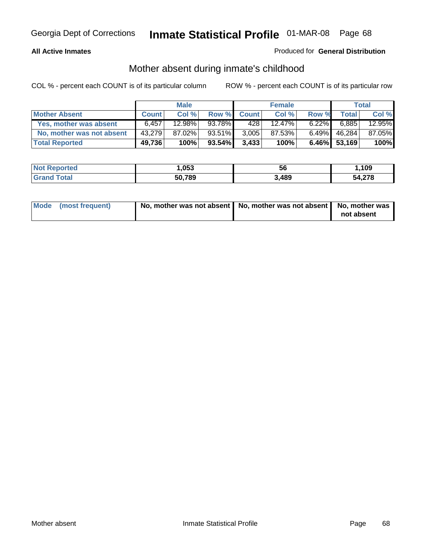## **All Active Inmates**

## Produced for **General Distribution**

## Mother absent during inmate's childhood

|                           |              | <b>Male</b> |           |              | <b>Female</b> |          |              | Total  |
|---------------------------|--------------|-------------|-----------|--------------|---------------|----------|--------------|--------|
| <b>Mother Absent</b>      | <b>Count</b> | Col %       | Row %     | <b>Count</b> | Col %         | Row %    | Total.       | Col %  |
| Yes, mother was absent    | 6,457        | 12.98%      | 93.78%    | 428          | $12.47\%$     | $6.22\%$ | 6.885        | 12.95% |
| No, mother was not absent | 43.279       | 87.02%      | 93.51%    | 3,005        | 87.53%        | $6.49\%$ | 46,284       | 87.05% |
| <b>Total Reported</b>     | 49,736       | 100%        | $93.54\%$ | 3,433        | 100%          |          | 6.46% 53,169 | 100%   |

| <b>Not Reported</b> | 053, ا | 56    | ,109   |
|---------------------|--------|-------|--------|
| <b>Srand Total</b>  | 50,789 | 3,489 | 54,278 |

| Mode (most frequent) | No, mother was not absent   No, mother was not absent   No, mother was | not absent |
|----------------------|------------------------------------------------------------------------|------------|
|----------------------|------------------------------------------------------------------------|------------|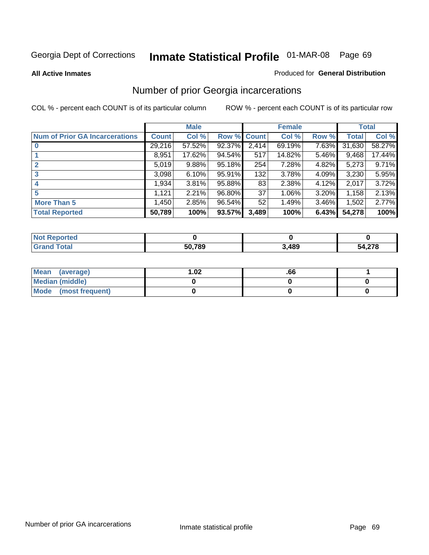#### **All Active Inmates**

#### Produced for **General Distribution**

## Number of prior Georgia incarcerations

|                                       |              | <b>Male</b> |        |              | <b>Female</b> |          |        | <b>Total</b> |
|---------------------------------------|--------------|-------------|--------|--------------|---------------|----------|--------|--------------|
| <b>Num of Prior GA Incarcerations</b> | <b>Count</b> | Col %       | Row %  | <b>Count</b> | Col %         | Row %    | Total  | Col %        |
| $\bf{0}$                              | 29,216       | 57.52%      | 92.37% | 2,414        | 69.19%        | 7.63%    | 31,630 | 58.27%       |
|                                       | 8,951        | 17.62%      | 94.54% | 517          | 14.82%        | 5.46%    | 9,468  | 17.44%       |
|                                       | 5,019        | 9.88%       | 95.18% | 254          | 7.28%         | 4.82%    | 5,273  | 9.71%        |
| 3                                     | 3,098        | 6.10%       | 95.91% | 132          | 3.78%         | 4.09%    | 3,230  | 5.95%        |
|                                       | 1,934        | 3.81%       | 95.88% | 83           | 2.38%         | 4.12%    | 2,017  | 3.72%        |
| 5                                     | 1,121        | 2.21%       | 96.80% | 37           | 1.06%         | 3.20%    | 1,158  | 2.13%        |
| <b>More Than 5</b>                    | 1.450        | 2.85%       | 96.54% | 52           | 1.49%         | $3.46\%$ | 1,502  | 2.77%        |
| <b>Total Reported</b>                 | 50,789       | 100%        | 93.57% | 3,489        | 100%          | 6.43%    | 54,278 | 100%         |

| orted<br>NO. |        |      |        |
|--------------|--------|------|--------|
| ⊺otal<br>Gra | 50,789 | ,489 | 54,278 |

| Mean (average)       | l.O2 | .66 |  |
|----------------------|------|-----|--|
| Median (middle)      |      |     |  |
| Mode (most frequent) |      |     |  |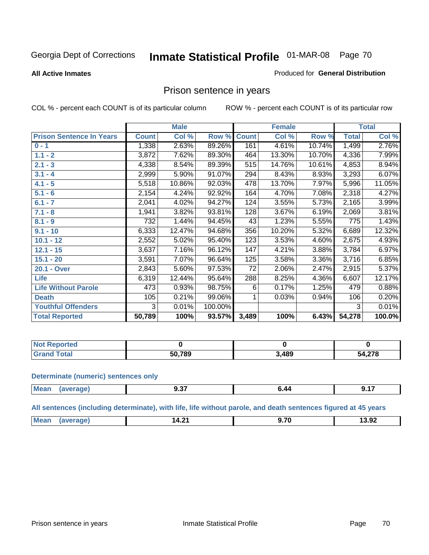#### **All Active Inmates**

#### Produced for **General Distribution**

## Prison sentence in years

COL % - percent each COUNT is of its particular column ROW % - percent each COUNT is of its particular row

|                                 |              | <b>Male</b> |         |              | <b>Female</b> |        |              | <b>Total</b> |
|---------------------------------|--------------|-------------|---------|--------------|---------------|--------|--------------|--------------|
| <b>Prison Sentence In Years</b> | <b>Count</b> | Col %       | Row %   | <b>Count</b> | Col %         | Row %  | <b>Total</b> | Col %        |
| $0 - 1$                         | 1,338        | 2.63%       | 89.26%  | 161          | 4.61%         | 10.74% | 1,499        | 2.76%        |
| $1.1 - 2$                       | 3,872        | 7.62%       | 89.30%  | 464          | 13.30%        | 10.70% | 4,336        | 7.99%        |
| $2.1 - 3$                       | 4,338        | 8.54%       | 89.39%  | 515          | 14.76%        | 10.61% | 4,853        | 8.94%        |
| $3.1 - 4$                       | 2,999        | 5.90%       | 91.07%  | 294          | 8.43%         | 8.93%  | 3,293        | 6.07%        |
| $4.1 - 5$                       | 5,518        | 10.86%      | 92.03%  | 478          | 13.70%        | 7.97%  | 5,996        | 11.05%       |
| $5.1 - 6$                       | 2,154        | 4.24%       | 92.92%  | 164          | 4.70%         | 7.08%  | 2,318        | 4.27%        |
| $6.1 - 7$                       | 2,041        | 4.02%       | 94.27%  | 124          | 3.55%         | 5.73%  | 2,165        | 3.99%        |
| $7.1 - 8$                       | 1,941        | 3.82%       | 93.81%  | 128          | 3.67%         | 6.19%  | 2,069        | 3.81%        |
| $8.1 - 9$                       | 732          | 1.44%       | 94.45%  | 43           | 1.23%         | 5.55%  | 775          | 1.43%        |
| $9.1 - 10$                      | 6,333        | 12.47%      | 94.68%  | 356          | 10.20%        | 5.32%  | 6,689        | 12.32%       |
| $10.1 - 12$                     | 2,552        | 5.02%       | 95.40%  | 123          | 3.53%         | 4.60%  | 2,675        | 4.93%        |
| $12.1 - 15$                     | 3,637        | 7.16%       | 96.12%  | 147          | 4.21%         | 3.88%  | 3,784        | 6.97%        |
| $15.1 - 20$                     | 3,591        | 7.07%       | 96.64%  | 125          | 3.58%         | 3.36%  | 3,716        | 6.85%        |
| 20.1 - Over                     | 2,843        | 5.60%       | 97.53%  | 72           | 2.06%         | 2.47%  | 2,915        | 5.37%        |
| <b>Life</b>                     | 6,319        | 12.44%      | 95.64%  | 288          | 8.25%         | 4.36%  | 6,607        | 12.17%       |
| <b>Life Without Parole</b>      | 473          | 0.93%       | 98.75%  | 6            | 0.17%         | 1.25%  | 479          | 0.88%        |
| <b>Death</b>                    | 105          | 0.21%       | 99.06%  |              | 0.03%         | 0.94%  | 106          | 0.20%        |
| <b>Youthful Offenders</b>       | 3            | 0.01%       | 100.00% |              |               |        | 3            | 0.01%        |
| <b>Total Reported</b>           | 50,789       | 100%        | 93.57%  | 3,489        | 100%          | 6.43%  | 54,278       | 100.0%       |

| <b>Not Reported</b> |       |      |       |
|---------------------|-------|------|-------|
| <b>otal</b>         | 0,789 | .489 | 4,278 |
| . Grr               | 50,   |      | 54    |

#### **Determinate (numeric) sentences only**

| <b>Mea</b> | "ane. | $ -$<br>J.JI<br>$ -$ | . |
|------------|-------|----------------------|---|
|            |       |                      |   |

**All sentences (including determinate), with life, life without parole, and death sentences figured at 45 years**

| . .<br>1 Л<br><br>19.JZ<br>u<br>$-1.4$<br>.<br>___ | M <sub>o</sub> |  | $\rightarrow$ | $\overline{\phantom{a}}$ |
|----------------------------------------------------|----------------|--|---------------|--------------------------|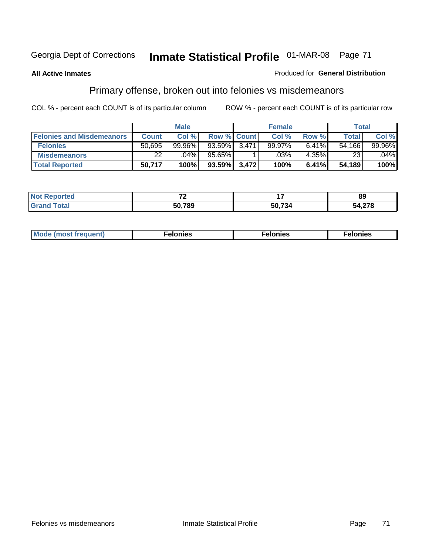#### **All Active Inmates**

#### Produced for **General Distribution**

## Primary offense, broken out into felonies vs misdemeanors

|                                  |              | <b>Male</b> |                    | <b>Female</b> |          | Total  |         |
|----------------------------------|--------------|-------------|--------------------|---------------|----------|--------|---------|
| <b>Felonies and Misdemeanors</b> | <b>Count</b> | Col%        | <b>Row % Count</b> | Col%          | Row %    | Total  | Col%    |
| <b>Felonies</b>                  | 50.695       | 99.96%      | 93.59% 3,471       | 99.97%        | $6.41\%$ | 54.166 | 99.96%  |
| <b>Misdemeanors</b>              | 22           | $.04\%$     | 95.65%             | .03%          | $4.35\%$ | 23     | $.04\%$ |
| <b>Total Reported</b>            | 50,717       | 100%        | 93.59% 3,472       | 100%          | 6.41%    | 54,189 | 100%    |

| ted:<br><b>Not</b><br>reno | $\rightarrow$ |        | 89                       |
|----------------------------|---------------|--------|--------------------------|
| <sup>-</sup> otal          | 50.789        | 50.734 | 1.270<br>- הר<br>4.Z I O |

| M | . | . | . |
|---|---|---|---|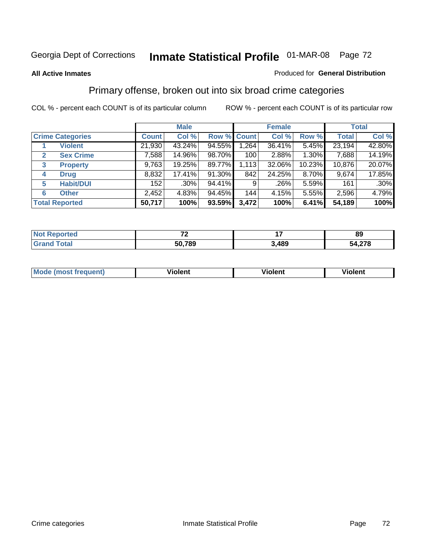#### **All Active Inmates**

#### Produced for **General Distribution**

## Primary offense, broken out into six broad crime categories

|                                  |              | <b>Male</b> |             |       | <b>Female</b> |        |              | <b>Total</b> |
|----------------------------------|--------------|-------------|-------------|-------|---------------|--------|--------------|--------------|
| <b>Crime Categories</b>          | <b>Count</b> | Col %       | Row % Count |       | Col %         | Row %  | <b>Total</b> | Col %        |
| <b>Violent</b>                   | 21,930       | 43.24%      | 94.55%      | 1,264 | 36.41%        | 5.45%  | 23,194       | 42.80%       |
| <b>Sex Crime</b><br>$\mathbf{2}$ | 7,588        | 14.96%      | 98.70%      | 100   | 2.88%         | 1.30%  | 7,688        | 14.19%       |
| $\mathbf{3}$<br><b>Property</b>  | 9,763        | 19.25%      | 89.77%      | 1,113 | 32.06%        | 10.23% | 10,876       | 20.07%       |
| <b>Drug</b><br>4                 | 8,832        | 17.41%      | 91.30%      | 842   | 24.25%        | 8.70%  | 9,674        | 17.85%       |
| <b>Habit/DUI</b><br>5            | 152          | $.30\%$     | 94.41%      | 9     | ا 26%.        | 5.59%  | 161          | $.30\%$      |
| <b>Other</b><br>6                | 2,452        | 4.83%       | 94.45%      | 144   | 4.15%         | 5.55%  | 2,596        | 4.79%        |
| <b>Total Reported</b>            | 50,717       | 100%        | 93.59%      | 3,472 | 100%          | 6.41%  | 54,189       | 100%         |

| - -<br>$\cdot$ $-$ |                 | 89         |
|--------------------|-----------------|------------|
| 50,789             | <b>AQC</b><br>. | ,278<br>54 |

| IМ      | .        | $-$      | -------- |
|---------|----------|----------|----------|
| 1119000 | -------- | -------- |          |
|         |          |          |          |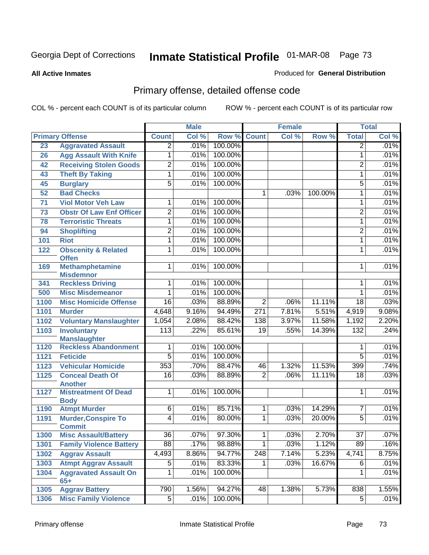**All Active Inmates**

### Produced for **General Distribution**

# Primary offense, detailed offense code

|      |                                             |                  | <b>Male</b> |         |                 | <b>Female</b> |         |                  | <b>Total</b> |
|------|---------------------------------------------|------------------|-------------|---------|-----------------|---------------|---------|------------------|--------------|
|      | <b>Primary Offense</b>                      | <b>Count</b>     | Col %       | Row %   | Count           | Col %         | Row %   | <b>Total</b>     | Col %        |
| 23   | <b>Aggravated Assault</b>                   | $\overline{2}$   | .01%        | 100.00% |                 |               |         | $\overline{2}$   | .01%         |
| 26   | <b>Agg Assault With Knife</b>               | 1                | .01%        | 100.00% |                 |               |         | 1                | .01%         |
| 42   | <b>Receiving Stolen Goods</b>               | $\overline{2}$   | .01%        | 100.00% |                 |               |         | $\overline{2}$   | .01%         |
| 43   | <b>Theft By Taking</b>                      | 1                | .01%        | 100.00% |                 |               |         | 1                | .01%         |
| 45   | <b>Burglary</b>                             | $\overline{5}$   | .01%        | 100.00% |                 |               |         | $\overline{5}$   | .01%         |
| 52   | <b>Bad Checks</b>                           |                  |             |         | 1               | .03%          | 100.00% | 1                | .01%         |
| 71   | <b>Viol Motor Veh Law</b>                   | 1                | .01%        | 100.00% |                 |               |         | 1                | .01%         |
| 73   | <b>Obstr Of Law Enf Officer</b>             | $\overline{2}$   | .01%        | 100.00% |                 |               |         | 2                | .01%         |
| 78   | <b>Terroristic Threats</b>                  | 1                | .01%        | 100.00% |                 |               |         | 1                | .01%         |
| 94   | <b>Shoplifting</b>                          | $\overline{2}$   | .01%        | 100.00% |                 |               |         | 2                | .01%         |
| 101  | <b>Riot</b>                                 | 1                | .01%        | 100.00% |                 |               |         | 1                | .01%         |
| 122  | <b>Obscenity &amp; Related</b>              | 1                | .01%        | 100.00% |                 |               |         | 1                | .01%         |
|      | <b>Offen</b>                                |                  |             |         |                 |               |         |                  |              |
| 169  | <b>Methamphetamine</b>                      | $\overline{1}$   | .01%        | 100.00% |                 |               |         | 1                | .01%         |
| 341  | <b>Misdemnor</b><br><b>Reckless Driving</b> | 1                | .01%        | 100.00% |                 |               |         | 1                | .01%         |
| 500  | <b>Misc Misdemeanor</b>                     | $\overline{1}$   | .01%        | 100.00% |                 |               |         | $\mathbf{1}$     | .01%         |
| 1100 | <b>Misc Homicide Offense</b>                | $\overline{16}$  | .03%        | 88.89%  | $\overline{2}$  | .06%          | 11.11%  | $\overline{18}$  | .03%         |
| 1101 | <b>Murder</b>                               | 4,648            | 9.16%       | 94.49%  | 271             | 7.81%         | 5.51%   | 4,919            | 9.08%        |
| 1102 | <b>Voluntary Manslaughter</b>               | 1,054            | 2.08%       | 88.42%  | 138             | 3.97%         | 11.58%  | 1,192            | 2.20%        |
| 1103 | <b>Involuntary</b>                          | $\overline{113}$ | .22%        | 85.61%  | $\overline{19}$ | .55%          | 14.39%  | 132              | .24%         |
|      | <b>Manslaughter</b>                         |                  |             |         |                 |               |         |                  |              |
| 1120 | <b>Reckless Abandonment</b>                 | 1                | .01%        | 100.00% |                 |               |         | 1                | .01%         |
| 1121 | <b>Feticide</b>                             | $\overline{5}$   | .01%        | 100.00% |                 |               |         | $\overline{5}$   | .01%         |
| 1123 | <b>Vehicular Homicide</b>                   | 353              | .70%        | 88.47%  | 46              | 1.32%         | 11.53%  | 399              | .74%         |
| 1125 | <b>Conceal Death Of</b>                     | $\overline{16}$  | .03%        | 88.89%  | $\overline{2}$  | .06%          | 11.11%  | $\overline{18}$  | .03%         |
|      | <b>Another</b>                              |                  |             |         |                 |               |         |                  |              |
| 1127 | <b>Mistreatment Of Dead</b>                 | $\mathbf{1}$     | .01%        | 100.00% |                 |               |         | 1                | .01%         |
| 1190 | <b>Body</b><br><b>Atmpt Murder</b>          | $\overline{6}$   | .01%        | 85.71%  | $\mathbf 1$     | .03%          | 14.29%  | 7                | .01%         |
| 1191 | <b>Murder, Conspire To</b>                  | 4                | .01%        | 80.00%  | $\mathbf{1}$    | .03%          | 20.00%  | $\overline{5}$   | .01%         |
|      | <b>Commit</b>                               |                  |             |         |                 |               |         |                  |              |
| 1300 | <b>Misc Assault/Battery</b>                 | $\overline{36}$  | .07%        | 97.30%  | $\overline{1}$  | .03%          | 2.70%   | $\overline{37}$  | .07%         |
| 1301 | <b>Family Violence Battery</b>              | 88               | .17%        | 98.88%  | $\mathbf{1}$    | .03%          | 1.12%   | 89               | .16%         |
| 1302 | <b>Aggrav Assault</b>                       | 4,493            | 8.86%       | 94.77%  | 248             | 7.14%         | 5.23%   | 4,741            | 8.75%        |
| 1303 | <b>Atmpt Aggrav Assault</b>                 | $\overline{5}$   | .01%        | 83.33%  | 1               | .03%          | 16.67%  | 6                | .01%         |
| 1304 | <b>Aggravated Assault On</b>                | 1                | .01%        | 100.00% |                 |               |         | 1                | .01%         |
|      | $65+$                                       |                  |             |         |                 |               |         |                  |              |
| 1305 | <b>Aggrav Battery</b>                       | 790              | 1.56%       | 94.27%  | 48              | 1.38%         | 5.73%   | $\overline{838}$ | 1.55%        |
| 1306 | <b>Misc Family Violence</b>                 | $\overline{5}$   | .01%        | 100.00% |                 |               |         | $\overline{5}$   | .01%         |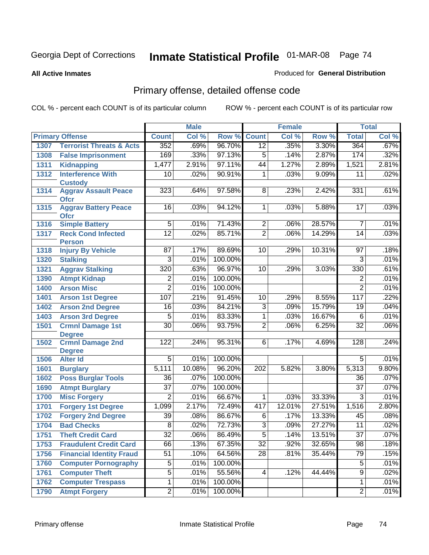#### **All Active Inmates**

### Produced for **General Distribution**

# Primary offense, detailed offense code

|      |                                            |                  | <b>Male</b> |         |                  | Female |        |                 | <b>Total</b> |
|------|--------------------------------------------|------------------|-------------|---------|------------------|--------|--------|-----------------|--------------|
|      | <b>Primary Offense</b>                     | <b>Count</b>     | Col %       | Row %   | <b>Count</b>     | Col %  | Row %  | <b>Total</b>    | Col %        |
| 1307 | <b>Terrorist Threats &amp; Acts</b>        | 352              | .69%        | 96.70%  | $\overline{12}$  | .35%   | 3.30%  | 364             | .67%         |
| 1308 | <b>False Imprisonment</b>                  | 169              | .33%        | 97.13%  | $\overline{5}$   | .14%   | 2.87%  | 174             | .32%         |
| 1311 | <b>Kidnapping</b>                          | 1,477            | 2.91%       | 97.11%  | $\overline{44}$  | 1.27%  | 2.89%  | 1,521           | 2.81%        |
| 1312 | <b>Interference With</b>                   | 10               | .02%        | 90.91%  | 1                | .03%   | 9.09%  | 11              | .02%         |
|      | <b>Custody</b>                             |                  |             |         |                  |        |        |                 |              |
| 1314 | <b>Aggrav Assault Peace</b><br><b>Ofcr</b> | 323              | .64%        | 97.58%  | 8                | .23%   | 2.42%  | 331             | .61%         |
| 1315 | <b>Aggrav Battery Peace</b><br><b>Ofcr</b> | $\overline{16}$  | .03%        | 94.12%  | $\mathbf 1$      | .03%   | 5.88%  | 17              | .03%         |
| 1316 | <b>Simple Battery</b>                      | $\overline{5}$   | .01%        | 71.43%  | $\overline{c}$   | .06%   | 28.57% | 7               | .01%         |
| 1317 | <b>Reck Cond Infected</b><br><b>Person</b> | $\overline{12}$  | .02%        | 85.71%  | $\overline{2}$   | .06%   | 14.29% | $\overline{14}$ | .03%         |
| 1318 | <b>Injury By Vehicle</b>                   | 87               | .17%        | 89.69%  | 10               | .29%   | 10.31% | 97              | .18%         |
| 1320 | <b>Stalking</b>                            | $\overline{3}$   | .01%        | 100.00% |                  |        |        | $\overline{3}$  | .01%         |
| 1321 | <b>Aggrav Stalking</b>                     | $\overline{320}$ | .63%        | 96.97%  | 10               | .29%   | 3.03%  | 330             | .61%         |
| 1390 | <b>Atmpt Kidnap</b>                        | $\overline{2}$   | .01%        | 100.00% |                  |        |        | 2               | .01%         |
| 1400 | <b>Arson Misc</b>                          | $\overline{2}$   | .01%        | 100.00% |                  |        |        | $\overline{2}$  | .01%         |
| 1401 | <b>Arson 1st Degree</b>                    | 107              | .21%        | 91.45%  | 10               | .29%   | 8.55%  | 117             | .22%         |
| 1402 | <b>Arson 2nd Degree</b>                    | 16               | .03%        | 84.21%  | 3                | .09%   | 15.79% | 19              | .04%         |
| 1403 | <b>Arson 3rd Degree</b>                    | $\overline{5}$   | .01%        | 83.33%  | 1                | .03%   | 16.67% | 6               | .01%         |
| 1501 | <b>Crmnl Damage 1st</b>                    | $\overline{30}$  | .06%        | 93.75%  | $\overline{2}$   | .06%   | 6.25%  | $\overline{32}$ | .06%         |
|      | <b>Degree</b>                              |                  |             |         |                  |        |        |                 |              |
| 1502 | <b>Crmnl Damage 2nd</b><br><b>Degree</b>   | 122              | .24%        | 95.31%  | 6                | .17%   | 4.69%  | 128             | .24%         |
| 1506 | <b>Alter Id</b>                            | $\overline{5}$   | .01%        | 100.00% |                  |        |        | $\overline{5}$  | .01%         |
| 1601 | <b>Burglary</b>                            | 5,111            | 10.08%      | 96.20%  | $\overline{202}$ | 5.82%  | 3.80%  | 5,313           | 9.80%        |
| 1602 | <b>Poss Burglar Tools</b>                  | 36               | .07%        | 100.00% |                  |        |        | 36              | .07%         |
| 1690 | <b>Atmpt Burglary</b>                      | $\overline{37}$  | .07%        | 100.00% |                  |        |        | $\overline{37}$ | .07%         |
| 1700 | <b>Misc Forgery</b>                        | $\overline{2}$   | .01%        | 66.67%  | 1                | .03%   | 33.33% | $\overline{3}$  | .01%         |
| 1701 | <b>Forgery 1st Degree</b>                  | 1,099            | 2.17%       | 72.49%  | 417              | 12.01% | 27.51% | 1,516           | 2.80%        |
| 1702 | <b>Forgery 2nd Degree</b>                  | $\overline{39}$  | .08%        | 86.67%  | $\overline{6}$   | .17%   | 13.33% | $\overline{45}$ | .08%         |
| 1704 | <b>Bad Checks</b>                          | $\overline{8}$   | .02%        | 72.73%  | $\overline{3}$   | .09%   | 27.27% | $\overline{11}$ | .02%         |
| 1751 | <b>Theft Credit Card</b>                   | $\overline{32}$  | .06%        | 86.49%  | $\overline{5}$   | .14%   | 13.51% | $\overline{37}$ | $.07\%$      |
| 1753 | <b>Fraudulent Credit Card</b>              | 66               | .13%        | 67.35%  | $\overline{32}$  | .92%   | 32.65% | 98              | .18%         |
| 1756 | <b>Financial Identity Fraud</b>            | 51               | .10%        | 64.56%  | $\overline{28}$  | .81%   | 35.44% | 79              | .15%         |
| 1760 | <b>Computer Pornography</b>                | $\overline{5}$   | .01%        | 100.00% |                  |        |        | $\overline{5}$  | .01%         |
| 1761 | <b>Computer Theft</b>                      | $\overline{5}$   | .01%        | 55.56%  | 4                | .12%   | 44.44% | $\overline{9}$  | .02%         |
| 1762 | <b>Computer Trespass</b>                   | $\overline{1}$   | .01%        | 100.00% |                  |        |        | 1               | .01%         |
| 1790 | <b>Atmpt Forgery</b>                       | $\overline{2}$   | .01%        | 100.00% |                  |        |        | $\overline{2}$  | .01%         |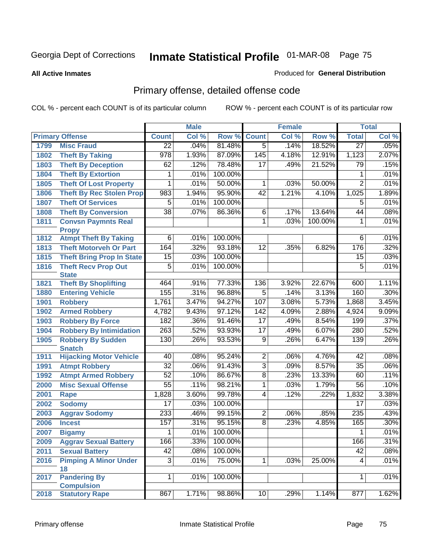#### **All Active Inmates**

### Produced for **General Distribution**

# Primary offense, detailed offense code

|      |                                             |                  | <b>Male</b> |         |                 | <b>Female</b> |         |                 | <b>Total</b> |
|------|---------------------------------------------|------------------|-------------|---------|-----------------|---------------|---------|-----------------|--------------|
|      | <b>Primary Offense</b>                      | <b>Count</b>     | Col %       | Row %   | <b>Count</b>    | Col %         | Row %   | <b>Total</b>    | Col %        |
| 1799 | <b>Misc Fraud</b>                           | $\overline{22}$  | .04%        | 81.48%  | $\overline{5}$  | .14%          | 18.52%  | $\overline{27}$ | .05%         |
| 1802 | <b>Theft By Taking</b>                      | $\overline{978}$ | 1.93%       | 87.09%  | 145             | 4.18%         | 12.91%  | 1,123           | 2.07%        |
| 1803 | <b>Theft By Deception</b>                   | 62               | .12%        | 78.48%  | $\overline{17}$ | .49%          | 21.52%  | 79              | .15%         |
| 1804 | <b>Theft By Extortion</b>                   | 1                | .01%        | 100.00% |                 |               |         | 1               | .01%         |
| 1805 | <b>Theft Of Lost Property</b>               | 1                | .01%        | 50.00%  | $\overline{1}$  | .03%          | 50.00%  | $\overline{2}$  | .01%         |
| 1806 | <b>Theft By Rec Stolen Prop</b>             | 983              | 1.94%       | 95.90%  | $\overline{42}$ | 1.21%         | 4.10%   | 1,025           | 1.89%        |
| 1807 | <b>Theft Of Services</b>                    | $\overline{5}$   | .01%        | 100.00% |                 |               |         | $\overline{5}$  | .01%         |
| 1808 | <b>Theft By Conversion</b>                  | $\overline{38}$  | .07%        | 86.36%  | 6               | .17%          | 13.64%  | 44              | .08%         |
| 1811 | <b>Convsn Paymnts Real</b>                  |                  |             |         | $\overline{1}$  | .03%          | 100.00% | 1               | .01%         |
|      | <b>Propy</b>                                |                  |             |         |                 |               |         |                 |              |
| 1812 | <b>Atmpt Theft By Taking</b>                | 6                | .01%        | 100.00% |                 |               |         | 6               | .01%         |
| 1813 | <b>Theft Motorveh Or Part</b>               | 164              | .32%        | 93.18%  | $\overline{12}$ | .35%          | 6.82%   | 176             | .32%         |
| 1815 | <b>Theft Bring Prop In State</b>            | 15               | .03%        | 100.00% |                 |               |         | 15              | .03%         |
| 1816 | <b>Theft Recv Prop Out</b>                  | $\overline{5}$   | .01%        | 100.00% |                 |               |         | $\overline{5}$  | .01%         |
| 1821 | <b>State</b><br><b>Theft By Shoplifting</b> | 464              | .91%        | 77.33%  | 136             | 3.92%         | 22.67%  | 600             | 1.11%        |
| 1880 | <b>Entering Vehicle</b>                     | 155              | .31%        | 96.88%  | $\overline{5}$  | .14%          | 3.13%   | 160             | .30%         |
| 1901 | <b>Robbery</b>                              | 1,761            | 3.47%       | 94.27%  | 107             | 3.08%         | 5.73%   | 1,868           | 3.45%        |
| 1902 | <b>Armed Robbery</b>                        | 4,782            | 9.43%       | 97.12%  | 142             | 4.09%         | 2.88%   | 4,924           | 9.09%        |
| 1903 | <b>Robbery By Force</b>                     | 182              | .36%        | 91.46%  | $\overline{17}$ | .49%          | 8.54%   | 199             | .37%         |
| 1904 | <b>Robbery By Intimidation</b>              | 263              | .52%        | 93.93%  | $\overline{17}$ | .49%          | 6.07%   | 280             | .52%         |
| 1905 | <b>Robbery By Sudden</b>                    | 130              | .26%        | 93.53%  | $\overline{9}$  | .26%          | 6.47%   | 139             | .26%         |
|      | <b>Snatch</b>                               |                  |             |         |                 |               |         |                 |              |
| 1911 | <b>Hijacking Motor Vehicle</b>              | 40               | .08%        | 95.24%  | $\overline{2}$  | .06%          | 4.76%   | 42              | .08%         |
| 1991 | <b>Atmpt Robbery</b>                        | $\overline{32}$  | .06%        | 91.43%  | $\overline{3}$  | .09%          | 8.57%   | $\overline{35}$ | .06%         |
| 1992 | <b>Atmpt Armed Robbery</b>                  | 52               | .10%        | 86.67%  | $\overline{8}$  | .23%          | 13.33%  | 60              | .11%         |
| 2000 | <b>Misc Sexual Offense</b>                  | $\overline{55}$  | .11%        | 98.21%  | $\overline{1}$  | .03%          | 1.79%   | $\overline{56}$ | .10%         |
| 2001 | <b>Rape</b>                                 | 1,828            | 3.60%       | 99.78%  | $\overline{4}$  | .12%          | .22%    | 1,832           | 3.38%        |
| 2002 | <b>Sodomy</b>                               | $\overline{17}$  | .03%        | 100.00% |                 |               |         | $\overline{17}$ | .03%         |
| 2003 | <b>Aggrav Sodomy</b>                        | 233              | .46%        | 99.15%  | $\overline{2}$  | .06%          | .85%    | 235             | .43%         |
| 2006 | <b>Incest</b>                               | 157              | .31%        | 95.15%  | $\overline{8}$  | .23%          | 4.85%   | 165             | .30%         |
| 2007 | <b>Bigamy</b>                               | 1                | .01%        | 100.00% |                 |               |         | 1               | .01%         |
| 2009 | <b>Aggrav Sexual Battery</b>                | 166              | .33%        | 100.00% |                 |               |         | 166             | .31%         |
| 2011 | <b>Sexual Battery</b>                       | 42               | .08%        | 100.00% |                 |               |         | 42              | .08%         |
| 2016 | <b>Pimping A Minor Under</b>                | $\overline{3}$   | .01%        | 75.00%  | $\overline{1}$  | .03%          | 25.00%  | 4               | .01%         |
|      | 18                                          |                  |             |         |                 |               |         |                 |              |
| 2017 | <b>Pandering By</b>                         | $\overline{1}$   | .01%        | 100.00% |                 |               |         | 1               | .01%         |
| 2018 | <b>Compulsion</b><br><b>Statutory Rape</b>  | 867              | 1.71%       |         | 10              |               | 1.14%   | 877             | 1.62%        |
|      |                                             |                  |             | 98.86%  |                 | .29%          |         |                 |              |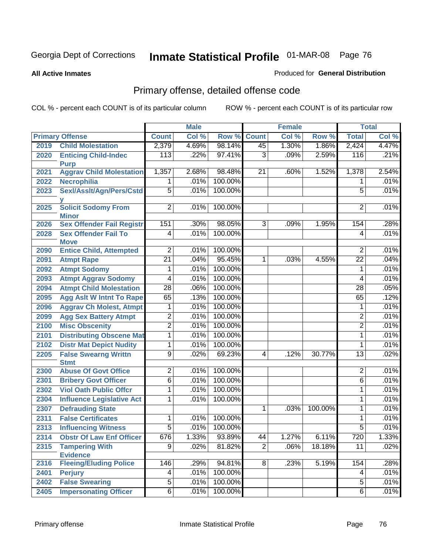#### **All Active Inmates**

### Produced for **General Distribution**

# Primary offense, detailed offense code

|      |                                            |                 | <b>Male</b> |         |                | <b>Female</b>              |         |                 | <b>Total</b> |
|------|--------------------------------------------|-----------------|-------------|---------|----------------|----------------------------|---------|-----------------|--------------|
|      | <b>Primary Offense</b>                     | <b>Count</b>    | Col %       | Row %   | <b>Count</b>   | $\overline{\text{Col }^9}$ | Row %   | <b>Total</b>    | Col %        |
| 2019 | <b>Child Molestation</b>                   | 2,379           | 4.69%       | 98.14%  | 45             | 1.30%                      | 1.86%   | 2,424           | 4.47%        |
| 2020 | <b>Enticing Child-Indec</b>                | 113             | .22%        | 97.41%  | $\overline{3}$ | .09%                       | 2.59%   | 116             | .21%         |
|      | <b>Purp</b>                                |                 |             |         |                |                            |         |                 |              |
| 2021 | <b>Aggrav Child Molestation</b>            | 1,357           | 2.68%       | 98.48%  | 21             | .60%                       | 1.52%   | 1,378           | 2.54%        |
| 2022 | <b>Necrophilia</b>                         | 1               | .01%        | 100.00% |                |                            |         | 1               | .01%         |
| 2023 | Sexl/AssIt/Agn/Pers/Cstd                   | $\overline{5}$  | .01%        | 100.00% |                |                            |         | $\overline{5}$  | .01%         |
|      | v                                          |                 |             | 100.00% |                |                            |         |                 | .01%         |
| 2025 | <b>Solicit Sodomy From</b><br><b>Minor</b> | $\overline{2}$  | .01%        |         |                |                            |         | 2               |              |
| 2026 | <b>Sex Offender Fail Registr</b>           | 151             | .30%        | 98.05%  | 3              | .09%                       | 1.95%   | 154             | .28%         |
| 2028 | <b>Sex Offender Fail To</b>                | $\overline{4}$  | .01%        | 100.00% |                |                            |         | $\overline{4}$  | .01%         |
|      | <b>Move</b>                                |                 |             |         |                |                            |         |                 |              |
| 2090 | <b>Entice Child, Attempted</b>             | $\overline{2}$  | .01%        | 100.00% |                |                            |         | 2               | .01%         |
| 2091 | <b>Atmpt Rape</b>                          | $\overline{21}$ | .04%        | 95.45%  | 1              | .03%                       | 4.55%   | $\overline{22}$ | .04%         |
| 2092 | <b>Atmpt Sodomy</b>                        | 1               | .01%        | 100.00% |                |                            |         | 1               | .01%         |
| 2093 | <b>Atmpt Aggrav Sodomy</b>                 | 4               | .01%        | 100.00% |                |                            |         | 4               | .01%         |
| 2094 | <b>Atmpt Child Molestation</b>             | $\overline{28}$ | .06%        | 100.00% |                |                            |         | $\overline{28}$ | .05%         |
| 2095 | <b>Agg Aslt W Intnt To Rape</b>            | 65              | .13%        | 100.00% |                |                            |         | 65              | .12%         |
| 2096 | <b>Aggrav Ch Molest, Atmpt</b>             | 1               | .01%        | 100.00% |                |                            |         | 1               | .01%         |
| 2099 | <b>Agg Sex Battery Atmpt</b>               | 2               | .01%        | 100.00% |                |                            |         | 2               | .01%         |
| 2100 | <b>Misc Obscenity</b>                      | $\overline{2}$  | .01%        | 100.00% |                |                            |         | $\overline{2}$  | .01%         |
| 2101 | <b>Distributing Obscene Mat</b>            | 1               | .01%        | 100.00% |                |                            |         | 1               | .01%         |
| 2102 | <b>Distr Mat Depict Nudity</b>             | 1               | .01%        | 100.00% |                |                            |         | 1               | .01%         |
| 2205 | <b>False Swearng Writtn</b>                | $\overline{9}$  | .02%        | 69.23%  | 4              | .12%                       | 30.77%  | $\overline{13}$ | .02%         |
|      | <b>Stmt</b>                                |                 |             |         |                |                            |         |                 |              |
| 2300 | <b>Abuse Of Govt Office</b>                | $\overline{2}$  | .01%        | 100.00% |                |                            |         | $\overline{2}$  | .01%         |
| 2301 | <b>Bribery Govt Officer</b>                | $\overline{6}$  | .01%        | 100.00% |                |                            |         | $\overline{6}$  | .01%         |
| 2302 | <b>Viol Oath Public Offcr</b>              | 1               | .01%        | 100.00% |                |                            |         | 1               | .01%         |
| 2304 | <b>Influence Legislative Act</b>           | 1               | .01%        | 100.00% |                |                            |         | 1               | .01%         |
| 2307 | <b>Defrauding State</b>                    |                 |             |         | $\mathbf{1}$   | .03%                       | 100.00% | 1               | .01%         |
| 2311 | <b>False Certificates</b>                  | 1               | .01%        | 100.00% |                |                            |         | 1               | .01%         |
| 2313 | <b>Influencing Witness</b>                 | $\overline{5}$  | .01%        | 100.00% |                |                            |         | 5               | .01%         |
| 2314 | <b>Obstr Of Law Enf Officer</b>            | 676             | 1.33%       | 93.89%  | 44             | 1.27%                      | 6.11%   | 720             | 1.33%        |
| 2315 | <b>Tampering With</b>                      | $\overline{9}$  | .02%        | 81.82%  | $\overline{2}$ | .06%                       | 18.18%  | $\overline{11}$ | .02%         |
|      | <b>Evidence</b>                            |                 |             |         |                |                            |         |                 |              |
| 2316 | <b>Fleeing/Eluding Police</b>              | 146             | .29%        | 94.81%  | $\overline{8}$ | .23%                       | 5.19%   | 154             | .28%         |
| 2401 | <b>Perjury</b>                             | 4               | .01%        | 100.00% |                |                            |         | 4               | .01%         |
| 2402 | <b>False Swearing</b>                      | $\overline{5}$  | .01%        | 100.00% |                |                            |         | $\overline{5}$  | .01%         |
| 2405 | <b>Impersonating Officer</b>               | $\overline{6}$  | .01%        | 100.00% |                |                            |         | $\overline{6}$  | .01%         |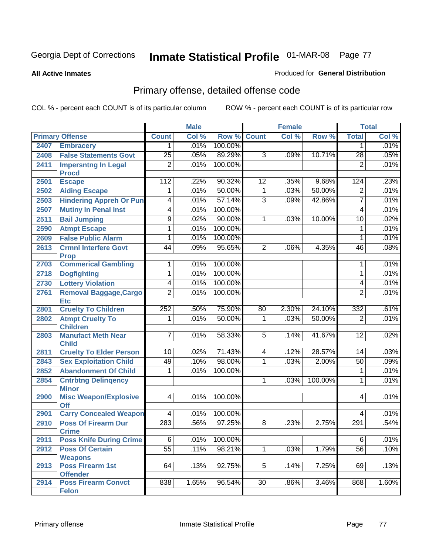#### **All Active Inmates**

#### Produced for **General Distribution**

# Primary offense, detailed offense code

|      |                                            |                 | <b>Male</b> |         |                 | <b>Female</b> |         |                 | <b>Total</b> |
|------|--------------------------------------------|-----------------|-------------|---------|-----------------|---------------|---------|-----------------|--------------|
|      | <b>Primary Offense</b>                     | <b>Count</b>    | Col %       | Row %   | Count           | Col %         | Row %   | <b>Total</b>    | Col %        |
| 2407 | <b>Embracery</b>                           | 1               | .01%        | 100.00% |                 |               |         | 1               | .01%         |
| 2408 | <b>False Statements Govt</b>               | $\overline{25}$ | .05%        | 89.29%  | $\overline{3}$  | .09%          | 10.71%  | $\overline{28}$ | .05%         |
| 2411 | <b>Impersntng In Legal</b>                 | $\overline{2}$  | .01%        | 100.00% |                 |               |         | $\overline{2}$  | .01%         |
|      | <b>Procd</b>                               |                 |             |         |                 |               |         |                 |              |
| 2501 | <b>Escape</b>                              | 112             | .22%        | 90.32%  | 12              | .35%          | 9.68%   | 124             | .23%         |
| 2502 | <b>Aiding Escape</b>                       | 1               | .01%        | 50.00%  | 1               | .03%          | 50.00%  | $\overline{2}$  | .01%         |
| 2503 | <b>Hindering Appreh Or Pun</b>             | $\overline{4}$  | .01%        | 57.14%  | 3               | .09%          | 42.86%  | $\overline{7}$  | .01%         |
| 2507 | <b>Mutiny In Penal Inst</b>                | $\overline{4}$  | .01%        | 100.00% |                 |               |         | 4               | .01%         |
| 2511 | <b>Bail Jumping</b>                        | $\overline{9}$  | .02%        | 90.00%  | 1               | .03%          | 10.00%  | 10              | .02%         |
| 2590 | <b>Atmpt Escape</b>                        | 1               | .01%        | 100.00% |                 |               |         | 1               | .01%         |
| 2609 | <b>False Public Alarm</b>                  | 1               | .01%        | 100.00% |                 |               |         | 1               | .01%         |
| 2613 | <b>Crmnl Interfere Govt</b>                | 44              | .09%        | 95.65%  | $\overline{2}$  | .06%          | 4.35%   | 46              | .08%         |
|      | <b>Prop</b>                                |                 |             |         |                 |               |         |                 |              |
| 2703 | <b>Commerical Gambling</b>                 | 1               | .01%        | 100.00% |                 |               |         | 1               | .01%         |
| 2718 | <b>Dogfighting</b>                         | 1               | .01%        | 100.00% |                 |               |         | 1               | .01%         |
| 2730 | <b>Lottery Violation</b>                   | 4               | .01%        | 100.00% |                 |               |         | 4               | .01%         |
| 2761 | <b>Removal Baggage, Cargo</b>              | $\overline{2}$  | .01%        | 100.00% |                 |               |         | $\overline{2}$  | .01%         |
|      | <b>Etc</b>                                 | 252             | .50%        | 75.90%  |                 | 2.30%         | 24.10%  | 332             |              |
| 2801 | <b>Cruelty To Children</b>                 |                 |             |         | 80              |               |         |                 | .61%         |
| 2802 | <b>Atmpt Cruelty To</b><br><b>Children</b> | 1               | .01%        | 50.00%  | 1               | .03%          | 50.00%  | $\overline{2}$  | .01%         |
| 2803 | <b>Manufact Meth Near</b>                  | $\overline{7}$  | .01%        | 58.33%  | $\overline{5}$  | .14%          | 41.67%  | $\overline{12}$ | .02%         |
|      | <b>Child</b>                               |                 |             |         |                 |               |         |                 |              |
| 2811 | <b>Cruelty To Elder Person</b>             | $\overline{10}$ | .02%        | 71.43%  | $\overline{4}$  | .12%          | 28.57%  | $\overline{14}$ | .03%         |
| 2843 | <b>Sex Exploitation Child</b>              | 49              | .10%        | 98.00%  | 1               | .03%          | 2.00%   | 50              | .09%         |
| 2852 | <b>Abandonment Of Child</b>                | 1               | .01%        | 100.00% |                 |               |         | 1               | .01%         |
| 2854 | <b>Cntrbtng Delingency</b>                 |                 |             |         | 1               | .03%          | 100.00% | 1               | .01%         |
|      | <b>Minor</b>                               |                 |             |         |                 |               |         |                 |              |
| 2900 | <b>Misc Weapon/Explosive</b><br><b>Off</b> | $\overline{4}$  | .01%        | 100.00% |                 |               |         | 4               | .01%         |
| 2901 | <b>Carry Concealed Weapon</b>              | 4               | .01%        | 100.00% |                 |               |         | 4               | .01%         |
| 2910 | <b>Poss Of Firearm Dur</b>                 | 283             | .56%        | 97.25%  | 8               | .23%          | 2.75%   | 291             | .54%         |
|      | <b>Crime</b>                               |                 |             |         |                 |               |         |                 |              |
| 2911 | <b>Poss Knife During Crime</b>             | 6 <sup>1</sup>  | .01%        | 100.00% |                 |               |         | 6               | .01%         |
| 2912 | <b>Poss Of Certain</b>                     | $\overline{55}$ | .11%        | 98.21%  | $\overline{1}$  | .03%          | 1.79%   | $\overline{56}$ | .10%         |
|      | <b>Weapons</b>                             |                 |             |         |                 |               |         |                 |              |
| 2913 | <b>Poss Firearm 1st</b>                    | 64              | .13%        | 92.75%  | $\overline{5}$  | .14%          | 7.25%   | 69              | .13%         |
|      | <b>Offender</b>                            |                 |             |         |                 |               |         |                 |              |
| 2914 | <b>Poss Firearm Convct</b>                 | 838             | 1.65%       | 96.54%  | $\overline{30}$ | .86%          | 3.46%   | 868             | 1.60%        |
|      | <b>Felon</b>                               |                 |             |         |                 |               |         |                 |              |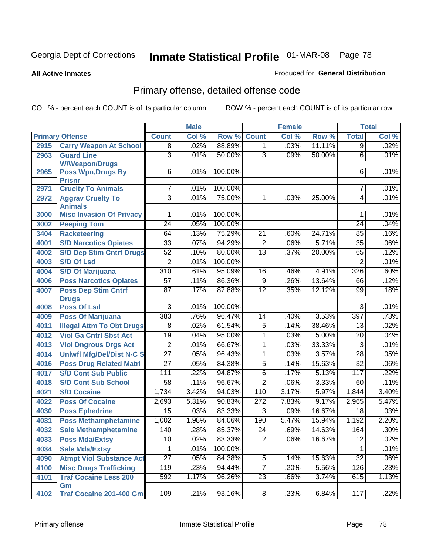#### **All Active Inmates**

### Produced for **General Distribution**

# Primary offense, detailed offense code

|      |                                                   |                  | <b>Male</b> |         |                 | <b>Female</b> |        |                 | <b>Total</b> |
|------|---------------------------------------------------|------------------|-------------|---------|-----------------|---------------|--------|-----------------|--------------|
|      | <b>Primary Offense</b>                            | <b>Count</b>     | Col %       | Row %   | <b>Count</b>    | Col %         | Row %  | <b>Total</b>    | Col %        |
| 2915 | <b>Carry Weapon At School</b>                     | $\overline{8}$   | .02%        | 88.89%  | $\overline{1}$  | .03%          | 11.11% | $\overline{9}$  | .02%         |
| 2963 | <b>Guard Line</b>                                 | $\overline{3}$   | .01%        | 50.00%  | $\overline{3}$  | .09%          | 50.00% | 6               | .01%         |
|      | <b>W/Weapon/Drugs</b>                             |                  |             |         |                 |               |        |                 |              |
| 2965 | <b>Poss Wpn, Drugs By</b>                         | $\overline{6}$   | .01%        | 100.00% |                 |               |        | 6               | .01%         |
|      | <b>Prisnr</b>                                     |                  |             |         |                 |               |        |                 |              |
| 2971 | <b>Cruelty To Animals</b>                         | 7                | .01%        | 100.00% |                 |               |        | 7               | .01%         |
| 2972 | <b>Aggrav Cruelty To</b>                          | $\overline{3}$   | .01%        | 75.00%  | $\overline{1}$  | .03%          | 25.00% | $\overline{4}$  | .01%         |
| 3000 | <b>Animals</b><br><b>Misc Invasion Of Privacy</b> | 1                | .01%        | 100.00% |                 |               |        | 1               | .01%         |
| 3002 | <b>Peeping Tom</b>                                | $\overline{24}$  | .05%        | 100.00% |                 |               |        | 24              | .04%         |
| 3404 | <b>Racketeering</b>                               | 64               | .13%        | 75.29%  | $\overline{21}$ | .60%          | 24.71% | 85              | .16%         |
| 4001 | <b>S/D Narcotics Opiates</b>                      | $\overline{33}$  | .07%        | 94.29%  | $\overline{2}$  | .06%          | 5.71%  | $\overline{35}$ | .06%         |
| 4002 | <b>S/D Dep Stim Cntrf Drugs</b>                   | $\overline{52}$  | .10%        | 80.00%  | $\overline{13}$ | .37%          | 20.00% | 65              | .12%         |
| 4003 | <b>S/D Of Lsd</b>                                 | $\overline{2}$   | .01%        | 100.00% |                 |               |        | $\overline{2}$  | .01%         |
| 4004 | <b>S/D Of Marijuana</b>                           | $\overline{310}$ | .61%        | 95.09%  | $\overline{16}$ | .46%          | 4.91%  | 326             | .60%         |
| 4006 | <b>Poss Narcotics Opiates</b>                     | $\overline{57}$  | .11%        | 86.36%  | $\overline{9}$  | .26%          | 13.64% | 66              | .12%         |
| 4007 | <b>Poss Dep Stim Cntrf</b>                        | $\overline{87}$  | .17%        | 87.88%  | $\overline{12}$ | .35%          | 12.12% | 99              | .18%         |
|      | <b>Drugs</b>                                      |                  |             |         |                 |               |        |                 |              |
| 4008 | <b>Poss Of Lsd</b>                                | $\overline{3}$   | .01%        | 100.00% |                 |               |        | $\overline{3}$  | .01%         |
| 4009 | <b>Poss Of Marijuana</b>                          | 383              | .76%        | 96.47%  | 14              | .40%          | 3.53%  | 397             | .73%         |
| 4011 | <b>Illegal Attm To Obt Drugs</b>                  | $\overline{8}$   | .02%        | 61.54%  | $\overline{5}$  | .14%          | 38.46% | $\overline{13}$ | .02%         |
| 4012 | <b>Viol Ga Cntrl Sbst Act</b>                     | $\overline{19}$  | .04%        | 95.00%  | 1               | .03%          | 5.00%  | $\overline{20}$ | .04%         |
| 4013 | <b>Viol Dngrous Drgs Act</b>                      | $\overline{2}$   | .01%        | 66.67%  | 1               | .03%          | 33.33% | $\overline{3}$  | .01%         |
| 4014 | <b>Uniwfl Mfg/Del/Dist N-C S</b>                  | $\overline{27}$  | .05%        | 96.43%  | 1               | .03%          | 3.57%  | $\overline{28}$ | .05%         |
| 4016 | <b>Poss Drug Related Matri</b>                    | $\overline{27}$  | .05%        | 84.38%  | $\overline{5}$  | .14%          | 15.63% | $\overline{32}$ | .06%         |
| 4017 | <b>S/D Cont Sub Public</b>                        | 111              | .22%        | 94.87%  | $\overline{6}$  | .17%          | 5.13%  | 117             | .22%         |
| 4018 | <b>S/D Cont Sub School</b>                        | $\overline{58}$  | .11%        | 96.67%  | $\overline{2}$  | .06%          | 3.33%  | 60              | .11%         |
| 4021 | <b>S/D Cocaine</b>                                | 1,734            | 3.42%       | 94.03%  | 110             | 3.17%         | 5.97%  | 1,844           | 3.40%        |
| 4022 | <b>Poss Of Cocaine</b>                            | 2,693            | 5.31%       | 90.83%  | 272             | 7.83%         | 9.17%  | 2,965           | 5.47%        |
| 4030 | <b>Poss Ephedrine</b>                             | $\overline{15}$  | .03%        | 83.33%  | $\overline{3}$  | .09%          | 16.67% | $\overline{18}$ | .03%         |
| 4031 | <b>Poss Methamphetamine</b>                       | 1,002            | 1.98%       | 84.06%  | 190             | 5.47%         | 15.94% | 1,192           | 2.20%        |
| 4032 | <b>Sale Methamphetamine</b>                       | 140              | .28%        | 85.37%  | $\overline{24}$ | .69%          | 14.63% | 164             | .30%         |
| 4033 | <b>Poss Mda/Extsy</b>                             | 10 <sup>°</sup>  | .02%        | 83.33%  | 2 <sup>1</sup>  | .06%          | 16.67% | 12              | .02%         |
| 4034 | <b>Sale Mda/Extsy</b>                             | 1                | .01%        | 100.00% |                 |               |        | 1               | .01%         |
| 4090 | <b>Atmpt Viol Substance Act</b>                   | $\overline{27}$  | .05%        | 84.38%  | $\overline{5}$  | .14%          | 15.63% | $\overline{32}$ | .06%         |
| 4100 | <b>Misc Drugs Trafficking</b>                     | 119              | .23%        | 94.44%  | $\overline{7}$  | .20%          | 5.56%  | 126             | .23%         |
| 4101 | <b>Traf Cocaine Less 200</b>                      | 592              | 1.17%       | 96.26%  | $\overline{23}$ | .66%          | 3.74%  | 615             | 1.13%        |
|      | Gm                                                |                  |             |         |                 |               |        |                 |              |
| 4102 | <b>Traf Cocaine 201-400 Gm</b>                    | 109              | .21%        | 93.16%  | $\overline{8}$  | .23%          | 6.84%  | 117             | .22%         |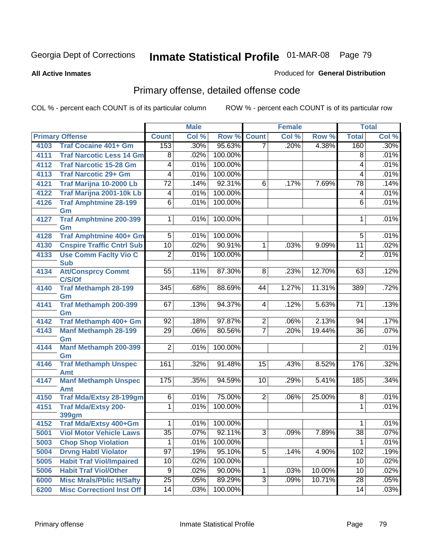**All Active Inmates**

#### Produced for **General Distribution**

# Primary offense, detailed offense code

|      |                                            |                  | <b>Male</b> |         |                | <b>Female</b> |        |                  | <b>Total</b> |
|------|--------------------------------------------|------------------|-------------|---------|----------------|---------------|--------|------------------|--------------|
|      | <b>Primary Offense</b>                     | <b>Count</b>     | Col %       | Row %   | <b>Count</b>   | Col %         | Row %  | <b>Total</b>     | Col %        |
| 4103 | <b>Traf Cocaine 401+ Gm</b>                | 153              | .30%        | 95.63%  | 7              | .20%          | 4.38%  | 160              | .30%         |
| 4111 | <b>Traf Narcotic Less 14 Gm</b>            | 8                | .02%        | 100.00% |                |               |        | 8                | .01%         |
| 4112 | <b>Traf Narcotic 15-28 Gm</b>              | 4                | .01%        | 100.00% |                |               |        | 4                | .01%         |
| 4113 | <b>Traf Narcotic 29+ Gm</b>                | 4                | .01%        | 100.00% |                |               |        | 4                | .01%         |
| 4121 | Traf Marijna 10-2000 Lb                    | $\overline{72}$  | .14%        | 92.31%  | 6              | .17%          | 7.69%  | 78               | .14%         |
| 4122 | Traf Marijna 2001-10k Lb                   | 4                | .01%        | 100.00% |                |               |        | 4                | .01%         |
| 4126 | <b>Traf Amphtmine 28-199</b><br>Gm         | 6                | .01%        | 100.00% |                |               |        | 6                | .01%         |
| 4127 | <b>Traf Amphtmine 200-399</b><br>Gm        | 1                | .01%        | 100.00% |                |               |        | 1                | .01%         |
| 4128 | <b>Traf Amphtmine 400+ Gm</b>              | 5                | .01%        | 100.00% |                |               |        | 5                | .01%         |
| 4130 | <b>Cnspire Traffic Cntrl Sub</b>           | 10               | .02%        | 90.91%  | 1              | .03%          | 9.09%  | 11               | .02%         |
| 4133 | <b>Use Comm Facity Vio C</b><br><b>Sub</b> | $\overline{2}$   | .01%        | 100.00% |                |               |        | $\overline{2}$   | .01%         |
| 4134 | <b>Att/Consprcy Commt</b><br>C/S/Of        | $\overline{55}$  | .11%        | 87.30%  | $\overline{8}$ | .23%          | 12.70% | 63               | .12%         |
| 4140 | <b>Traf Methamph 28-199</b><br>Gm          | 345              | .68%        | 88.69%  | 44             | 1.27%         | 11.31% | $\overline{389}$ | .72%         |
| 4141 | <b>Traf Methamph 200-399</b><br>Gm         | 67               | .13%        | 94.37%  | 4              | .12%          | 5.63%  | 71               | .13%         |
| 4142 | Traf Methamph 400+ Gm                      | $\overline{92}$  | .18%        | 97.87%  | 2              | .06%          | 2.13%  | 94               | .17%         |
| 4143 | <b>Manf Methamph 28-199</b>                | $\overline{29}$  | .06%        | 80.56%  | 7              | .20%          | 19.44% | $\overline{36}$  | .07%         |
|      | Gm                                         |                  |             |         |                |               |        |                  |              |
| 4144 | <b>Manf Methamph 200-399</b>               | $\overline{2}$   | .01%        | 100.00% |                |               |        | $\overline{2}$   | .01%         |
|      | Gm                                         |                  |             |         |                |               |        |                  |              |
| 4146 | <b>Traf Methamph Unspec</b><br><b>Amt</b>  | 161              | .32%        | 91.48%  | 15             | .43%          | 8.52%  | 176              | .32%         |
| 4147 | <b>Manf Methamph Unspec</b><br>Amt         | $\overline{175}$ | .35%        | 94.59%  | 10             | .29%          | 5.41%  | 185              | .34%         |
| 4150 | <b>Traf Mda/Extsy 28-199gm</b>             | 6                | .01%        | 75.00%  | $\overline{2}$ | .06%          | 25.00% | 8                | .01%         |
| 4151 | <b>Traf Mda/Extsy 200-</b><br><b>399gm</b> | $\overline{1}$   | .01%        | 100.00% |                |               |        | 1                | .01%         |
| 4152 | Traf Mda/Extsy 400+Gm                      | 1                | .01%        | 100.00% |                |               |        | 1                | .01%         |
| 5001 | <b>Viol Motor Vehicle Laws</b>             | $\overline{35}$  | $.07\%$     | 92.11%  | $\overline{3}$ | .09%          | 7.89%  | $\overline{38}$  | .07%         |
| 5003 | <b>Chop Shop Violation</b>                 | 1                | .01%        | 100.00% |                |               |        | $\mathbf 1$      | .01%         |
| 5004 | <b>Drvng Habtl Violator</b>                | $\overline{97}$  | .19%        | 95.10%  | 5              | .14%          | 4.90%  | 102              | .19%         |
| 5005 | <b>Habit Traf Viol/Impaired</b>            | 10               | .02%        | 100.00% |                |               |        | 10               | .02%         |
| 5006 | <b>Habit Traf Viol/Other</b>               | $\overline{9}$   | .02%        | 90.00%  | 1              | .03%          | 10.00% | 10               | .02%         |
| 6000 | <b>Misc Mrals/Pblic H/Safty</b>            | $\overline{25}$  | .05%        | 89.29%  | 3              | .09%          | 10.71% | $\overline{28}$  | .05%         |
| 6200 | <b>Misc CorrectionI Inst Off</b>           | 14               | .03%        | 100.00% |                |               |        | 14               | .03%         |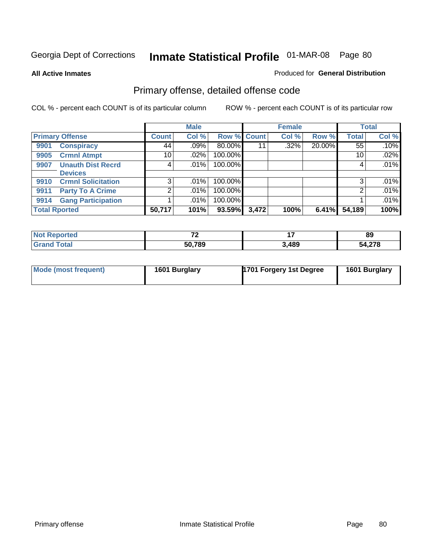**All Active Inmates**

#### Produced for **General Distribution**

# Primary offense, detailed offense code

|                      |                           |                 | <b>Male</b> |             |       | <b>Female</b> |        |              | <b>Total</b> |
|----------------------|---------------------------|-----------------|-------------|-------------|-------|---------------|--------|--------------|--------------|
|                      | <b>Primary Offense</b>    | <b>Count</b>    | Col %       | Row % Count |       | Col %         | Row %  | <b>Total</b> | Col %        |
| 9901                 | <b>Conspiracy</b>         | 44              | .09%        | 80.00%      | 11    | $.32\%$       | 20.00% | 55           | .10%         |
| 9905                 | <b>Crmnl Atmpt</b>        | 10 <sup>1</sup> | $.02\%$     | 100.00%     |       |               |        | 10           | .02%         |
| 9907                 | <b>Unauth Dist Recrd</b>  | 4               | $.01\%$     | 100.00%     |       |               |        | 4            | .01%         |
|                      | <b>Devices</b>            |                 |             |             |       |               |        |              |              |
| 9910                 | <b>Crmnl Solicitation</b> | 3 <sup>1</sup>  | $.01\%$     | 100.00%     |       |               |        | 3            | .01%         |
| 9911                 | <b>Party To A Crime</b>   | 2               | $.01\%$     | 100.00%     |       |               |        | 2            | .01%         |
| 9914                 | <b>Gang Participation</b> |                 | $.01\%$     | 100.00%     |       |               |        |              | .01%         |
| <b>Total Rported</b> |                           | 50,717          | 101%        | 93.59%      | 3,472 | 100%          | 6.41%  | 54,189       | 100%         |

| ported<br>. NC | $\mathbf{z}$ |       | 89     |
|----------------|--------------|-------|--------|
| `otal          | 50,789       | 3,489 | 54,278 |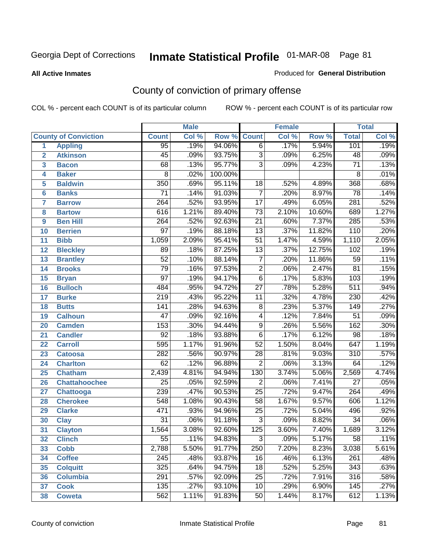#### **All Active Inmates**

#### Produced for **General Distribution**

# County of conviction of primary offense

|                         |                             |                  | <b>Male</b> |         |                 | <b>Female</b> |        |                  | <b>Total</b> |
|-------------------------|-----------------------------|------------------|-------------|---------|-----------------|---------------|--------|------------------|--------------|
|                         | <b>County of Conviction</b> | <b>Count</b>     | Col %       | Row %   | <b>Count</b>    | Col %         | Row %  | <b>Total</b>     | Col %        |
| 1                       | <b>Appling</b>              | $\overline{95}$  | .19%        | 94.06%  | $\overline{6}$  | .17%          | 5.94%  | 101              | .19%         |
| $\overline{2}$          | <b>Atkinson</b>             | $\overline{45}$  | .09%        | 93.75%  | $\overline{3}$  | .09%          | 6.25%  | $\overline{48}$  | .09%         |
| $\overline{\mathbf{3}}$ | <b>Bacon</b>                | 68               | .13%        | 95.77%  | $\overline{3}$  | .09%          | 4.23%  | $\overline{71}$  | .13%         |
| 4                       | <b>Baker</b>                | $\overline{8}$   | .02%        | 100.00% |                 |               |        | 8                | .01%         |
| 5                       | <b>Baldwin</b>              | $\overline{350}$ | .69%        | 95.11%  | 18              | .52%          | 4.89%  | 368              | .68%         |
| 6                       | <b>Banks</b>                | $\overline{71}$  | .14%        | 91.03%  | $\overline{7}$  | .20%          | 8.97%  | $\overline{78}$  | .14%         |
| $\overline{\mathbf{7}}$ | <b>Barrow</b>               | 264              | .52%        | 93.95%  | $\overline{17}$ | .49%          | 6.05%  | 281              | .52%         |
| 8                       | <b>Bartow</b>               | 616              | 1.21%       | 89.40%  | $\overline{73}$ | 2.10%         | 10.60% | 689              | 1.27%        |
| 9                       | <b>Ben Hill</b>             | $\overline{264}$ | .52%        | 92.63%  | $\overline{21}$ | .60%          | 7.37%  | 285              | .53%         |
| 10                      | <b>Berrien</b>              | $\overline{97}$  | .19%        | 88.18%  | $\overline{13}$ | .37%          | 11.82% | $\overline{110}$ | .20%         |
| 11                      | <b>Bibb</b>                 | 1,059            | 2.09%       | 95.41%  | $\overline{51}$ | 1.47%         | 4.59%  | 1,110            | 2.05%        |
| 12                      | <b>Bleckley</b>             | 89               | .18%        | 87.25%  | $\overline{13}$ | .37%          | 12.75% | 102              | .19%         |
| $\overline{13}$         | <b>Brantley</b>             | $\overline{52}$  | .10%        | 88.14%  | $\overline{7}$  | .20%          | 11.86% | $\overline{59}$  | .11%         |
| $\overline{14}$         | <b>Brooks</b>               | $\overline{79}$  | .16%        | 97.53%  | $\overline{2}$  | .06%          | 2.47%  | $\overline{81}$  | .15%         |
| 15                      | <b>Bryan</b>                | $\overline{97}$  | .19%        | 94.17%  | $\overline{6}$  | .17%          | 5.83%  | 103              | .19%         |
| 16                      | <b>Bulloch</b>              | 484              | .95%        | 94.72%  | $\overline{27}$ | .78%          | 5.28%  | $\overline{511}$ | .94%         |
| $\overline{17}$         | <b>Burke</b>                | $\overline{219}$ | .43%        | 95.22%  | $\overline{11}$ | .32%          | 4.78%  | 230              | .42%         |
| 18                      | <b>Butts</b>                | 141              | .28%        | 94.63%  | $\overline{8}$  | .23%          | 5.37%  | $\overline{149}$ | .27%         |
| 19                      | <b>Calhoun</b>              | $\overline{47}$  | .09%        | 92.16%  | $\overline{4}$  | .12%          | 7.84%  | $\overline{51}$  | .09%         |
| 20                      | <b>Camden</b>               | 153              | .30%        | 94.44%  | $\overline{9}$  | .26%          | 5.56%  | 162              | .30%         |
| 21                      | <b>Candler</b>              | $\overline{92}$  | .18%        | 93.88%  | $\overline{6}$  | .17%          | 6.12%  | $\overline{98}$  | .18%         |
| $\overline{22}$         | <b>Carroll</b>              | 595              | 1.17%       | 91.96%  | $\overline{52}$ | 1.50%         | 8.04%  | 647              | 1.19%        |
| 23                      | <b>Catoosa</b>              | 282              | .56%        | 90.97%  | $\overline{28}$ | .81%          | 9.03%  | $\overline{310}$ | .57%         |
| 24                      | <b>Charlton</b>             | $\overline{62}$  | .12%        | 96.88%  | $\overline{2}$  | .06%          | 3.13%  | 64               | .12%         |
| 25                      | <b>Chatham</b>              | 2,439            | 4.81%       | 94.94%  | 130             | 3.74%         | 5.06%  | 2,569            | 4.74%        |
| 26                      | <b>Chattahoochee</b>        | $\overline{25}$  | .05%        | 92.59%  | $\overline{2}$  | .06%          | 7.41%  | $\overline{27}$  | .05%         |
| 27                      | <b>Chattooga</b>            | 239              | .47%        | 90.53%  | $\overline{25}$ | .72%          | 9.47%  | $\overline{264}$ | .49%         |
| 28                      | <b>Cherokee</b>             | $\overline{548}$ | 1.08%       | 90.43%  | $\overline{58}$ | 1.67%         | 9.57%  | 606              | 1.12%        |
| 29                      | <b>Clarke</b>               | 471              | .93%        | 94.96%  | $\overline{25}$ | .72%          | 5.04%  | 496              | .92%         |
| 30                      | <b>Clay</b>                 | $\overline{31}$  | .06%        | 91.18%  | $\overline{3}$  | .09%          | 8.82%  | $\overline{34}$  | .06%         |
| $\overline{31}$         | <b>Clayton</b>              | 1,564            | 3.08%       | 92.60%  | 125             | 3.60%         | 7.40%  | 1,689            | 3.12%        |
| 32                      | <b>Clinch</b>               | 55               | .11%        | 94.83%  | 3               | .09%          | 5.17%  | $\overline{58}$  | .11%         |
| 33                      | <b>Cobb</b>                 | 2,788            | 5.50%       | 91.77%  | 250             | 7.20%         | 8.23%  | 3,038            | 5.61%        |
| 34                      | <b>Coffee</b>               | $\overline{245}$ | .48%        | 93.87%  | 16              | .46%          | 6.13%  | 261              | .48%         |
| 35                      | <b>Colquitt</b>             | 325              | .64%        | 94.75%  | 18              | .52%          | 5.25%  | 343              | .63%         |
| 36                      | <b>Columbia</b>             | 291              | .57%        | 92.09%  | $\overline{25}$ | .72%          | 7.91%  | 316              | .58%         |
| 37                      | <b>Cook</b>                 | 135              | .27%        | 93.10%  | 10              | .29%          | 6.90%  | 145              | .27%         |
| 38                      | <b>Coweta</b>               | 562              | 1.11%       | 91.83%  | 50              | 1.44%         | 8.17%  | 612              | 1.13%        |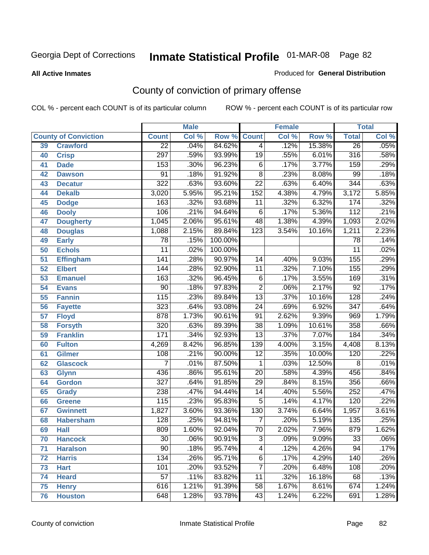#### **All Active Inmates**

#### Produced for **General Distribution**

# County of conviction of primary offense

|                 |                             |                  | <b>Male</b> |         |                  | <b>Female</b> |        |                  | <b>Total</b> |
|-----------------|-----------------------------|------------------|-------------|---------|------------------|---------------|--------|------------------|--------------|
|                 | <b>County of Conviction</b> | <b>Count</b>     | Col %       | Row %   | <b>Count</b>     | Col %         | Row %  | <b>Total</b>     | Col %        |
| 39              | <b>Crawford</b>             | $\overline{22}$  | .04%        | 84.62%  | $\overline{4}$   | .12%          | 15.38% | $\overline{26}$  | .05%         |
| 40              | <b>Crisp</b>                | 297              | .59%        | 93.99%  | $\overline{19}$  | .55%          | 6.01%  | 316              | .58%         |
| 41              | <b>Dade</b>                 | 153              | .30%        | 96.23%  | 6                | .17%          | 3.77%  | 159              | .29%         |
| 42              | <b>Dawson</b>               | $\overline{91}$  | .18%        | 91.92%  | $\overline{8}$   | .23%          | 8.08%  | 99               | .18%         |
| 43              | <b>Decatur</b>              | 322              | .63%        | 93.60%  | $\overline{22}$  | .63%          | 6.40%  | $\overline{344}$ | .63%         |
| 44              | <b>Dekalb</b>               | 3,020            | 5.95%       | 95.21%  | $\overline{152}$ | 4.38%         | 4.79%  | 3,172            | 5.85%        |
| 45              | <b>Dodge</b>                | 163              | .32%        | 93.68%  | 11               | .32%          | 6.32%  | 174              | .32%         |
| 46              | <b>Dooly</b>                | 106              | .21%        | 94.64%  | 6                | .17%          | 5.36%  | $\overline{112}$ | .21%         |
| 47              | <b>Dougherty</b>            | 1,045            | 2.06%       | 95.61%  | 48               | 1.38%         | 4.39%  | 1,093            | 2.02%        |
| 48              | <b>Douglas</b>              | 1,088            | 2.15%       | 89.84%  | $\overline{123}$ | 3.54%         | 10.16% | 1,211            | 2.23%        |
| 49              | <b>Early</b>                | 78               | .15%        | 100.00% |                  |               |        | $\overline{78}$  | .14%         |
| 50              | <b>Echols</b>               | $\overline{11}$  | .02%        | 100.00% |                  |               |        | $\overline{11}$  | .02%         |
| $\overline{51}$ | <b>Effingham</b>            | $\overline{141}$ | .28%        | 90.97%  | 14               | .40%          | 9.03%  | 155              | .29%         |
| 52              | <b>Elbert</b>               | 144              | .28%        | 92.90%  | $\overline{11}$  | .32%          | 7.10%  | 155              | .29%         |
| 53              | <b>Emanuel</b>              | 163              | .32%        | 96.45%  | $\overline{6}$   | .17%          | 3.55%  | 169              | .31%         |
| 54              | <b>Evans</b>                | $\overline{90}$  | .18%        | 97.83%  | $\overline{2}$   | .06%          | 2.17%  | $\overline{92}$  | .17%         |
| 55              | <b>Fannin</b>               | 115              | .23%        | 89.84%  | $\overline{13}$  | .37%          | 10.16% | $\overline{128}$ | .24%         |
| 56              | <b>Fayette</b>              | 323              | .64%        | 93.08%  | $\overline{24}$  | .69%          | 6.92%  | $\overline{347}$ | .64%         |
| 57              | <b>Floyd</b>                | 878              | 1.73%       | 90.61%  | $\overline{91}$  | 2.62%         | 9.39%  | 969              | 1.79%        |
| 58              | <b>Forsyth</b>              | 320              | .63%        | 89.39%  | $\overline{38}$  | 1.09%         | 10.61% | 358              | .66%         |
| 59              | <b>Franklin</b>             | 171              | .34%        | 92.93%  | $\overline{13}$  | .37%          | 7.07%  | 184              | .34%         |
| 60              | <b>Fulton</b>               | 4,269            | 8.42%       | 96.85%  | 139              | 4.00%         | 3.15%  | 4,408            | 8.13%        |
| 61              | Gilmer                      | 108              | .21%        | 90.00%  | $\overline{12}$  | .35%          | 10.00% | 120              | .22%         |
| 62              | <b>Glascock</b>             | $\overline{7}$   | .01%        | 87.50%  | $\mathbf{1}$     | .03%          | 12.50% | $\overline{8}$   | .01%         |
| 63              | <b>Glynn</b>                | 436              | .86%        | 95.61%  | $\overline{20}$  | .58%          | 4.39%  | 456              | .84%         |
| 64              | <b>Gordon</b>               | $\overline{327}$ | .64%        | 91.85%  | 29               | .84%          | 8.15%  | 356              | .66%         |
| 65              | <b>Grady</b>                | 238              | .47%        | 94.44%  | $\overline{14}$  | .40%          | 5.56%  | $\overline{252}$ | .47%         |
| 66              | <b>Greene</b>               | 115              | .23%        | 95.83%  | $\overline{5}$   | .14%          | 4.17%  | 120              | .22%         |
| 67              | <b>Gwinnett</b>             | 1,827            | 3.60%       | 93.36%  | 130              | 3.74%         | 6.64%  | 1,957            | 3.61%        |
| 68              | <b>Habersham</b>            | $\overline{128}$ | .25%        | 94.81%  | $\overline{7}$   | .20%          | 5.19%  | 135              | .25%         |
| 69              | <b>Hall</b>                 | 809              | 1.60%       | 92.04%  | $\overline{70}$  | 2.02%         | 7.96%  | $\overline{879}$ | 1.62%        |
| 70              | <b>Hancock</b>              | 30               | .06%        | 90.91%  | 3                | .09%          | 9.09%  | 33               | .06%         |
| 71              | <b>Haralson</b>             | $\overline{90}$  | .18%        | 95.74%  | 4                | .12%          | 4.26%  | $\overline{94}$  | .17%         |
| 72              | <b>Harris</b>               | 134              | .26%        | 95.71%  | $\overline{6}$   | .17%          | 4.29%  | 140              | .26%         |
| 73              | <b>Hart</b>                 | 101              | .20%        | 93.52%  | $\overline{7}$   | .20%          | 6.48%  | 108              | .20%         |
| 74              | <b>Heard</b>                | $\overline{57}$  | .11%        | 83.82%  | $\overline{11}$  | .32%          | 16.18% | 68               | .13%         |
| 75              | <b>Henry</b>                | 616              | 1.21%       | 91.39%  | 58               | 1.67%         | 8.61%  | 674              | 1.24%        |
| 76              | <b>Houston</b>              | 648              | 1.28%       | 93.78%  | $\overline{43}$  | 1.24%         | 6.22%  | 691              | 1.28%        |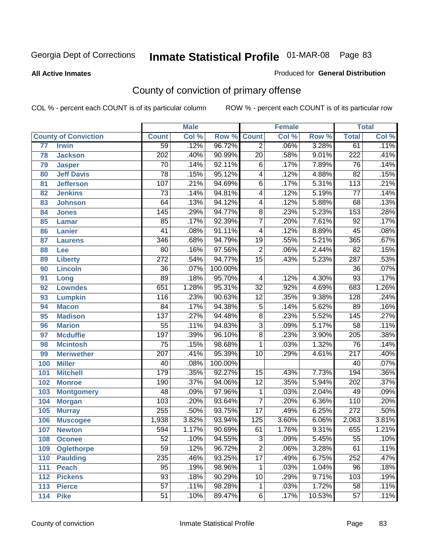#### **All Active Inmates**

#### Produced for **General Distribution**

# County of conviction of primary offense

|                 |                             |                  | <b>Male</b> |         |                 | <b>Female</b> |        |                  | <b>Total</b> |
|-----------------|-----------------------------|------------------|-------------|---------|-----------------|---------------|--------|------------------|--------------|
|                 | <b>County of Conviction</b> | <b>Count</b>     | Col %       | Row %   | <b>Count</b>    | Col %         | Row %  | <b>Total</b>     | Col %        |
| $\overline{77}$ | <b>Irwin</b>                | $\overline{59}$  | .12%        | 96.72%  | $\overline{2}$  | .06%          | 3.28%  | 61               | .11%         |
| 78              | <b>Jackson</b>              | $\overline{202}$ | .40%        | 90.99%  | $\overline{20}$ | .58%          | 9.01%  | $\overline{222}$ | .41%         |
| 79              | <b>Jasper</b>               | $\overline{70}$  | .14%        | 92.11%  | $\,6$           | .17%          | 7.89%  | $\overline{76}$  | .14%         |
| 80              | <b>Jeff Davis</b>           | $\overline{78}$  | .15%        | 95.12%  | 4               | .12%          | 4.88%  | $\overline{82}$  | .15%         |
| 81              | <b>Jefferson</b>            | 107              | .21%        | 94.69%  | $\overline{6}$  | .17%          | 5.31%  | $\overline{113}$ | .21%         |
| 82              | <b>Jenkins</b>              | $\overline{73}$  | .14%        | 94.81%  | 4               | .12%          | 5.19%  | $\overline{77}$  | .14%         |
| 83              | <b>Johnson</b>              | 64               | .13%        | 94.12%  | 4               | .12%          | 5.88%  | 68               | .13%         |
| 84              | <b>Jones</b>                | 145              | .29%        | 94.77%  | 8               | .23%          | 5.23%  | 153              | .28%         |
| 85              | <b>Lamar</b>                | 85               | .17%        | 92.39%  | $\overline{7}$  | .20%          | 7.61%  | $\overline{92}$  | .17%         |
| 86              | <b>Lanier</b>               | $\overline{41}$  | .08%        | 91.11%  | 4               | .12%          | 8.89%  | 45               | .08%         |
| 87              | <b>Laurens</b>              | 346              | .68%        | 94.79%  | $\overline{19}$ | .55%          | 5.21%  | 365              | .67%         |
| 88              | Lee                         | 80               | .16%        | 97.56%  | $\overline{2}$  | .06%          | 2.44%  | $\overline{82}$  | .15%         |
| 89              | <b>Liberty</b>              | $\overline{272}$ | .54%        | 94.77%  | $\overline{15}$ | .43%          | 5.23%  | $\overline{287}$ | .53%         |
| 90              | <b>Lincoln</b>              | $\overline{36}$  | .07%        | 100.00% |                 |               |        | $\overline{36}$  | .07%         |
| 91              | Long                        | $\overline{89}$  | .18%        | 95.70%  | 4               | .12%          | 4.30%  | 93               | .17%         |
| 92              | <b>Lowndes</b>              | 651              | 1.28%       | 95.31%  | $\overline{32}$ | .92%          | 4.69%  | 683              | 1.26%        |
| 93              | <b>Lumpkin</b>              | 116              | .23%        | 90.63%  | $\overline{12}$ | .35%          | 9.38%  | $\overline{128}$ | .24%         |
| 94              | <b>Macon</b>                | $\overline{84}$  | .17%        | 94.38%  | $\overline{5}$  | .14%          | 5.62%  | 89               | .16%         |
| 95              | <b>Madison</b>              | 137              | .27%        | 94.48%  | $\overline{8}$  | .23%          | 5.52%  | $\overline{145}$ | .27%         |
| 96              | <b>Marion</b>               | $\overline{55}$  | .11%        | 94.83%  | $\overline{3}$  | .09%          | 5.17%  | $\overline{58}$  | .11%         |
| 97              | <b>Mcduffie</b>             | 197              | .39%        | 96.10%  | $\overline{8}$  | .23%          | 3.90%  | $\overline{205}$ | .38%         |
| 98              | <b>Mcintosh</b>             | $\overline{75}$  | .15%        | 98.68%  | 1               | .03%          | 1.32%  | $\overline{76}$  | .14%         |
| 99              | <b>Meriwether</b>           | 207              | .41%        | 95.39%  | $\overline{10}$ | .29%          | 4.61%  | $\overline{217}$ | .40%         |
| 100             | <b>Miller</b>               | 40               | .08%        | 100.00% |                 |               |        | 40               | .07%         |
| 101             | <b>Mitchell</b>             | 179              | .35%        | 92.27%  | 15              | .43%          | 7.73%  | 194              | .36%         |
| 102             | <b>Monroe</b>               | 190              | .37%        | 94.06%  | $\overline{12}$ | .35%          | 5.94%  | 202              | .37%         |
| 103             | <b>Montgomery</b>           | 48               | .09%        | 97.96%  | $\mathbf 1$     | .03%          | 2.04%  | 49               | .09%         |
| 104             | <b>Morgan</b>               | 103              | .20%        | 93.64%  | 7               | .20%          | 6.36%  | 110              | .20%         |
| 105             | <b>Murray</b>               | 255              | .50%        | 93.75%  | $\overline{17}$ | .49%          | 6.25%  | $\overline{272}$ | .50%         |
| 106             | <b>Muscogee</b>             | 1,938            | 3.82%       | 93.94%  | 125             | 3.60%         | 6.06%  | 2,063            | 3.81%        |
| 107             | <b>Newton</b>               | 594              | 1.17%       | 90.69%  | 61              | 1.76%         | 9.31%  | 655              | 1.21%        |
| 108             | <b>Oconee</b>               | 52               | .10%        | 94.55%  | 3               | .09%          | 5.45%  | 55               | $.10\%$      |
| 109             | <b>Oglethorpe</b>           | $\overline{59}$  | .12%        | 96.72%  | $\overline{2}$  | .06%          | 3.28%  | 61               | .11%         |
| 110             | <b>Paulding</b>             | 235              | .46%        | 93.25%  | $\overline{17}$ | .49%          | 6.75%  | 252              | .47%         |
| 111             | <b>Peach</b>                | 95               | .19%        | 98.96%  | 1               | .03%          | 1.04%  | 96               | .18%         |
| 112             | <b>Pickens</b>              | $\overline{93}$  | .18%        | 90.29%  | 10              | .29%          | 9.71%  | 103              | .19%         |
| 113             | <b>Pierce</b>               | $\overline{57}$  | .11%        | 98.28%  | $\mathbf{1}$    | .03%          | 1.72%  | $\overline{58}$  | .11%         |
| 114             | <b>Pike</b>                 | $\overline{51}$  | .10%        | 89.47%  | 6               | .17%          | 10.53% | $\overline{57}$  | .11%         |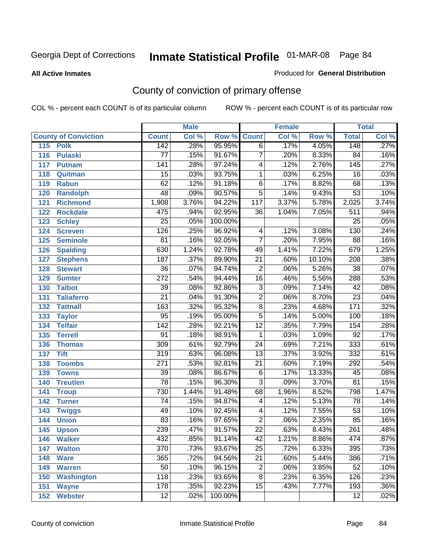#### **All Active Inmates**

#### Produced for **General Distribution**

# County of conviction of primary offense

|                             |                  | <b>Male</b> |         |                 | <b>Female</b> |        |                  | <b>Total</b>               |
|-----------------------------|------------------|-------------|---------|-----------------|---------------|--------|------------------|----------------------------|
| <b>County of Conviction</b> | <b>Count</b>     | Col %       | Row %   | <b>Count</b>    | Col %         | Row %  | <b>Total</b>     | $\overline{\text{Col }\%}$ |
| 115<br><b>Polk</b>          | 142              | .28%        | 95.95%  | $\overline{6}$  | .17%          | 4.05%  | 148              | .27%                       |
| <b>Pulaski</b><br>116       | $\overline{77}$  | .15%        | 91.67%  | $\overline{7}$  | .20%          | 8.33%  | $\overline{84}$  | .16%                       |
| 117<br><b>Putnam</b>        | 141              | .28%        | 97.24%  | 4               | .12%          | 2.76%  | $\overline{145}$ | .27%                       |
| 118<br>Quitman              | $\overline{15}$  | .03%        | 93.75%  | 1               | .03%          | 6.25%  | $\overline{16}$  | .03%                       |
| 119<br><b>Rabun</b>         | 62               | .12%        | 91.18%  | $\overline{6}$  | .17%          | 8.82%  | 68               | .13%                       |
| 120<br><b>Randolph</b>      | $\overline{48}$  | .09%        | 90.57%  | $\overline{5}$  | .14%          | 9.43%  | $\overline{53}$  | .10%                       |
| 121<br><b>Richmond</b>      | 1,908            | 3.76%       | 94.22%  | 117             | 3.37%         | 5.78%  | 2,025            | 3.74%                      |
| 122<br><b>Rockdale</b>      | 475              | .94%        | 92.95%  | 36              | 1.04%         | 7.05%  | 511              | .94%                       |
| 123<br><b>Schley</b>        | $\overline{25}$  | .05%        | 100.00% |                 |               |        | $\overline{25}$  | .05%                       |
| 124<br><b>Screven</b>       | $\overline{126}$ | .25%        | 96.92%  | 4               | .12%          | 3.08%  | 130              | .24%                       |
| 125<br><b>Seminole</b>      | $\overline{81}$  | .16%        | 92.05%  | $\overline{7}$  | .20%          | 7.95%  | 88               | .16%                       |
| 126<br><b>Spalding</b>      | 630              | 1.24%       | 92.78%  | 49              | 1.41%         | 7.22%  | 679              | 1.25%                      |
| 127<br><b>Stephens</b>      | 187              | .37%        | 89.90%  | $\overline{21}$ | .60%          | 10.10% | $\overline{208}$ | .38%                       |
| 128<br><b>Stewart</b>       | $\overline{36}$  | .07%        | 94.74%  | $\overline{2}$  | .06%          | 5.26%  | $\overline{38}$  | .07%                       |
| 129<br><b>Sumter</b>        | $\overline{272}$ | .54%        | 94.44%  | 16              | .46%          | 5.56%  | 288              | .53%                       |
| 130<br><b>Talbot</b>        | $\overline{39}$  | .08%        | 92.86%  | $\overline{3}$  | .09%          | 7.14%  | $\overline{42}$  | .08%                       |
| 131<br><b>Taliaferro</b>    | $\overline{21}$  | .04%        | 91.30%  | $\overline{2}$  | .06%          | 8.70%  | $\overline{23}$  | .04%                       |
| 132<br><b>Tattnall</b>      | $\overline{163}$ | .32%        | 95.32%  | $\overline{8}$  | .23%          | 4.68%  | 171              | .32%                       |
| 133<br><b>Taylor</b>        | 95               | .19%        | 95.00%  | $\overline{5}$  | .14%          | 5.00%  | 100              | .18%                       |
| <b>Telfair</b><br>134       | $\overline{142}$ | .28%        | 92.21%  | $\overline{12}$ | .35%          | 7.79%  | 154              | .28%                       |
| 135<br><b>Terrell</b>       | $\overline{91}$  | .18%        | 98.91%  | 1               | .03%          | 1.09%  | $\overline{92}$  | .17%                       |
| 136<br><b>Thomas</b>        | 309              | .61%        | 92.79%  | $\overline{24}$ | .69%          | 7.21%  | 333              | .61%                       |
| 137<br><b>Tift</b>          | $\overline{319}$ | .63%        | 96.08%  | $\overline{13}$ | .37%          | 3.92%  | 332              | .61%                       |
| $138$<br><b>Toombs</b>      | $\overline{271}$ | .53%        | 92.81%  | $\overline{21}$ | .60%          | 7.19%  | 292              | .54%                       |
| 139<br><b>Towns</b>         | $\overline{39}$  | .08%        | 86.67%  | $\overline{6}$  | .17%          | 13.33% | 45               | .08%                       |
| 140<br><b>Treutlen</b>      | $\overline{78}$  | .15%        | 96.30%  | $\overline{3}$  | .09%          | 3.70%  | $\overline{81}$  | .15%                       |
| 141<br><b>Troup</b>         | 730              | 1.44%       | 91.48%  | 68              | 1.96%         | 8.52%  | 798              | 1.47%                      |
| 142<br><b>Turner</b>        | $\overline{74}$  | .15%        | 94.87%  | 4               | .12%          | 5.13%  | $\overline{78}$  | .14%                       |
| 143<br><b>Twiggs</b>        | 49               | .10%        | 92.45%  | 4               | .12%          | 7.55%  | $\overline{53}$  | .10%                       |
| 144<br><b>Union</b>         | $\overline{83}$  | .16%        | 97.65%  | $\overline{2}$  | .06%          | 2.35%  | 85               | .16%                       |
| 145<br><b>Upson</b>         | 239              | .47%        | 91.57%  | $\overline{22}$ | .63%          | 8.43%  | $\overline{261}$ | .48%                       |
| 146<br><b>Walker</b>        | 432              | .85%        | 91.14%  | 42              | 1.21%         | 8.86%  | 474              | .87%                       |
| 147<br><b>Walton</b>        | $\overline{370}$ | .73%        | 93.67%  | $\overline{25}$ | .72%          | 6.33%  | 395              | .73%                       |
| 148<br><b>Ware</b>          | 365              | .72%        | 94.56%  | $\overline{21}$ | .60%          | 5.44%  | 386              | .71%                       |
| 149<br><b>Warren</b>        | 50               | .10%        | 96.15%  | $\overline{2}$  | .06%          | 3.85%  | $\overline{52}$  | .10%                       |
| 150<br><b>Washington</b>    | 118              | .23%        | 93.65%  | $\overline{8}$  | .23%          | 6.35%  | 126              | .23%                       |
| 151<br><b>Wayne</b>         | 178              | .35%        | 92.23%  | $\overline{15}$ | .43%          | 7.77%  | 193              | .36%                       |
| 152<br><b>Webster</b>       | $\overline{12}$  | .02%        | 100.00% |                 |               |        | $\overline{12}$  | .02%                       |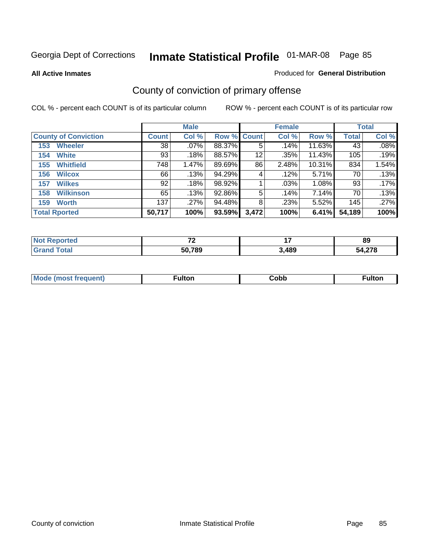**All Active Inmates**

#### Produced for **General Distribution**

# County of conviction of primary offense

|                             |              | <b>Male</b> |             |       | <b>Female</b> |        |              | <b>Total</b> |
|-----------------------------|--------------|-------------|-------------|-------|---------------|--------|--------------|--------------|
| <b>County of Conviction</b> | <b>Count</b> | Col %       | Row % Count |       | Col %         | Row %  | <b>Total</b> | Col %        |
| <b>Wheeler</b><br>153       | 38           | $.07\%$     | 88.37%      | 5     | .14%          | 11.63% | 43           | .08%         |
| <b>White</b><br>154         | 93           | .18%        | 88.57%      | 12    | .35%          | 11.43% | 105          | .19%         |
| <b>Whitfield</b><br>155     | 748          | 1.47%       | 89.69%      | 86    | 2.48%         | 10.31% | 834          | 1.54%        |
| <b>Wilcox</b><br>156        | 66           | .13%        | 94.29%      | 4     | .12%          | 5.71%  | 70           | .13%         |
| <b>Wilkes</b><br>157        | 92           | .18%        | 98.92%      |       | $.03\%$       | 1.08%  | 93           | .17%         |
| <b>Wilkinson</b><br>158     | 65           | .13%        | 92.86%      | 5     | .14%          | 7.14%  | 70           | .13%         |
| <b>Worth</b><br>159         | 137          | .27%        | 94.48%      | 8     | .23%          | 5.52%  | 145          | .27%         |
| <b>Total Rported</b>        | 50,717       | 100%        | 93.59%      | 3,472 | 100%          | 6.41%  | 54,189       | 100%         |

| <b>Reported</b><br>NO | $\sim$ | $\overline{\phantom{a}}$ | oc<br>໐ະ   |
|-----------------------|--------|--------------------------|------------|
| <b>otal</b>           | 50,789 | 3,489                    | <b>270</b> |

| Mc | ™ulton | Cobb |  |
|----|--------|------|--|
|    |        |      |  |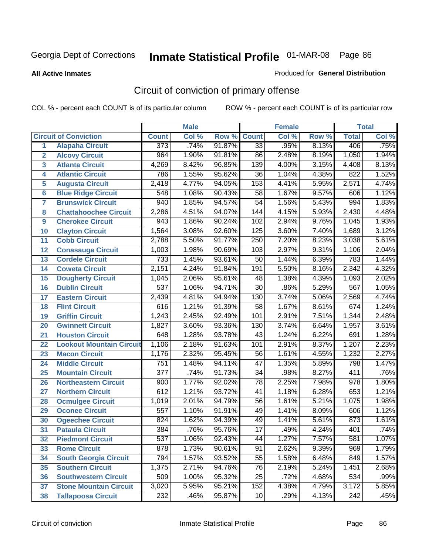**All Active Inmates**

### Produced for **General Distribution**

# Circuit of conviction of primary offense

|                         |                                 |                  | <b>Male</b> |        |                 | <b>Female</b> |       |                  | <b>Total</b> |
|-------------------------|---------------------------------|------------------|-------------|--------|-----------------|---------------|-------|------------------|--------------|
|                         | <b>Circuit of Conviction</b>    | <b>Count</b>     | CoI%        | Row %  | <b>Count</b>    | Col %         | Row % | <b>Total</b>     | Col %        |
| 1                       | <b>Alapaha Circuit</b>          | 373              | .74%        | 91.87% | $\overline{33}$ | .95%          | 8.13% | 406              | .75%         |
| $\overline{2}$          | <b>Alcovy Circuit</b>           | 964              | 1.90%       | 91.81% | $\overline{86}$ | 2.48%         | 8.19% | 1,050            | 1.94%        |
| $\overline{\mathbf{3}}$ | <b>Atlanta Circuit</b>          | 4,269            | 8.42%       | 96.85% | 139             | 4.00%         | 3.15% | 4,408            | 8.13%        |
| 4                       | <b>Atlantic Circuit</b>         | 786              | 1.55%       | 95.62% | $\overline{36}$ | 1.04%         | 4.38% | 822              | 1.52%        |
| 5                       | <b>Augusta Circuit</b>          | 2,418            | 4.77%       | 94.05% | 153             | 4.41%         | 5.95% | 2,571            | 4.74%        |
| $6\phantom{a}$          | <b>Blue Ridge Circuit</b>       | 548              | 1.08%       | 90.43% | $\overline{58}$ | 1.67%         | 9.57% | 606              | 1.12%        |
| $\overline{7}$          | <b>Brunswick Circuit</b>        | 940              | 1.85%       | 94.57% | $\overline{54}$ | 1.56%         | 5.43% | 994              | 1.83%        |
| 8                       | <b>Chattahoochee Circuit</b>    | 2,286            | 4.51%       | 94.07% | 144             | 4.15%         | 5.93% | 2,430            | 4.48%        |
| 9                       | <b>Cherokee Circuit</b>         | 943              | 1.86%       | 90.24% | 102             | 2.94%         | 9.76% | 1,045            | 1.93%        |
| 10                      | <b>Clayton Circuit</b>          | 1,564            | 3.08%       | 92.60% | 125             | 3.60%         | 7.40% | 1,689            | 3.12%        |
| 11                      | <b>Cobb Circuit</b>             | 2,788            | 5.50%       | 91.77% | 250             | 7.20%         | 8.23% | 3,038            | 5.61%        |
| 12                      | <b>Conasauga Circuit</b>        | 1,003            | 1.98%       | 90.69% | 103             | 2.97%         | 9.31% | 1,106            | 2.04%        |
| 13                      | <b>Cordele Circuit</b>          | $\overline{733}$ | 1.45%       | 93.61% | $\overline{50}$ | 1.44%         | 6.39% | 783              | 1.44%        |
| 14                      | <b>Coweta Circuit</b>           | 2,151            | 4.24%       | 91.84% | 191             | 5.50%         | 8.16% | 2,342            | 4.32%        |
| 15                      | <b>Dougherty Circuit</b>        | 1,045            | 2.06%       | 95.61% | 48              | 1.38%         | 4.39% | 1,093            | 2.02%        |
| 16                      | <b>Dublin Circuit</b>           | $\overline{537}$ | 1.06%       | 94.71% | $\overline{30}$ | .86%          | 5.29% | 567              | 1.05%        |
| 17                      | <b>Eastern Circuit</b>          | 2,439            | 4.81%       | 94.94% | 130             | 3.74%         | 5.06% | 2,569            | 4.74%        |
| 18                      | <b>Flint Circuit</b>            | 616              | 1.21%       | 91.39% | $\overline{58}$ | 1.67%         | 8.61% | 674              | 1.24%        |
| 19                      | <b>Griffin Circuit</b>          | 1,243            | 2.45%       | 92.49% | 101             | 2.91%         | 7.51% | 1,344            | 2.48%        |
| 20                      | <b>Gwinnett Circuit</b>         | 1,827            | 3.60%       | 93.36% | 130             | 3.74%         | 6.64% | 1,957            | 3.61%        |
| 21                      | <b>Houston Circuit</b>          | 648              | 1.28%       | 93.78% | $\overline{43}$ | 1.24%         | 6.22% | 691              | 1.28%        |
| 22                      | <b>Lookout Mountain Circuit</b> | 1,106            | 2.18%       | 91.63% | 101             | 2.91%         | 8.37% | 1,207            | 2.23%        |
| 23                      | <b>Macon Circuit</b>            | 1,176            | 2.32%       | 95.45% | 56              | 1.61%         | 4.55% | 1,232            | 2.27%        |
| 24                      | <b>Middle Circuit</b>           | 751              | 1.48%       | 94.11% | 47              | 1.35%         | 5.89% | 798              | 1.47%        |
| 25                      | <b>Mountain Circuit</b>         | $\overline{377}$ | .74%        | 91.73% | $\overline{34}$ | .98%          | 8.27% | 411              | .76%         |
| 26                      | <b>Northeastern Circuit</b>     | $\overline{900}$ | 1.77%       | 92.02% | $\overline{78}$ | 2.25%         | 7.98% | $\overline{978}$ | 1.80%        |
| 27                      | <b>Northern Circuit</b>         | 612              | 1.21%       | 93.72% | 41              | 1.18%         | 6.28% | 653              | 1.21%        |
| 28                      | <b>Ocmulgee Circuit</b>         | 1,019            | 2.01%       | 94.79% | 56              | 1.61%         | 5.21% | 1,075            | 1.98%        |
| 29                      | <b>Oconee Circuit</b>           | 557              | 1.10%       | 91.91% | 49              | 1.41%         | 8.09% | 606              | 1.12%        |
| 30                      | <b>Ogeechee Circuit</b>         | 824              | 1.62%       | 94.39% | 49              | 1.41%         | 5.61% | 873              | 1.61%        |
| 31                      | <b>Pataula Circuit</b>          | 384              | .76%        | 95.76% | $\overline{17}$ | .49%          | 4.24% | 401              | .74%         |
| 32                      | <b>Piedmont Circuit</b>         | $\overline{537}$ | 1.06%       | 92.43% | $\overline{44}$ | 1.27%         | 7.57% | 581              | 1.07%        |
| 33                      | <b>Rome Circuit</b>             | 878              | 1.73%       | 90.61% | $\overline{91}$ | 2.62%         | 9.39% | 969              | 1.79%        |
| 34                      | <b>South Georgia Circuit</b>    | 794              | 1.57%       | 93.52% | $\overline{55}$ | 1.58%         | 6.48% | 849              | 1.57%        |
| 35                      | <b>Southern Circuit</b>         | 1,375            | 2.71%       | 94.76% | 76              | 2.19%         | 5.24% | 1,451            | 2.68%        |
| 36                      | <b>Southwestern Circuit</b>     | 509              | 1.00%       | 95.32% | 25              | .72%          | 4.68% | $\overline{534}$ | .99%         |
| 37                      | <b>Stone Mountain Circuit</b>   | 3,020            | 5.95%       | 95.21% | 152             | 4.38%         | 4.79% | 3,172            | 5.85%        |
| 38                      | <b>Tallapoosa Circuit</b>       | 232              | .46%        | 95.87% | 10              | .29%          | 4.13% | 242              | .45%         |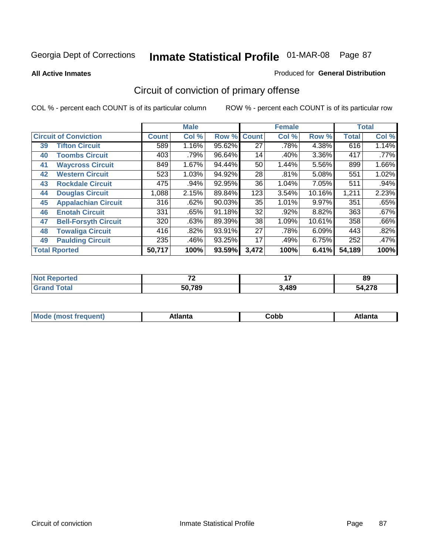**All Active Inmates**

#### Produced for **General Distribution**

# Circuit of conviction of primary offense

|    |                              |              | <b>Male</b> |        |              | <b>Female</b> |        |              | <b>Total</b> |
|----|------------------------------|--------------|-------------|--------|--------------|---------------|--------|--------------|--------------|
|    | <b>Circuit of Conviction</b> | <b>Count</b> | Col %       | Row %  | <b>Count</b> | Col %         | Row %  | <b>Total</b> | Col %        |
| 39 | <b>Tifton Circuit</b>        | 589          | 1.16%       | 95.62% | 27           | .78%          | 4.38%  | 616          | 1.14%        |
| 40 | <b>Toombs Circuit</b>        | 403          | .79%        | 96.64% | 14           | .40%          | 3.36%  | 417          | .77%         |
| 41 | <b>Waycross Circuit</b>      | 849          | 1.67%       | 94.44% | 50           | 1.44%         | 5.56%  | 899          | $1.66\%$     |
| 42 | <b>Western Circuit</b>       | 523          | 1.03%       | 94.92% | 28           | .81%          | 5.08%  | 551          | 1.02%        |
| 43 | <b>Rockdale Circuit</b>      | 475          | .94%        | 92.95% | 36           | 1.04%         | 7.05%  | 511          | .94%         |
| 44 | <b>Douglas Circuit</b>       | 1,088        | 2.15%       | 89.84% | 123          | 3.54%         | 10.16% | 1,211        | 2.23%        |
| 45 | <b>Appalachian Circuit</b>   | 316          | .62%        | 90.03% | 35           | 1.01%         | 9.97%  | 351          | .65%         |
| 46 | <b>Enotah Circuit</b>        | 331          | .65%        | 91.18% | 32           | .92%          | 8.82%  | 363          | .67%         |
| 47 | <b>Bell-Forsyth Circuit</b>  | 320          | .63%        | 89.39% | 38           | 1.09%         | 10.61% | 358          | .66%         |
| 48 | <b>Towaliga Circuit</b>      | 416          | .82%        | 93.91% | 27           | .78%          | 6.09%  | 443          | .82%         |
| 49 | <b>Paulding Circuit</b>      | 235          | .46%        | 93.25% | 17           | .49%          | 6.75%  | 252          | .47%         |
|    | <b>Total Rported</b>         | 50,717       | 100%        | 93.59% | 3,472        | 100%          | 6.41%  | 54,189       | 100%         |

| ted<br>NI | $\sim$ | . .   | 89        |  |
|-----------|--------|-------|-----------|--|
|           | 50,789 | 3,489 | 270<br>מי |  |

| M, | $+1 - - + -$<br>annu -<br>uu | ∶obb<br>- - - - - | .<br>чна<br>- --------- |
|----|------------------------------|-------------------|-------------------------|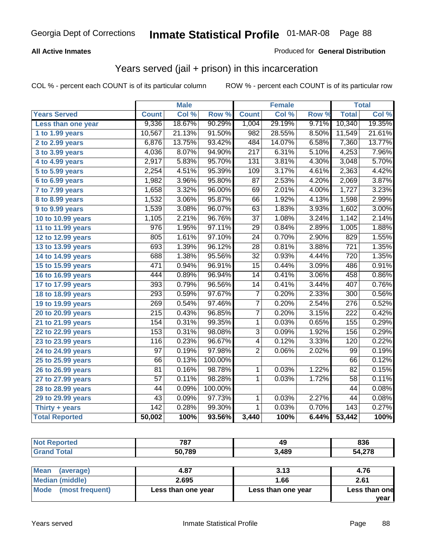### **All Active Inmates**

### Produced for **General Distribution**

## Years served (jail + prison) in this incarceration

|                              |                  | <b>Male</b> |         |                 | <b>Female</b> |       |                  | <b>Total</b> |
|------------------------------|------------------|-------------|---------|-----------------|---------------|-------|------------------|--------------|
| <b>Years Served</b>          | <b>Count</b>     | Col %       | Row %   | <b>Count</b>    | Col %         | Row % | <b>Total</b>     | Col %        |
| Less than one year           | 9,336            | 18.67%      | 90.29%  | 1,004           | 29.19%        | 9.71% | 10,340           | 19.35%       |
| 1 to 1.99 years              | 10,567           | 21.13%      | 91.50%  | 982             | 28.55%        | 8.50% | 11,549           | 21.61%       |
| 2 to 2.99 years              | 6,876            | 13.75%      | 93.42%  | 484             | 14.07%        | 6.58% | 7,360            | 13.77%       |
| 3 to 3.99 years              | 4,036            | 8.07%       | 94.90%  | 217             | 6.31%         | 5.10% | 4,253            | 7.96%        |
| 4 to 4.99 years              | 2,917            | 5.83%       | 95.70%  | 131             | 3.81%         | 4.30% | 3,048            | 5.70%        |
| 5 to 5.99 years              | 2,254            | 4.51%       | 95.39%  | 109             | 3.17%         | 4.61% | 2,363            | 4.42%        |
| 6 to 6.99 years              | 1,982            | 3.96%       | 95.80%  | $\overline{87}$ | 2.53%         | 4.20% | 2,069            | 3.87%        |
| $\overline{7}$ to 7.99 years | 1,658            | 3.32%       | 96.00%  | 69              | 2.01%         | 4.00% | 1,727            | 3.23%        |
| 8 to 8.99 years              | 1,532            | 3.06%       | 95.87%  | 66              | 1.92%         | 4.13% | 1,598            | 2.99%        |
| 9 to 9.99 years              | 1,539            | 3.08%       | 96.07%  | $\overline{63}$ | 1.83%         | 3.93% | 1,602            | 3.00%        |
| 10 to 10.99 years            | 1,105            | 2.21%       | 96.76%  | $\overline{37}$ | 1.08%         | 3.24% | 1,142            | 2.14%        |
| 11 to 11.99 years            | $\overline{976}$ | 1.95%       | 97.11%  | 29              | 0.84%         | 2.89% | 1,005            | 1.88%        |
| 12 to 12.99 years            | 805              | 1.61%       | 97.10%  | $\overline{24}$ | 0.70%         | 2.90% | 829              | 1.55%        |
| 13 to 13.99 years            | 693              | 1.39%       | 96.12%  | $\overline{28}$ | 0.81%         | 3.88% | $\overline{721}$ | 1.35%        |
| 14 to 14.99 years            | 688              | 1.38%       | 95.56%  | $\overline{32}$ | 0.93%         | 4.44% | $\overline{720}$ | 1.35%        |
| 15 to 15.99 years            | 471              | 0.94%       | 96.91%  | $\overline{15}$ | 0.44%         | 3.09% | 486              | 0.91%        |
| 16 to 16.99 years            | 444              | 0.89%       | 96.94%  | $\overline{14}$ | 0.41%         | 3.06% | 458              | 0.86%        |
| 17 to 17.99 years            | 393              | 0.79%       | 96.56%  | $\overline{14}$ | 0.41%         | 3.44% | 407              | 0.76%        |
| 18 to 18.99 years            | 293              | 0.59%       | 97.67%  | $\overline{7}$  | 0.20%         | 2.33% | 300              | 0.56%        |
| 19 to 19.99 years            | 269              | 0.54%       | 97.46%  | $\overline{7}$  | 0.20%         | 2.54% | $\overline{276}$ | 0.52%        |
| 20 to 20.99 years            | $\overline{215}$ | 0.43%       | 96.85%  | $\overline{7}$  | 0.20%         | 3.15% | $\overline{222}$ | 0.42%        |
| 21 to 21.99 years            | 154              | 0.31%       | 99.35%  | 1               | 0.03%         | 0.65% | 155              | 0.29%        |
| 22 to 22.99 years            | 153              | 0.31%       | 98.08%  | $\overline{3}$  | 0.09%         | 1.92% | 156              | 0.29%        |
| 23 to 23.99 years            | 116              | 0.23%       | 96.67%  | $\overline{4}$  | 0.12%         | 3.33% | 120              | 0.22%        |
| 24 to 24.99 years            | $\overline{97}$  | 0.19%       | 97.98%  | $\overline{2}$  | 0.06%         | 2.02% | 99               | 0.19%        |
| 25 to 25.99 years            | 66               | 0.13%       | 100.00% |                 |               |       | 66               | 0.12%        |
| 26 to 26.99 years            | 81               | 0.16%       | 98.78%  | 1               | 0.03%         | 1.22% | 82               | 0.15%        |
| 27 to 27.99 years            | $\overline{57}$  | 0.11%       | 98.28%  | 1               | 0.03%         | 1.72% | 58               | 0.11%        |
| 28 to 28.99 years            | 44               | 0.09%       | 100.00% |                 |               |       | $\overline{44}$  | 0.08%        |
| 29 to 29.99 years            | 43               | 0.09%       | 97.73%  | $\mathbf 1$     | 0.03%         | 2.27% | 44               | 0.08%        |
| Thirty + years               | $\overline{142}$ | 0.28%       | 99.30%  | $\mathbf{1}$    | 0.03%         | 0.70% | $\overline{143}$ | 0.27%        |
| <b>Total Reported</b>        | 50,002           | 100%        | 93.56%  | 3,440           | 100%          | 6.44% | 53,442           | 100%         |

| re o | 787    | 49    | 836  |
|------|--------|-------|------|
|      | 50,789 | 3,489 | .278 |

| Mean<br>(average)       | 4.87               | 3.13               | 4.76          |
|-------------------------|--------------------|--------------------|---------------|
| Median (middle)         | 2.695              | 1.66               | 2.61          |
| Mode<br>(most frequent) | Less than one year | Less than one year | Less than one |
|                         |                    |                    | vear          |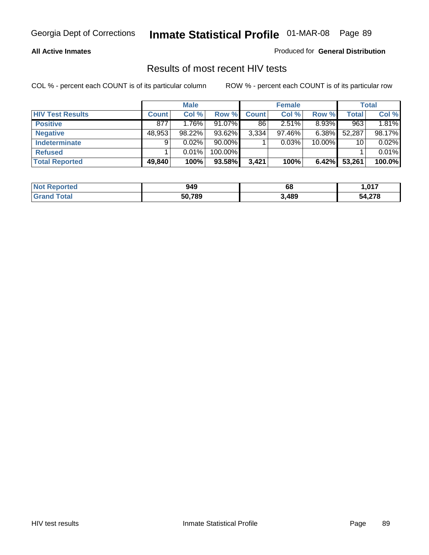#### **All Active Inmates**

Produced for **General Distribution**

### Results of most recent HIV tests

|                         |              | <b>Male</b> |           |              | <b>Female</b> |          |              | <b>Total</b> |
|-------------------------|--------------|-------------|-----------|--------------|---------------|----------|--------------|--------------|
| <b>HIV Test Results</b> | <b>Count</b> | Col %       | Row %     | <b>Count</b> | Col %         | Row %    | <b>Total</b> | Col %        |
| <b>Positive</b>         | 877          | 1.76%       | $91.07\%$ | 86           | 2.51%         | $8.93\%$ | 963          | 1.81%        |
| <b>Negative</b>         | 48,953       | $98.22\%$   | 93.62%    | 3,334        | 97.46%        | $6.38\%$ | 52,287       | 98.17%       |
| <b>Indeterminate</b>    | 9            | $0.02\%$    | $90.00\%$ |              | 0.03%         | 10.00%   | 10           | 0.02%        |
| <b>Refused</b>          |              | 0.01%       | 100.00%   |              |               |          |              | 0.01%        |
| <b>Total Reported</b>   | 49,840       | 100%        | 93.58%    | 3.421        | 100%          | 6.42%    | 53,261       | 100.0%       |

| <b>Not</b><br>Reported       | 949    | 68    | .017   |
|------------------------------|--------|-------|--------|
| <b>Total</b><br><b>Grand</b> | 50,789 | 3,489 | 54,278 |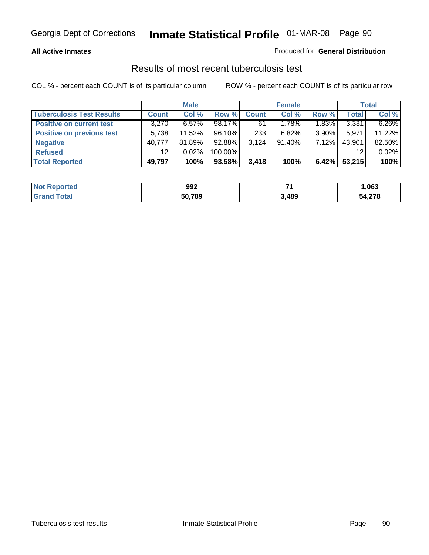### **All Active Inmates**

### Produced for **General Distribution**

### Results of most recent tuberculosis test

|                                  |                 | <b>Male</b> |           |              | <b>Female</b> |          |              | <b>Total</b> |
|----------------------------------|-----------------|-------------|-----------|--------------|---------------|----------|--------------|--------------|
| <b>Tuberculosis Test Results</b> | <b>Count</b>    | Col %       | Row %     | <b>Count</b> | Col %         | Row %    | <b>Total</b> | Col %        |
| <b>Positive on current test</b>  | 3,270           | $6.57\%$    | $98.17\%$ | 61           | 1.78%         | 1.83%    | 3,331        | 6.26%        |
| <b>Positive on previous test</b> | 5.738           | $11.52\%$   | $96.10\%$ | 233          | $6.82\%$      | $3.90\%$ | 5,971        | 11.22%       |
| <b>Negative</b>                  | 40.777          | 81.89%      | $92.88\%$ | 3.124        | $91.40\%$     | $7.12\%$ | 43,901       | 82.50%       |
| <b>Refused</b>                   | 12 <sup>°</sup> | $0.02\%$    | 100.00%   |              |               |          | 12           | 0.02%        |
| <b>Total Reported</b>            | 49,797          | 100%        | 93.58%    | 3,418        | 100%          | $6.42\%$ | 53,215       | 100%         |

| <b>Not Reported</b> | 992    | - 4   | 063, ا |
|---------------------|--------|-------|--------|
| ' Grand<br>Total    | 50,789 | 3,489 | 54,278 |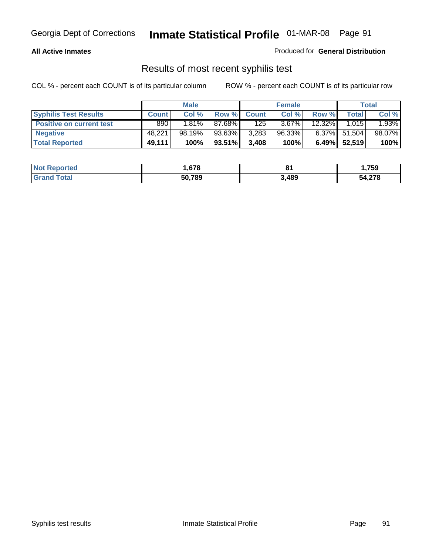### **All Active Inmates**

Produced for **General Distribution**

### Results of most recent syphilis test

|                                 |              | <b>Male</b> |           |              | <b>Female</b> |           |                 | Total  |
|---------------------------------|--------------|-------------|-----------|--------------|---------------|-----------|-----------------|--------|
| <b>Syphilis Test Results</b>    | <b>Count</b> | Col %       | Row %     | <b>Count</b> | Col %         | Row %     | <b>Total</b>    | Col %  |
| <b>Positive on current test</b> | 890          | $1.81\%$    | 87.68%I   | 125          | $3.67\%$      | $12.32\%$ | 1.015           | 1.93%  |
| <b>Negative</b>                 | 48.221       | 98.19%      | 93.63%    | 3,283        | 96.33%        |           | 6.37% 51,504    | 98.07% |
| <b>Total Reported</b>           | 49,111       | 100%        | $93.51\%$ | 3,408        | 100%          |           | $6.49\%$ 52,519 | 100%   |

| <b>Not Reported</b>     | .678   | о.<br>ິ | 759,ا  |
|-------------------------|--------|---------|--------|
| <b>Total</b><br>' Grand | 50,789 | 3,489   | 54,278 |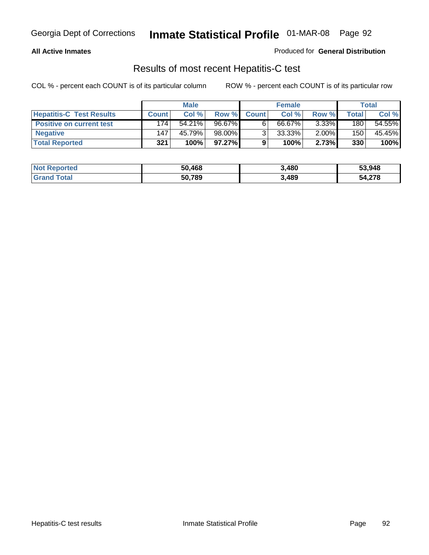### **All Active Inmates**

Produced for **General Distribution**

### Results of most recent Hepatitis-C test

|                                 |              | <b>Male</b> |        |              | <b>Female</b> |          |             | Total  |
|---------------------------------|--------------|-------------|--------|--------------|---------------|----------|-------------|--------|
| <b>Hepatitis-C Test Results</b> | <b>Count</b> | Col %       | Row %I | <b>Count</b> | Col %         | Row %    | $\tau$ otal | Col %  |
| <b>Positive on current test</b> | 174          | $54.21\%$   | 96.67% |              | 66.67%        | $3.33\%$ | 180         | 54.55% |
| <b>Negative</b>                 | 147          | 45.79%      | 98.00% |              | 33.33%        | $2.00\%$ | 150         | 45.45% |
| <b>Total Reported</b>           | 321          | 100%        | 97.27% |              | 100%          | 2.73%    | 330         | 100%   |

| <b>Not Reported</b> | 50,468 | 3,480 | 53,948 |
|---------------------|--------|-------|--------|
| <b>Grand Total</b>  | 50,789 | 3,489 | 54,278 |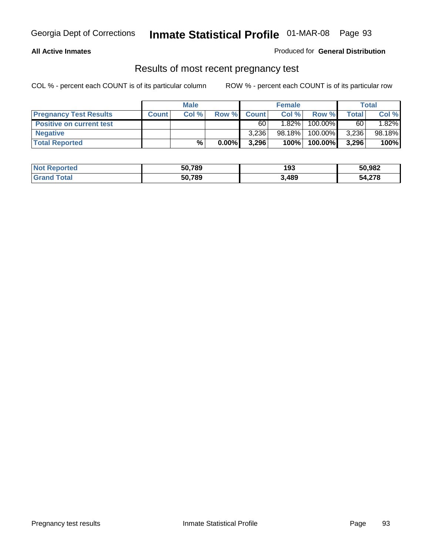### **All Active Inmates**

### Produced for **General Distribution**

### Results of most recent pregnancy test

|                                 |              | <b>Male</b> |          |              | <b>Female</b> |         |              | <b>Total</b> |
|---------------------------------|--------------|-------------|----------|--------------|---------------|---------|--------------|--------------|
| <b>Pregnancy Test Results</b>   | <b>Count</b> | Col%        | Row %    | <b>Count</b> | Col %         | Row %   | <b>Total</b> | Col %        |
| <b>Positive on current test</b> |              |             |          | 60           | $1.82\%$      | 100.00% | 60           | 1.82%        |
| <b>Negative</b>                 |              |             |          | 3,236        | 98.18%        | 100.00% | 3,236        | 98.18%       |
| <b>Total Reported</b>           |              | $\%$        | $0.00\%$ | 3.296        | 100%          | 100.00% | 3,296        | 100%         |

| <b>Not Reported</b> | 50,789 | 193   | 50,982 |
|---------------------|--------|-------|--------|
| <b>Grand Total</b>  | 50,789 | 3,489 | 54,278 |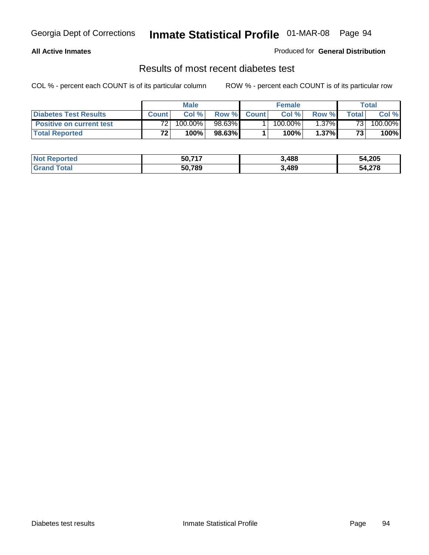### **All Active Inmates**

### Produced for **General Distribution**

### Results of most recent diabetes test

|                                 | <b>Male</b>     |         |         | <b>Female</b> |            |          | Total |         |
|---------------------------------|-----------------|---------|---------|---------------|------------|----------|-------|---------|
| <b>Diabetes Test Results</b>    | <b>Count</b>    | Col %   | Row %   | <b>Count</b>  | Col %      | Row %I   | Total | Col %   |
| <b>Positive on current test</b> | 72 <sub>1</sub> | 100.00% | 98.63%I |               | $100.00\%$ | $1.37\%$ | 731   | 100.00% |
| <b>Total Reported</b>           | 72 <sub>1</sub> | 100%    | 98.63%  |               | 100%       | 1.37%    | 73    | 100%    |

| <b>Not Reported</b> | 50.717 | 3,488 | 54,205 |
|---------------------|--------|-------|--------|
| Total<br>Grand      | 50,789 | 3,489 | 54,278 |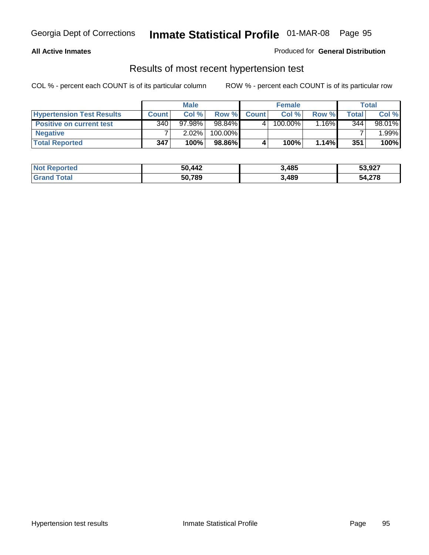### **All Active Inmates**

### Produced for **General Distribution**

### Results of most recent hypertension test

|                                  | <b>Male</b>      |          |         | <b>Female</b> |         |          | <b>Total</b> |        |
|----------------------------------|------------------|----------|---------|---------------|---------|----------|--------------|--------|
| <b>Hypertension Test Results</b> | <b>Count</b>     | Col %    | Row %   | <b>Count</b>  | Col%    | Row %    | Total        | Col %  |
| <b>Positive on current test</b>  | 340 <sub>1</sub> | 97.98%   | 98.84%  |               | 100.00% | $1.16\%$ | 344          | 98.01% |
| <b>Negative</b>                  |                  | $2.02\%$ | 100.00% |               |         |          |              | .99%   |
| <b>Total Reported</b>            | 347              | 100%     | 98.86%  |               | 100%    | $1.14\%$ | 351          | 100%   |

| <b>Not Reported</b> | 50,442 | 3,485 | 53,927 |
|---------------------|--------|-------|--------|
| <b>Grand Total</b>  | 50,789 | 3,489 | 54,278 |